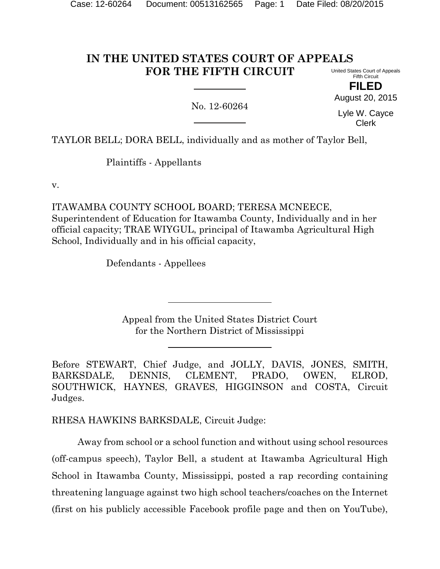#### **IN THE UNITED STATES COURT OF APPEALS FOR THE FIFTH CIRCUIT** United States Court of Appeals Fifth Circuit

No. 12-60264

**FILED** August 20, 2015

Lyle W. Cayce Clerk

TAYLOR BELL; DORA BELL, individually and as mother of Taylor Bell,

Plaintiffs - Appellants

v.

ITAWAMBA COUNTY SCHOOL BOARD; TERESA MCNEECE, Superintendent of Education for Itawamba County, Individually and in her official capacity; TRAE WIYGUL, principal of Itawamba Agricultural High School, Individually and in his official capacity,

Defendants - Appellees

Appeal from the United States District Court for the Northern District of Mississippi

Before STEWART, Chief Judge, and JOLLY, DAVIS, JONES, SMITH, BARKSDALE, DENNIS, CLEMENT, PRADO, OWEN, ELROD, SOUTHWICK, HAYNES, GRAVES, HIGGINSON and COSTA, Circuit Judges.

RHESA HAWKINS BARKSDALE, Circuit Judge:

Away from school or a school function and without using school resources (off-campus speech), Taylor Bell, a student at Itawamba Agricultural High School in Itawamba County, Mississippi, posted a rap recording containing threatening language against two high school teachers/coaches on the Internet (first on his publicly accessible Facebook profile page and then on YouTube),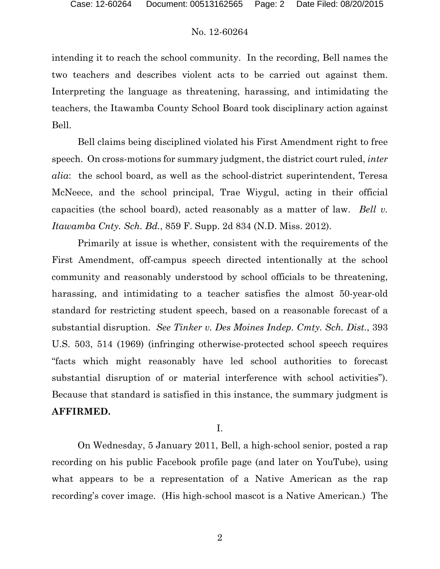intending it to reach the school community. In the recording, Bell names the two teachers and describes violent acts to be carried out against them. Interpreting the language as threatening, harassing, and intimidating the teachers, the Itawamba County School Board took disciplinary action against Bell.

Bell claims being disciplined violated his First Amendment right to free speech. On cross-motions for summary judgment, the district court ruled, *inter alia*: the school board, as well as the school-district superintendent, Teresa McNeece, and the school principal, Trae Wiygul, acting in their official capacities (the school board), acted reasonably as a matter of law. *Bell v. Itawamba Cnty. Sch. Bd.*, 859 F. Supp. 2d 834 (N.D. Miss. 2012).

Primarily at issue is whether, consistent with the requirements of the First Amendment, off-campus speech directed intentionally at the school community and reasonably understood by school officials to be threatening, harassing, and intimidating to a teacher satisfies the almost 50-year-old standard for restricting student speech, based on a reasonable forecast of a substantial disruption. *See Tinker v. Des Moines Indep. Cmty. Sch. Dist.*, 393 U.S. 503, 514 (1969) (infringing otherwise-protected school speech requires "facts which might reasonably have led school authorities to forecast substantial disruption of or material interference with school activities"). Because that standard is satisfied in this instance, the summary judgment is **AFFIRMED.**

I.

On Wednesday, 5 January 2011, Bell, a high-school senior, posted a rap recording on his public Facebook profile page (and later on YouTube), using what appears to be a representation of a Native American as the rap recording's cover image. (His high-school mascot is a Native American.) The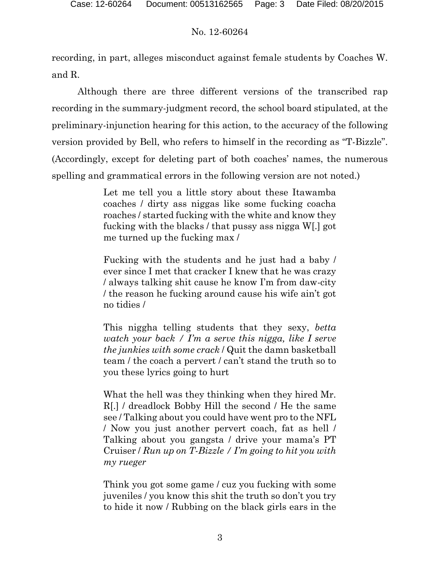recording, in part, alleges misconduct against female students by Coaches W. and R.

Although there are three different versions of the transcribed rap recording in the summary-judgment record, the school board stipulated, at the preliminary-injunction hearing for this action, to the accuracy of the following version provided by Bell, who refers to himself in the recording as "T-Bizzle". (Accordingly, except for deleting part of both coaches' names, the numerous spelling and grammatical errors in the following version are not noted.)

> Let me tell you a little story about these Itawamba coaches / dirty ass niggas like some fucking coacha roaches / started fucking with the white and know they fucking with the blacks / that pussy ass nigga W[.] got me turned up the fucking max /

> Fucking with the students and he just had a baby / ever since I met that cracker I knew that he was crazy / always talking shit cause he know I'm from daw-city / the reason he fucking around cause his wife ain't got no tidies /

> This niggha telling students that they sexy, *betta watch your back / I'm a serve this nigga, like I serve the junkies with some crack* / Quit the damn basketball team / the coach a pervert / can't stand the truth so to you these lyrics going to hurt

> What the hell was they thinking when they hired Mr. R[.] / dreadlock Bobby Hill the second / He the same see / Talking about you could have went pro to the NFL / Now you just another pervert coach, fat as hell / Talking about you gangsta / drive your mama's PT Cruiser / *Run up on T-Bizzle / I'm going to hit you with my rueger*

> Think you got some game / cuz you fucking with some juveniles / you know this shit the truth so don't you try to hide it now / Rubbing on the black girls ears in the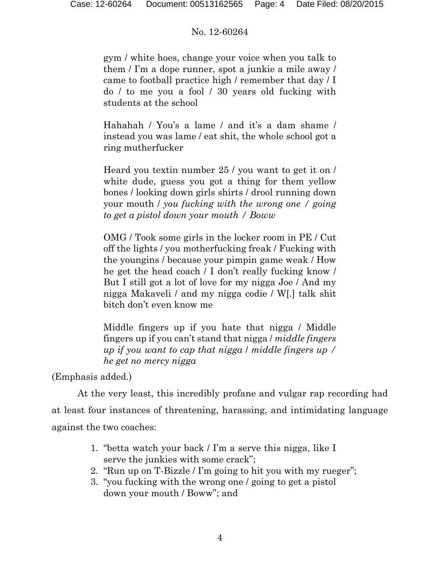gym / white hoes, change your voice when you talk to them / I'm a dope runner, spot a junkie a mile away / came to football practice high / remember that day / I do / to me you a fool / 30 years old fucking with students at the school

Hahahah / You's a lame / and it's a dam shame / instead you was lame / eat shit, the whole school got a ring mutherfucker

Heard you textin number 25 / you want to get it on / white dude, guess you got a thing for them yellow bones / looking down girls shirts / drool running down your mouth / *you fucking with the wrong one / going to get a pistol down your mouth / Boww*

OMG / Took some girls in the locker room in PE / Cut off the lights / you motherfucking freak / Fucking with the youngins / because your pimpin game weak / How he get the head coach / I don't really fucking know / But I still got a lot of love for my nigga Joe / And my nigga Makaveli / and my nigga codie / W[.] talk shit bitch don't even know me

Middle fingers up if you hate that nigga / Middle fingers up if you can't stand that nigga / *middle fingers up if you want to cap that nigga* / *middle fingers up / he get no mercy nigga*

(Emphasis added.)

At the very least, this incredibly profane and vulgar rap recording had at least four instances of threatening, harassing, and intimidating language against the two coaches:

- 1. "betta watch your back / I'm a serve this nigga, like I serve the junkies with some crack";
- 2. "Run up on T-Bizzle / I'm going to hit you with my rueger";
- 3. "you fucking with the wrong one / going to get a pistol down your mouth / Boww"; and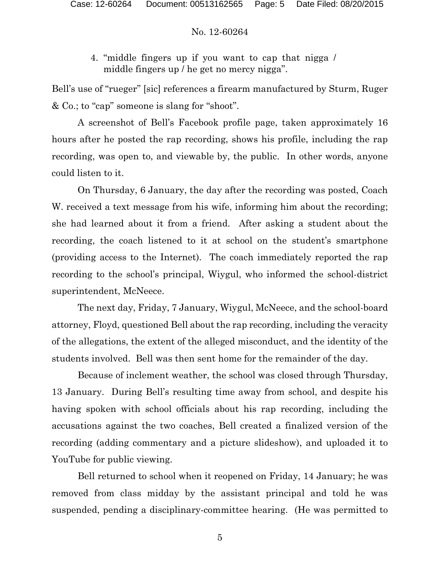4. "middle fingers up if you want to cap that nigga / middle fingers up / he get no mercy nigga".

Bell's use of "rueger" [sic] references a firearm manufactured by Sturm, Ruger & Co.; to "cap" someone is slang for "shoot".

A screenshot of Bell's Facebook profile page, taken approximately 16 hours after he posted the rap recording, shows his profile, including the rap recording, was open to, and viewable by, the public.In other words, anyone could listen to it.

On Thursday, 6 January, the day after the recording was posted, Coach W. received a text message from his wife, informing him about the recording; she had learned about it from a friend. After asking a student about the recording, the coach listened to it at school on the student's smartphone (providing access to the Internet). The coach immediately reported the rap recording to the school's principal, Wiygul, who informed the school-district superintendent, McNeece.

The next day, Friday, 7 January, Wiygul, McNeece, and the school-board attorney, Floyd, questioned Bell about the rap recording, including the veracity of the allegations, the extent of the alleged misconduct, and the identity of the students involved. Bell was then sent home for the remainder of the day.

Because of inclement weather, the school was closed through Thursday, 13 January. During Bell's resulting time away from school, and despite his having spoken with school officials about his rap recording, including the accusations against the two coaches, Bell created a finalized version of the recording (adding commentary and a picture slideshow), and uploaded it to YouTube for public viewing.

Bell returned to school when it reopened on Friday, 14 January; he was removed from class midday by the assistant principal and told he was suspended, pending a disciplinary-committee hearing. (He was permitted to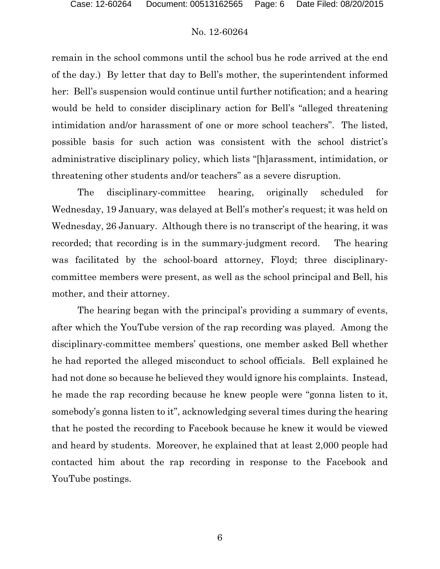remain in the school commons until the school bus he rode arrived at the end of the day.) By letter that day to Bell's mother, the superintendent informed her: Bell's suspension would continue until further notification; and a hearing would be held to consider disciplinary action for Bell's "alleged threatening intimidation and/or harassment of one or more school teachers". The listed, possible basis for such action was consistent with the school district's administrative disciplinary policy, which lists "[h]arassment, intimidation, or threatening other students and/or teachers" as a severe disruption.

The disciplinary-committee hearing, originally scheduled for Wednesday, 19 January, was delayed at Bell's mother's request; it was held on Wednesday, 26 January.Although there is no transcript of the hearing, it was recorded; that recording is in the summary-judgment record. The hearing was facilitated by the school-board attorney, Floyd; three disciplinarycommittee members were present, as well as the school principal and Bell, his mother, and their attorney.

The hearing began with the principal's providing a summary of events, after which the YouTube version of the rap recording was played. Among the disciplinary-committee members' questions, one member asked Bell whether he had reported the alleged misconduct to school officials.Bell explained he had not done so because he believed they would ignore his complaints. Instead, he made the rap recording because he knew people were "gonna listen to it, somebody's gonna listen to it", acknowledging several times during the hearing that he posted the recording to Facebook because he knew it would be viewed and heard by students. Moreover, he explained that at least 2,000 people had contacted him about the rap recording in response to the Facebook and YouTube postings.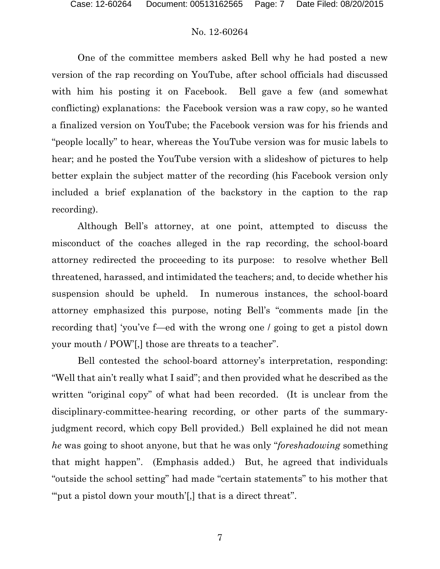One of the committee members asked Bell why he had posted a new version of the rap recording on YouTube, after school officials had discussed with him his posting it on Facebook. Bell gave a few (and somewhat conflicting) explanations: the Facebook version was a raw copy, so he wanted a finalized version on YouTube; the Facebook version was for his friends and "people locally" to hear, whereas the YouTube version was for music labels to hear; and he posted the YouTube version with a slideshow of pictures to help better explain the subject matter of the recording (his Facebook version only included a brief explanation of the backstory in the caption to the rap recording).

Although Bell's attorney, at one point, attempted to discuss the misconduct of the coaches alleged in the rap recording, the school-board attorney redirected the proceeding to its purpose: to resolve whether Bell threatened, harassed, and intimidated the teachers; and, to decide whether his suspension should be upheld. In numerous instances, the school-board attorney emphasized this purpose, noting Bell's "comments made [in the recording that] 'you've f—ed with the wrong one / going to get a pistol down your mouth / POW'[,] those are threats to a teacher".

Bell contested the school-board attorney's interpretation, responding: "Well that ain't really what I said"; and then provided what he described as the written "original copy" of what had been recorded. (It is unclear from the disciplinary-committee-hearing recording, or other parts of the summaryjudgment record, which copy Bell provided.) Bell explained he did not mean *he* was going to shoot anyone, but that he was only "*foreshadowing* something that might happen".(Emphasis added.)But, he agreed that individuals "outside the school setting" had made "certain statements" to his mother that "" put a pistol down your mouth", that is a direct threat".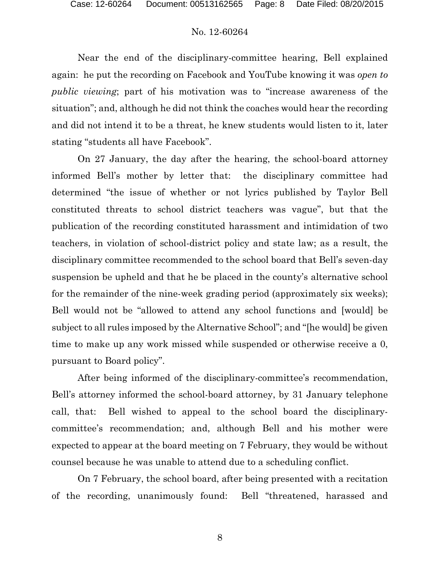Near the end of the disciplinary-committee hearing, Bell explained again: he put the recording on Facebook and YouTube knowing it was *open to public viewing*; part of his motivation was to "increase awareness of the situation"; and, although he did not think the coaches would hear the recording and did not intend it to be a threat, he knew students would listen to it, later stating "students all have Facebook".

On 27 January, the day after the hearing, the school-board attorney informed Bell's mother by letter that: the disciplinary committee had determined "the issue of whether or not lyrics published by Taylor Bell constituted threats to school district teachers was vague", but that the publication of the recording constituted harassment and intimidation of two teachers, in violation of school-district policy and state law; as a result, the disciplinary committee recommended to the school board that Bell's seven-day suspension be upheld and that he be placed in the county's alternative school for the remainder of the nine-week grading period (approximately six weeks); Bell would not be "allowed to attend any school functions and [would] be subject to all rules imposed by the Alternative School"; and "[he would] be given time to make up any work missed while suspended or otherwise receive a 0, pursuant to Board policy".

After being informed of the disciplinary-committee's recommendation, Bell's attorney informed the school-board attorney, by 31 January telephone call, that: Bell wished to appeal to the school board the disciplinarycommittee's recommendation; and, although Bell and his mother were expected to appear at the board meeting on 7 February, they would be without counsel because he was unable to attend due to a scheduling conflict.

On 7 February, the school board, after being presented with a recitation of the recording, unanimously found: Bell "threatened, harassed and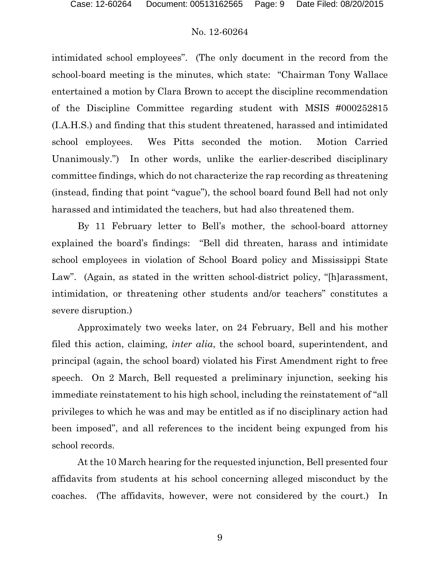intimidated school employees". (The only document in the record from the school-board meeting is the minutes, which state: "Chairman Tony Wallace entertained a motion by Clara Brown to accept the discipline recommendation of the Discipline Committee regarding student with MSIS #000252815 (I.A.H.S.) and finding that this student threatened, harassed and intimidated school employees. Wes Pitts seconded the motion. Motion Carried Unanimously.") In other words, unlike the earlier-described disciplinary committee findings, which do not characterize the rap recording as threatening (instead, finding that point "vague"), the school board found Bell had not only harassed and intimidated the teachers, but had also threatened them.

By 11 February letter to Bell's mother, the school-board attorney explained the board's findings: "Bell did threaten, harass and intimidate school employees in violation of School Board policy and Mississippi State Law". (Again, as stated in the written school-district policy, "[h]arassment, intimidation, or threatening other students and/or teachers" constitutes a severe disruption.)

Approximately two weeks later, on 24 February, Bell and his mother filed this action, claiming, *inter alia*, the school board, superintendent, and principal (again, the school board) violated his First Amendment right to free speech. On 2 March, Bell requested a preliminary injunction, seeking his immediate reinstatement to his high school, including the reinstatement of "all privileges to which he was and may be entitled as if no disciplinary action had been imposed", and all references to the incident being expunged from his school records.

At the 10 March hearing for the requested injunction, Bell presented four affidavits from students at his school concerning alleged misconduct by the coaches. (The affidavits, however, were not considered by the court.) In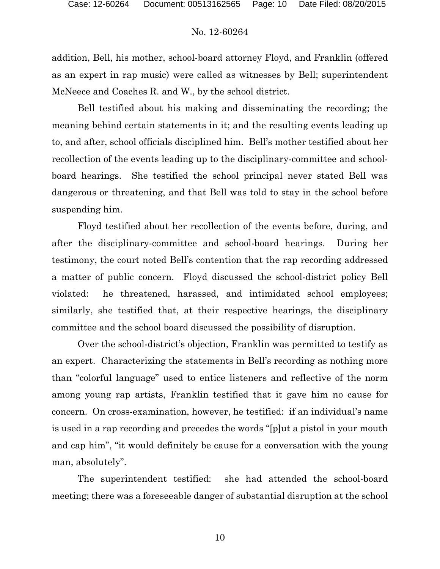addition, Bell, his mother, school-board attorney Floyd, and Franklin (offered as an expert in rap music) were called as witnesses by Bell; superintendent McNeece and Coaches R. and W., by the school district.

Bell testified about his making and disseminating the recording; the meaning behind certain statements in it; and the resulting events leading up to, and after, school officials disciplined him. Bell's mother testified about her recollection of the events leading up to the disciplinary-committee and schoolboard hearings. She testified the school principal never stated Bell was dangerous or threatening, and that Bell was told to stay in the school before suspending him.

Floyd testified about her recollection of the events before, during, and after the disciplinary-committee and school-board hearings. During her testimony, the court noted Bell's contention that the rap recording addressed a matter of public concern. Floyd discussed the school-district policy Bell violated: he threatened, harassed, and intimidated school employees; similarly, she testified that, at their respective hearings, the disciplinary committee and the school board discussed the possibility of disruption.

Over the school-district's objection, Franklin was permitted to testify as an expert. Characterizing the statements in Bell's recording as nothing more than "colorful language" used to entice listeners and reflective of the norm among young rap artists, Franklin testified that it gave him no cause for concern. On cross-examination, however, he testified: if an individual's name is used in a rap recording and precedes the words "[p]ut a pistol in your mouth and cap him", "it would definitely be cause for a conversation with the young man, absolutely".

The superintendent testified: she had attended the school-board meeting; there was a foreseeable danger of substantial disruption at the school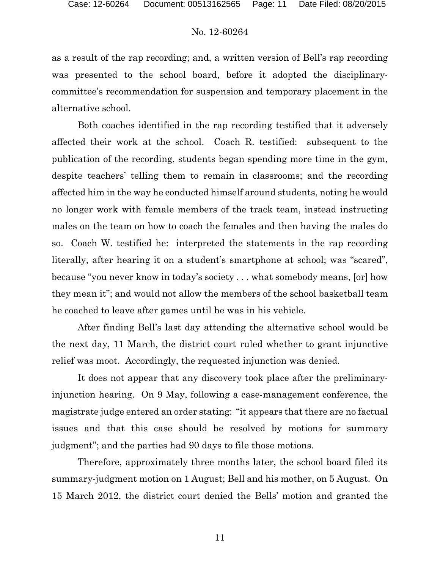as a result of the rap recording; and, a written version of Bell's rap recording was presented to the school board, before it adopted the disciplinarycommittee's recommendation for suspension and temporary placement in the alternative school.

Both coaches identified in the rap recording testified that it adversely affected their work at the school. Coach R. testified: subsequent to the publication of the recording, students began spending more time in the gym, despite teachers' telling them to remain in classrooms; and the recording affected him in the way he conducted himself around students, noting he would no longer work with female members of the track team, instead instructing males on the team on how to coach the females and then having the males do so. Coach W. testified he: interpreted the statements in the rap recording literally, after hearing it on a student's smartphone at school; was "scared", because "you never know in today's society . . . what somebody means, [or] how they mean it"; and would not allow the members of the school basketball team he coached to leave after games until he was in his vehicle.

After finding Bell's last day attending the alternative school would be the next day, 11 March, the district court ruled whether to grant injunctive relief was moot. Accordingly, the requested injunction was denied.

It does not appear that any discovery took place after the preliminaryinjunction hearing. On 9 May, following a case-management conference, the magistrate judge entered an order stating: "it appears that there are no factual issues and that this case should be resolved by motions for summary judgment"; and the parties had 90 days to file those motions.

Therefore, approximately three months later, the school board filed its summary-judgment motion on 1 August; Bell and his mother, on 5 August. On 15 March 2012, the district court denied the Bells' motion and granted the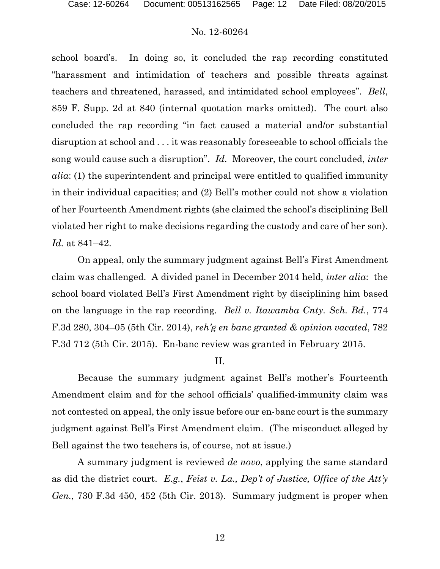school board's. In doing so, it concluded the rap recording constituted "harassment and intimidation of teachers and possible threats against teachers and threatened, harassed, and intimidated school employees". *Bell*, 859 F. Supp. 2d at 840 (internal quotation marks omitted). The court also concluded the rap recording "in fact caused a material and/or substantial disruption at school and . . . it was reasonably foreseeable to school officials the song would cause such a disruption". *Id.* Moreover, the court concluded, *inter alia*: (1) the superintendent and principal were entitled to qualified immunity in their individual capacities; and (2) Bell's mother could not show a violation of her Fourteenth Amendment rights (she claimed the school's disciplining Bell violated her right to make decisions regarding the custody and care of her son). *Id.* at 841–42.

On appeal, only the summary judgment against Bell's First Amendment claim was challenged. A divided panel in December 2014 held, *inter alia*: the school board violated Bell's First Amendment right by disciplining him based on the language in the rap recording. *Bell v. Itawamba Cnty. Sch. Bd.*, 774 F.3d 280, 304–05 (5th Cir. 2014), *reh'g en banc granted & opinion vacated*, 782 F.3d 712 (5th Cir. 2015). En-banc review was granted in February 2015.

#### II.

Because the summary judgment against Bell's mother's Fourteenth Amendment claim and for the school officials' qualified-immunity claim was not contested on appeal, the only issue before our en-banc court is the summary judgment against Bell's First Amendment claim. (The misconduct alleged by Bell against the two teachers is, of course, not at issue.)

A summary judgment is reviewed *de novo*, applying the same standard as did the district court. *E.g.*, *Feist v. La., Dep't of Justice, Office of the Att'y Gen.*, 730 F.3d 450, 452 (5th Cir. 2013). Summary judgment is proper when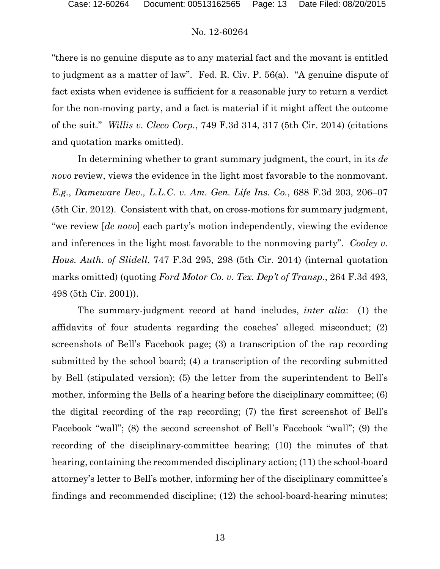"there is no genuine dispute as to any material fact and the movant is entitled to judgment as a matter of law". Fed. R. Civ. P. 56(a). "A genuine dispute of fact exists when evidence is sufficient for a reasonable jury to return a verdict for the non-moving party, and a fact is material if it might affect the outcome of the suit." *Willis v. Cleco Corp.*, 749 F.3d 314, 317 (5th Cir. 2014) (citations and quotation marks omitted).

In determining whether to grant summary judgment, the court, in its *de novo* review, views the evidence in the light most favorable to the nonmovant. *E.g.*, *Dameware Dev., L.L.C. v. Am. Gen. Life Ins. Co.*, 688 F.3d 203, 206–07 (5th Cir. 2012). Consistent with that, on cross-motions for summary judgment, "we review [*de novo*] each party's motion independently, viewing the evidence and inferences in the light most favorable to the nonmoving party". *Cooley v. Hous. Auth. of Slidell*, 747 F.3d 295, 298 (5th Cir. 2014) (internal quotation marks omitted) (quoting *Ford Motor Co. v. Tex. Dep't of Transp.*, 264 F.3d 493, 498 (5th Cir. 2001)).

The summary-judgment record at hand includes, *inter alia*: (1) the affidavits of four students regarding the coaches' alleged misconduct; (2) screenshots of Bell's Facebook page; (3) a transcription of the rap recording submitted by the school board; (4) a transcription of the recording submitted by Bell (stipulated version); (5) the letter from the superintendent to Bell's mother, informing the Bells of a hearing before the disciplinary committee; (6) the digital recording of the rap recording; (7) the first screenshot of Bell's Facebook "wall"; (8) the second screenshot of Bell's Facebook "wall"; (9) the recording of the disciplinary-committee hearing; (10) the minutes of that hearing, containing the recommended disciplinary action; (11) the school-board attorney's letter to Bell's mother, informing her of the disciplinary committee's findings and recommended discipline; (12) the school-board-hearing minutes;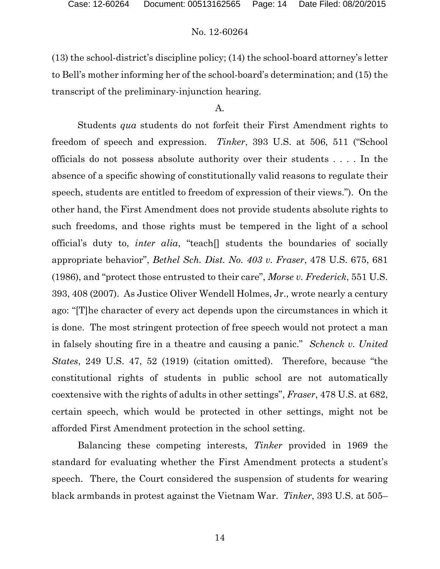(13) the school-district's discipline policy; (14) the school-board attorney's letter to Bell's mother informing her of the school-board's determination; and (15) the transcript of the preliminary-injunction hearing.

### A.

Students *qua* students do not forfeit their First Amendment rights to freedom of speech and expression. *Tinker*, 393 U.S. at 506, 511 ("School officials do not possess absolute authority over their students . . . . In the absence of a specific showing of constitutionally valid reasons to regulate their speech, students are entitled to freedom of expression of their views."). On the other hand, the First Amendment does not provide students absolute rights to such freedoms, and those rights must be tempered in the light of a school official's duty to, *inter alia*, "teach[] students the boundaries of socially appropriate behavior", *Bethel Sch. Dist. No. 403 v. Fraser*, 478 U.S. 675, 681 (1986), and "protect those entrusted to their care", *Morse v. Frederick*, 551 U.S. 393, 408 (2007). As Justice Oliver Wendell Holmes, Jr., wrote nearly a century ago: "[T]he character of every act depends upon the circumstances in which it is done. The most stringent protection of free speech would not protect a man in falsely shouting fire in a theatre and causing a panic." *Schenck v. United States*, 249 U.S. 47, 52 (1919) (citation omitted). Therefore, because "the constitutional rights of students in public school are not automatically coextensive with the rights of adults in other settings", *Fraser*, 478 U.S. at 682, certain speech, which would be protected in other settings, might not be afforded First Amendment protection in the school setting.

Balancing these competing interests, *Tinker* provided in 1969 the standard for evaluating whether the First Amendment protects a student's speech. There, the Court considered the suspension of students for wearing black armbands in protest against the Vietnam War. *Tinker*, 393 U.S. at 505–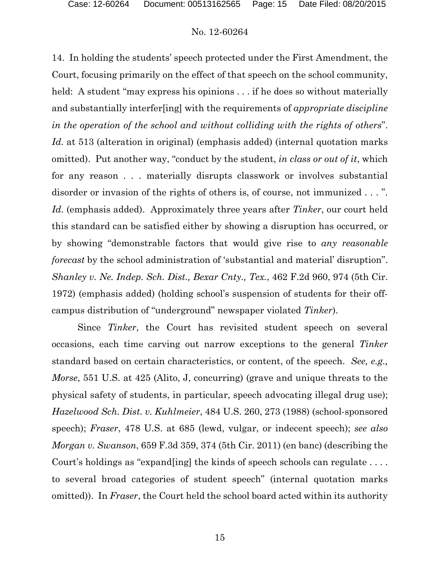14. In holding the students' speech protected under the First Amendment, the Court, focusing primarily on the effect of that speech on the school community, held: A student "may express his opinions . . . if he does so without materially and substantially interfer[ing] with the requirements of *appropriate discipline in the operation of the school and without colliding with the rights of others*". *Id.* at 513 (alteration in original) (emphasis added) (internal quotation marks omitted). Put another way, "conduct by the student, *in class or out of it*, which for any reason . . . materially disrupts classwork or involves substantial disorder or invasion of the rights of others is, of course, not immunized . . . ". *Id.* (emphasis added). Approximately three years after *Tinker*, our court held this standard can be satisfied either by showing a disruption has occurred, or by showing "demonstrable factors that would give rise to *any reasonable forecast* by the school administration of 'substantial and material' disruption". *Shanley v. Ne. Indep. Sch. Dist., Bexar Cnty., Tex.*, 462 F.2d 960, 974 (5th Cir. 1972) (emphasis added) (holding school's suspension of students for their offcampus distribution of "underground" newspaper violated *Tinker*).

Since *Tinker*, the Court has revisited student speech on several occasions, each time carving out narrow exceptions to the general *Tinker* standard based on certain characteristics, or content, of the speech. *See, e.g., Morse*, 551 U.S. at 425 (Alito, J, concurring) (grave and unique threats to the physical safety of students, in particular, speech advocating illegal drug use); *Hazelwood Sch. Dist. v. Kuhlmeier*, 484 U.S. 260, 273 (1988) (school-sponsored speech); *Fraser*, 478 U.S. at 685 (lewd, vulgar, or indecent speech); *see also Morgan v. Swanson*, 659 F.3d 359, 374 (5th Cir. 2011) (en banc) (describing the Court's holdings as "expand[ing] the kinds of speech schools can regulate . . . . to several broad categories of student speech" (internal quotation marks omitted)). In *Fraser*, the Court held the school board acted within its authority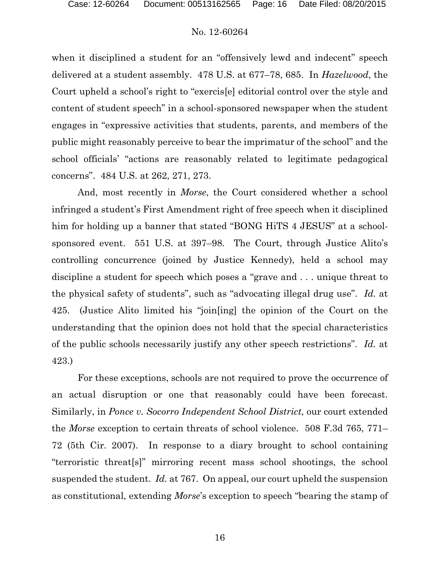when it disciplined a student for an "offensively lewd and indecent" speech delivered at a student assembly. 478 U.S. at 677–78, 685. In *Hazelwood*, the Court upheld a school's right to "exercis[e] editorial control over the style and content of student speech" in a school-sponsored newspaper when the student engages in "expressive activities that students, parents, and members of the public might reasonably perceive to bear the imprimatur of the school" and the school officials' "actions are reasonably related to legitimate pedagogical concerns". 484 U.S. at 262, 271, 273.

And, most recently in *Morse*, the Court considered whether a school infringed a student's First Amendment right of free speech when it disciplined him for holding up a banner that stated "BONG HiTS 4 JESUS" at a schoolsponsored event. 551 U.S. at 397–98. The Court, through Justice Alito's controlling concurrence (joined by Justice Kennedy), held a school may discipline a student for speech which poses a "grave and . . . unique threat to the physical safety of students", such as "advocating illegal drug use". *Id.* at 425. (Justice Alito limited his "join[ing] the opinion of the Court on the understanding that the opinion does not hold that the special characteristics of the public schools necessarily justify any other speech restrictions". *Id.* at 423.)

For these exceptions, schools are not required to prove the occurrence of an actual disruption or one that reasonably could have been forecast. Similarly, in *Ponce v. Socorro Independent School District*, our court extended the *Morse* exception to certain threats of school violence. 508 F.3d 765, 771– 72 (5th Cir. 2007). In response to a diary brought to school containing "terroristic threat[s]" mirroring recent mass school shootings, the school suspended the student. *Id.* at 767. On appeal, our court upheld the suspension as constitutional, extending *Morse*'s exception to speech "bearing the stamp of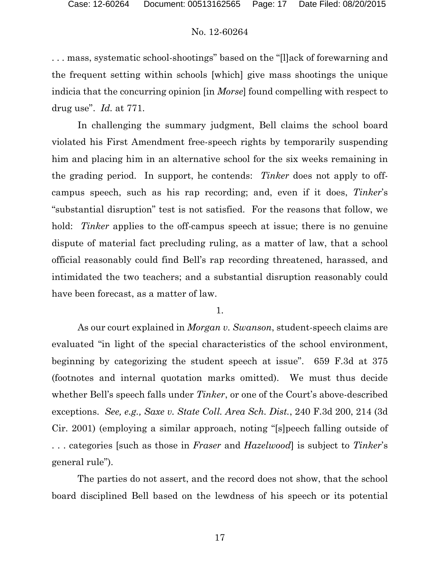. . . mass, systematic school-shootings" based on the "[l]ack of forewarning and the frequent setting within schools [which] give mass shootings the unique indicia that the concurring opinion [in *Morse*] found compelling with respect to drug use". *Id.* at 771.

In challenging the summary judgment, Bell claims the school board violated his First Amendment free-speech rights by temporarily suspending him and placing him in an alternative school for the six weeks remaining in the grading period. In support, he contends: *Tinker* does not apply to offcampus speech, such as his rap recording; and, even if it does, *Tinker*'s "substantial disruption" test is not satisfied. For the reasons that follow, we hold: *Tinker* applies to the off-campus speech at issue; there is no genuine dispute of material fact precluding ruling, as a matter of law, that a school official reasonably could find Bell's rap recording threatened, harassed, and intimidated the two teachers; and a substantial disruption reasonably could have been forecast, as a matter of law.

1.

As our court explained in *Morgan v. Swanson*, student-speech claims are evaluated "in light of the special characteristics of the school environment, beginning by categorizing the student speech at issue". 659 F.3d at 375 (footnotes and internal quotation marks omitted). We must thus decide whether Bell's speech falls under *Tinker*, or one of the Court's above-described exceptions. *See, e.g., Saxe v. State Coll. Area Sch. Dist.*, 240 F.3d 200, 214 (3d Cir. 2001) (employing a similar approach, noting "[s]peech falling outside of . . . categories [such as those in *Fraser* and *Hazelwood*] is subject to *Tinker*'s general rule").

The parties do not assert, and the record does not show, that the school board disciplined Bell based on the lewdness of his speech or its potential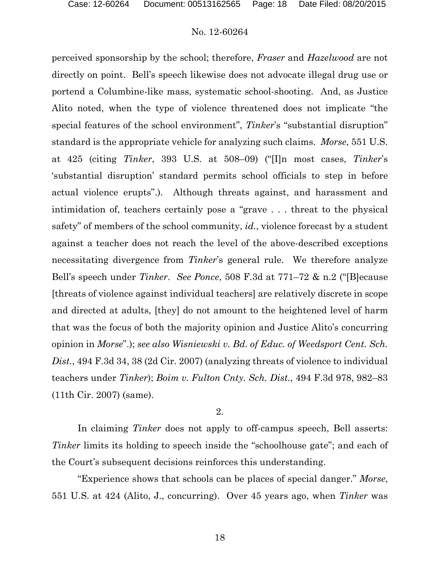perceived sponsorship by the school; therefore, *Fraser* and *Hazelwood* are not directly on point. Bell's speech likewise does not advocate illegal drug use or portend a Columbine-like mass, systematic school-shooting. And, as Justice Alito noted, when the type of violence threatened does not implicate "the special features of the school environment", *Tinker*'s "substantial disruption" standard is the appropriate vehicle for analyzing such claims. *Morse*, 551 U.S. at 425 (citing *Tinker*, 393 U.S. at 508–09) ("[I]n most cases, *Tinker*'s 'substantial disruption' standard permits school officials to step in before actual violence erupts".). Although threats against, and harassment and intimidation of, teachers certainly pose a "grave . . . threat to the physical safety" of members of the school community, *id.*, violence forecast by a student against a teacher does not reach the level of the above-described exceptions necessitating divergence from *Tinker*'s general rule. We therefore analyze Bell's speech under *Tinker*. *See Ponce*, 508 F.3d at 771–72 & n.2 ("[B]ecause [threats of violence against individual teachers] are relatively discrete in scope and directed at adults, [they] do not amount to the heightened level of harm that was the focus of both the majority opinion and Justice Alito's concurring opinion in *Morse*".); *see also Wisniewski v. Bd. of Educ. of Weedsport Cent. Sch. Dist.*, 494 F.3d 34, 38 (2d Cir. 2007) (analyzing threats of violence to individual teachers under *Tinker*); *Boim v. Fulton Cnty. Sch. Dist.*, 494 F.3d 978, 982–83 (11th Cir. 2007) (same).

2.

In claiming *Tinker* does not apply to off-campus speech, Bell asserts: *Tinker* limits its holding to speech inside the "schoolhouse gate"; and each of the Court's subsequent decisions reinforces this understanding.

"Experience shows that schools can be places of special danger." *Morse*, 551 U.S. at 424 (Alito, J., concurring). Over 45 years ago, when *Tinker* was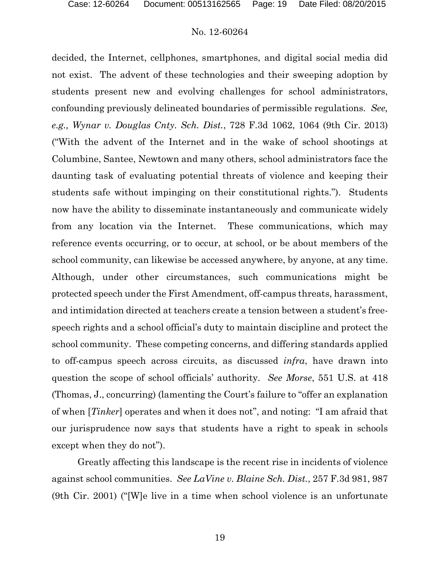decided, the Internet, cellphones, smartphones, and digital social media did not exist. The advent of these technologies and their sweeping adoption by students present new and evolving challenges for school administrators, confounding previously delineated boundaries of permissible regulations. *See, e.g., Wynar v. Douglas Cnty. Sch. Dist.*, 728 F.3d 1062, 1064 (9th Cir. 2013) ("With the advent of the Internet and in the wake of school shootings at Columbine, Santee, Newtown and many others, school administrators face the daunting task of evaluating potential threats of violence and keeping their students safe without impinging on their constitutional rights."). Students now have the ability to disseminate instantaneously and communicate widely from any location via the Internet. These communications, which may reference events occurring, or to occur, at school, or be about members of the school community, can likewise be accessed anywhere, by anyone, at any time. Although, under other circumstances, such communications might be protected speech under the First Amendment, off-campus threats, harassment, and intimidation directed at teachers create a tension between a student's freespeech rights and a school official's duty to maintain discipline and protect the school community. These competing concerns, and differing standards applied to off-campus speech across circuits, as discussed *infra*, have drawn into question the scope of school officials' authority. *See Morse*, 551 U.S. at 418 (Thomas, J., concurring) (lamenting the Court's failure to "offer an explanation of when [*Tinker*] operates and when it does not", and noting: "I am afraid that our jurisprudence now says that students have a right to speak in schools except when they do not").

Greatly affecting this landscape is the recent rise in incidents of violence against school communities. *See LaVine v. Blaine Sch. Dist.*, 257 F.3d 981, 987 (9th Cir. 2001) ("[W]e live in a time when school violence is an unfortunate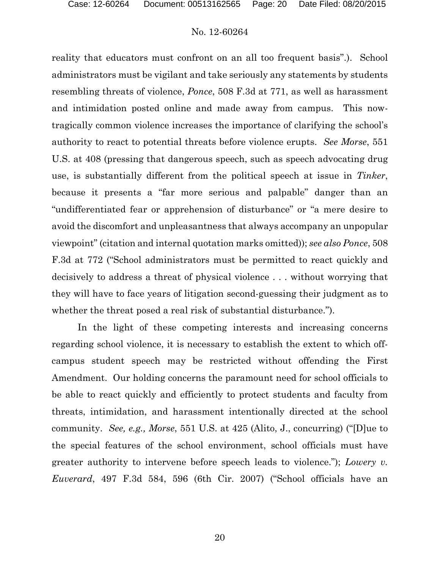reality that educators must confront on an all too frequent basis".). School administrators must be vigilant and take seriously any statements by students resembling threats of violence, *Ponce*, 508 F.3d at 771, as well as harassment and intimidation posted online and made away from campus. This nowtragically common violence increases the importance of clarifying the school's authority to react to potential threats before violence erupts. *See Morse*, 551 U.S. at 408 (pressing that dangerous speech, such as speech advocating drug use, is substantially different from the political speech at issue in *Tinker*, because it presents a "far more serious and palpable" danger than an "undifferentiated fear or apprehension of disturbance" or "a mere desire to avoid the discomfort and unpleasantness that always accompany an unpopular viewpoint" (citation and internal quotation marks omitted)); *see also Ponce*, 508 F.3d at 772 ("School administrators must be permitted to react quickly and decisively to address a threat of physical violence . . . without worrying that they will have to face years of litigation second-guessing their judgment as to whether the threat posed a real risk of substantial disturbance.").

In the light of these competing interests and increasing concerns regarding school violence, it is necessary to establish the extent to which offcampus student speech may be restricted without offending the First Amendment. Our holding concerns the paramount need for school officials to be able to react quickly and efficiently to protect students and faculty from threats, intimidation, and harassment intentionally directed at the school community. *See, e.g., Morse*, 551 U.S. at 425 (Alito, J., concurring) ("[D]ue to the special features of the school environment, school officials must have greater authority to intervene before speech leads to violence."); *Lowery v. Euverard*, 497 F.3d 584, 596 (6th Cir. 2007) ("School officials have an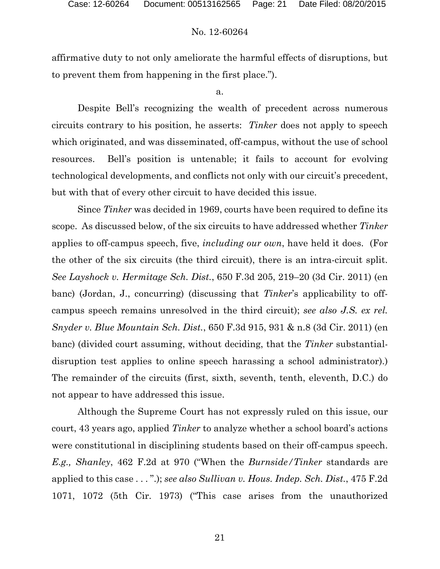affirmative duty to not only ameliorate the harmful effects of disruptions, but to prevent them from happening in the first place.").

a.

Despite Bell's recognizing the wealth of precedent across numerous circuits contrary to his position, he asserts: *Tinker* does not apply to speech which originated, and was disseminated, off-campus, without the use of school resources. Bell's position is untenable; it fails to account for evolving technological developments, and conflicts not only with our circuit's precedent, but with that of every other circuit to have decided this issue.

Since *Tinker* was decided in 1969, courts have been required to define its scope. As discussed below, of the six circuits to have addressed whether *Tinker* applies to off-campus speech, five, *including our own*, have held it does. (For the other of the six circuits (the third circuit), there is an intra-circuit split. *See Layshock v. Hermitage Sch. Dist.*, 650 F.3d 205, 219–20 (3d Cir. 2011) (en banc) (Jordan, J., concurring) (discussing that *Tinker*'s applicability to offcampus speech remains unresolved in the third circuit); *see also J.S. ex rel. Snyder v. Blue Mountain Sch. Dist.*, 650 F.3d 915, 931 & n.8 (3d Cir. 2011) (en banc) (divided court assuming, without deciding, that the *Tinker* substantialdisruption test applies to online speech harassing a school administrator).) The remainder of the circuits (first, sixth, seventh, tenth, eleventh, D.C.) do not appear to have addressed this issue.

Although the Supreme Court has not expressly ruled on this issue, our court, 43 years ago, applied *Tinker* to analyze whether a school board's actions were constitutional in disciplining students based on their off-campus speech. *E.g., Shanley*, 462 F.2d at 970 ("When the *Burnside/Tinker* standards are applied to this case . . . ".); *see also Sullivan v. Hous. Indep. Sch. Dist.*, 475 F.2d 1071, 1072 (5th Cir. 1973) ("This case arises from the unauthorized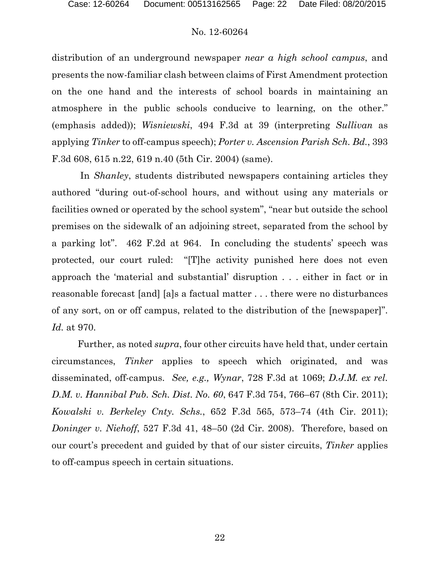distribution of an underground newspaper *near a high school campus*, and presents the now-familiar clash between claims of First Amendment protection on the one hand and the interests of school boards in maintaining an atmosphere in the public schools conducive to learning, on the other." (emphasis added)); *Wisniewski*, 494 F.3d at 39 (interpreting *Sullivan* as applying *Tinker* to off-campus speech); *Porter v. Ascension Parish Sch. Bd.*, 393 F.3d 608, 615 n.22, 619 n.40 (5th Cir. 2004) (same).

In *Shanley*, students distributed newspapers containing articles they authored "during out-of-school hours, and without using any materials or facilities owned or operated by the school system", "near but outside the school premises on the sidewalk of an adjoining street, separated from the school by a parking lot". 462 F.2d at 964. In concluding the students' speech was protected, our court ruled: "[T]he activity punished here does not even approach the 'material and substantial' disruption . . . either in fact or in reasonable forecast [and] [a]s a factual matter . . . there were no disturbances of any sort, on or off campus, related to the distribution of the [newspaper]". *Id.* at 970.

Further, as noted *supra*, four other circuits have held that, under certain circumstances, *Tinker* applies to speech which originated, and was disseminated, off-campus. *See, e.g., Wynar*, 728 F.3d at 1069; *D.J.M. ex rel. D.M. v. Hannibal Pub. Sch. Dist. No. 60*, 647 F.3d 754, 766–67 (8th Cir. 2011); *Kowalski v. Berkeley Cnty. Schs.*, 652 F.3d 565, 573–74 (4th Cir. 2011); *Doninger v. Niehoff*, 527 F.3d 41, 48–50 (2d Cir. 2008). Therefore, based on our court's precedent and guided by that of our sister circuits, *Tinker* applies to off-campus speech in certain situations.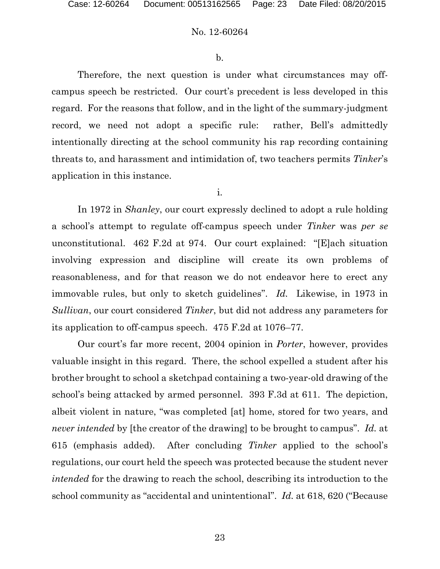b.

Therefore, the next question is under what circumstances may offcampus speech be restricted. Our court's precedent is less developed in this regard. For the reasons that follow, and in the light of the summary-judgment record, we need not adopt a specific rule: rather, Bell's admittedly intentionally directing at the school community his rap recording containing threats to, and harassment and intimidation of, two teachers permits *Tinker*'s application in this instance.

i.

In 1972 in *Shanley*, our court expressly declined to adopt a rule holding a school's attempt to regulate off-campus speech under *Tinker* was *per se* unconstitutional. 462 F.2d at 974. Our court explained: "[E]ach situation involving expression and discipline will create its own problems of reasonableness, and for that reason we do not endeavor here to erect any immovable rules, but only to sketch guidelines". *Id.* Likewise, in 1973 in *Sullivan*, our court considered *Tinker*, but did not address any parameters for its application to off-campus speech. 475 F.2d at 1076–77.

Our court's far more recent, 2004 opinion in *Porter*, however, provides valuable insight in this regard. There, the school expelled a student after his brother brought to school a sketchpad containing a two-year-old drawing of the school's being attacked by armed personnel. 393 F.3d at 611. The depiction, albeit violent in nature, "was completed [at] home, stored for two years, and *never intended* by [the creator of the drawing] to be brought to campus". *Id.* at 615 (emphasis added). After concluding *Tinker* applied to the school's regulations, our court held the speech was protected because the student never *intended* for the drawing to reach the school, describing its introduction to the school community as "accidental and unintentional". *Id.* at 618, 620 ("Because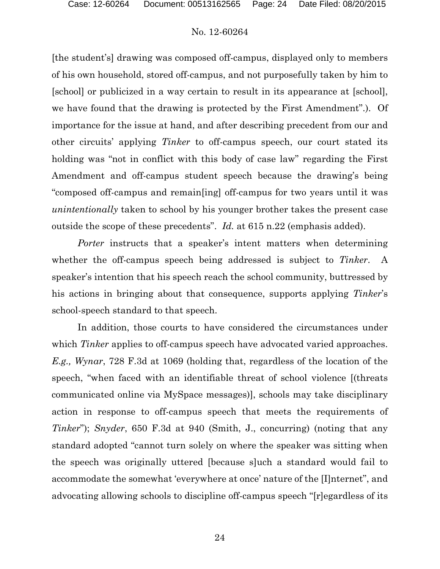[the student's] drawing was composed off-campus, displayed only to members of his own household, stored off-campus, and not purposefully taken by him to [school] or publicized in a way certain to result in its appearance at [school], we have found that the drawing is protected by the First Amendment".). Of importance for the issue at hand, and after describing precedent from our and other circuits' applying *Tinker* to off-campus speech, our court stated its holding was "not in conflict with this body of case law" regarding the First Amendment and off-campus student speech because the drawing's being "composed off-campus and remain[ing] off-campus for two years until it was *unintentionally* taken to school by his younger brother takes the present case outside the scope of these precedents". *Id.* at 615 n.22 (emphasis added).

*Porter* instructs that a speaker's intent matters when determining whether the off-campus speech being addressed is subject to *Tinker*. A speaker's intention that his speech reach the school community, buttressed by his actions in bringing about that consequence, supports applying *Tinker*'s school-speech standard to that speech.

In addition, those courts to have considered the circumstances under which *Tinker* applies to off-campus speech have advocated varied approaches. *E.g., Wynar*, 728 F.3d at 1069 (holding that, regardless of the location of the speech, "when faced with an identifiable threat of school violence [(threats communicated online via MySpace messages)], schools may take disciplinary action in response to off-campus speech that meets the requirements of *Tinker*"); *Snyder*, 650 F.3d at 940 (Smith, J., concurring) (noting that any standard adopted "cannot turn solely on where the speaker was sitting when the speech was originally uttered [because s]uch a standard would fail to accommodate the somewhat 'everywhere at once' nature of the [I]nternet", and advocating allowing schools to discipline off-campus speech "[r]egardless of its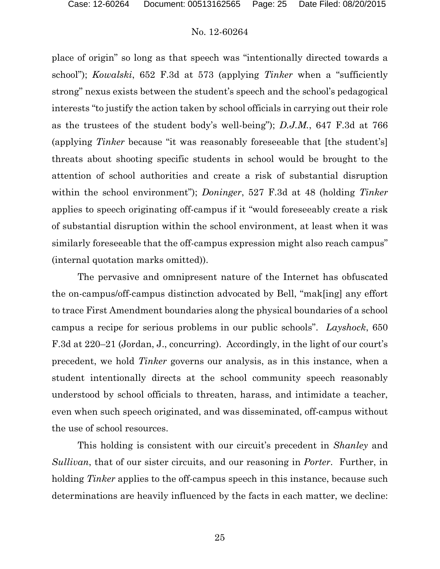place of origin" so long as that speech was "intentionally directed towards a school"); *Kowalski*, 652 F.3d at 573 (applying *Tinker* when a "sufficiently strong" nexus exists between the student's speech and the school's pedagogical interests "to justify the action taken by school officials in carrying out their role as the trustees of the student body's well-being"); *D.J.M.*, 647 F.3d at 766 (applying *Tinker* because "it was reasonably foreseeable that [the student's] threats about shooting specific students in school would be brought to the attention of school authorities and create a risk of substantial disruption within the school environment"); *Doninger*, 527 F.3d at 48 (holding *Tinker* applies to speech originating off-campus if it "would foreseeably create a risk of substantial disruption within the school environment, at least when it was similarly foreseeable that the off-campus expression might also reach campus" (internal quotation marks omitted)).

The pervasive and omnipresent nature of the Internet has obfuscated the on-campus/off-campus distinction advocated by Bell, "mak[ing] any effort to trace First Amendment boundaries along the physical boundaries of a school campus a recipe for serious problems in our public schools". *Layshock*, 650 F.3d at 220–21 (Jordan, J., concurring). Accordingly, in the light of our court's precedent, we hold *Tinker* governs our analysis, as in this instance, when a student intentionally directs at the school community speech reasonably understood by school officials to threaten, harass, and intimidate a teacher, even when such speech originated, and was disseminated, off-campus without the use of school resources.

This holding is consistent with our circuit's precedent in *Shanley* and *Sullivan*, that of our sister circuits, and our reasoning in *Porter*. Further, in holding *Tinker* applies to the off-campus speech in this instance, because such determinations are heavily influenced by the facts in each matter, we decline: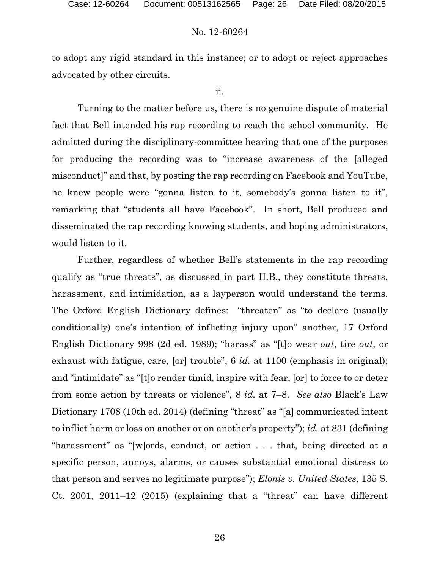to adopt any rigid standard in this instance; or to adopt or reject approaches advocated by other circuits.

#### ii.

Turning to the matter before us, there is no genuine dispute of material fact that Bell intended his rap recording to reach the school community. He admitted during the disciplinary-committee hearing that one of the purposes for producing the recording was to "increase awareness of the [alleged misconduct]" and that, by posting the rap recording on Facebook and YouTube, he knew people were "gonna listen to it, somebody's gonna listen to it", remarking that "students all have Facebook". In short, Bell produced and disseminated the rap recording knowing students, and hoping administrators, would listen to it.

Further, regardless of whether Bell's statements in the rap recording qualify as "true threats", as discussed in part II.B., they constitute threats, harassment, and intimidation, as a layperson would understand the terms. The Oxford English Dictionary defines: "threaten" as "to declare (usually conditionally) one's intention of inflicting injury upon" another, 17 Oxford English Dictionary 998 (2d ed. 1989); "harass" as "[t]o wear *out*, tire *out*, or exhaust with fatigue, care, [or] trouble", 6 *id.* at 1100 (emphasis in original); and "intimidate" as "[t]o render timid, inspire with fear; [or] to force to or deter from some action by threats or violence", 8 *id.* at 7–8. *See also* Black's Law Dictionary 1708 (10th ed. 2014) (defining "threat" as "[a] communicated intent to inflict harm or loss on another or on another's property"); *id.* at 831 (defining "harassment" as "[w]ords, conduct, or action . . . that, being directed at a specific person, annoys, alarms, or causes substantial emotional distress to that person and serves no legitimate purpose"); *Elonis v. United States*, 135 S. Ct. 2001, 2011–12 (2015) (explaining that a "threat" can have different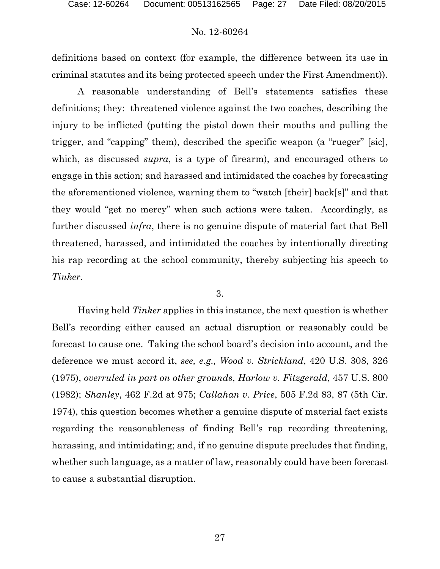definitions based on context (for example, the difference between its use in criminal statutes and its being protected speech under the First Amendment)).

A reasonable understanding of Bell's statements satisfies these definitions; they: threatened violence against the two coaches, describing the injury to be inflicted (putting the pistol down their mouths and pulling the trigger, and "capping" them), described the specific weapon (a "rueger" [sic], which, as discussed *supra*, is a type of firearm), and encouraged others to engage in this action; and harassed and intimidated the coaches by forecasting the aforementioned violence, warning them to "watch [their] back[s]" and that they would "get no mercy" when such actions were taken. Accordingly, as further discussed *infra*, there is no genuine dispute of material fact that Bell threatened, harassed, and intimidated the coaches by intentionally directing his rap recording at the school community, thereby subjecting his speech to *Tinker*.

#### 3.

Having held *Tinker* applies in this instance, the next question is whether Bell's recording either caused an actual disruption or reasonably could be forecast to cause one. Taking the school board's decision into account, and the deference we must accord it, *see, e.g., Wood v. Strickland*, 420 U.S. 308, 326 (1975), *overruled in part on other grounds*, *Harlow v. Fitzgerald*, 457 U.S. 800 (1982); *Shanley*, 462 F.2d at 975; *Callahan v. Price*, 505 F.2d 83, 87 (5th Cir. 1974), this question becomes whether a genuine dispute of material fact exists regarding the reasonableness of finding Bell's rap recording threatening, harassing, and intimidating; and, if no genuine dispute precludes that finding, whether such language, as a matter of law, reasonably could have been forecast to cause a substantial disruption.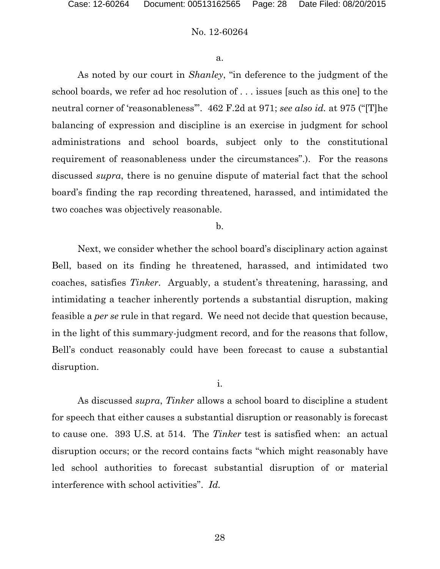#### a.

As noted by our court in *Shanley*, "in deference to the judgment of the school boards, we refer ad hoc resolution of . . . issues [such as this one] to the neutral corner of 'reasonableness'". 462 F.2d at 971; *see also id.* at 975 ("[T]he balancing of expression and discipline is an exercise in judgment for school administrations and school boards, subject only to the constitutional requirement of reasonableness under the circumstances".). For the reasons discussed *supra*, there is no genuine dispute of material fact that the school board's finding the rap recording threatened, harassed, and intimidated the two coaches was objectively reasonable.

#### b.

Next, we consider whether the school board's disciplinary action against Bell, based on its finding he threatened, harassed, and intimidated two coaches, satisfies *Tinker*. Arguably, a student's threatening, harassing, and intimidating a teacher inherently portends a substantial disruption, making feasible a *per se* rule in that regard. We need not decide that question because, in the light of this summary-judgment record, and for the reasons that follow, Bell's conduct reasonably could have been forecast to cause a substantial disruption.

i.

As discussed *supra*, *Tinker* allows a school board to discipline a student for speech that either causes a substantial disruption or reasonably is forecast to cause one. 393 U.S. at 514. The *Tinker* test is satisfied when: an actual disruption occurs; or the record contains facts "which might reasonably have led school authorities to forecast substantial disruption of or material interference with school activities". *Id.*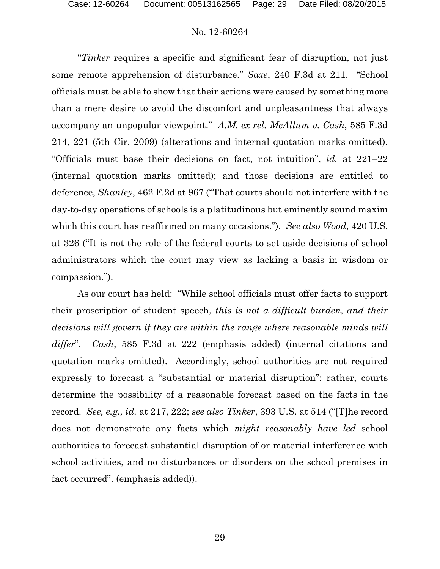"*Tinker* requires a specific and significant fear of disruption, not just some remote apprehension of disturbance." *Saxe*, 240 F.3d at 211. "School officials must be able to show that their actions were caused by something more than a mere desire to avoid the discomfort and unpleasantness that always accompany an unpopular viewpoint." *A.M. ex rel. McAllum v. Cash*, 585 F.3d 214, 221 (5th Cir. 2009) (alterations and internal quotation marks omitted). "Officials must base their decisions on fact, not intuition", *id.* at 221–22 (internal quotation marks omitted); and those decisions are entitled to deference, *Shanley*, 462 F.2d at 967 ("That courts should not interfere with the day-to-day operations of schools is a platitudinous but eminently sound maxim which this court has reaffirmed on many occasions."). *See also Wood*, 420 U.S. at 326 ("It is not the role of the federal courts to set aside decisions of school administrators which the court may view as lacking a basis in wisdom or compassion.").

As our court has held: "While school officials must offer facts to support their proscription of student speech, *this is not a difficult burden, and their decisions will govern if they are within the range where reasonable minds will differ*". *Cash*, 585 F.3d at 222 (emphasis added) (internal citations and quotation marks omitted). Accordingly, school authorities are not required expressly to forecast a "substantial or material disruption"; rather, courts determine the possibility of a reasonable forecast based on the facts in the record. *See, e.g., id.* at 217, 222; *see also Tinker*, 393 U.S. at 514 ("[T]he record does not demonstrate any facts which *might reasonably have led* school authorities to forecast substantial disruption of or material interference with school activities, and no disturbances or disorders on the school premises in fact occurred". (emphasis added)).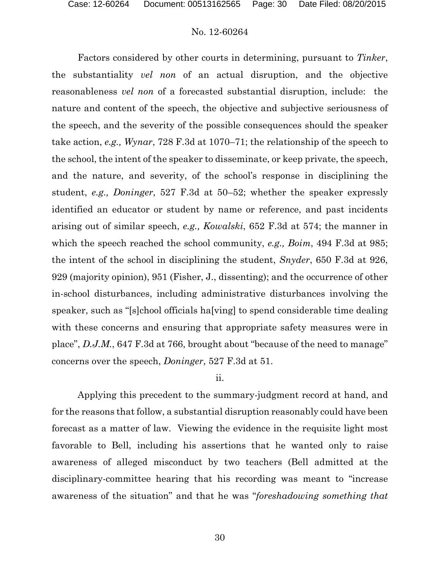Factors considered by other courts in determining, pursuant to *Tinker*, the substantiality *vel non* of an actual disruption, and the objective reasonableness *vel non* of a forecasted substantial disruption, include: the nature and content of the speech, the objective and subjective seriousness of the speech, and the severity of the possible consequences should the speaker take action, *e.g., Wynar*, 728 F.3d at 1070–71; the relationship of the speech to the school, the intent of the speaker to disseminate, or keep private, the speech, and the nature, and severity, of the school's response in disciplining the student, *e.g., Doninger*, 527 F.3d at 50–52; whether the speaker expressly identified an educator or student by name or reference, and past incidents arising out of similar speech, *e.g., Kowalski*, 652 F.3d at 574; the manner in which the speech reached the school community, *e.g., Boim*, 494 F.3d at 985; the intent of the school in disciplining the student, *Snyder*, 650 F.3d at 926, 929 (majority opinion), 951 (Fisher, J., dissenting); and the occurrence of other in-school disturbances, including administrative disturbances involving the speaker, such as "[s]chool officials ha[ving] to spend considerable time dealing with these concerns and ensuring that appropriate safety measures were in place", *D.J.M.*, 647 F.3d at 766, brought about "because of the need to manage" concerns over the speech, *Doninger*, 527 F.3d at 51.

#### ii.

Applying this precedent to the summary-judgment record at hand, and for the reasons that follow, a substantial disruption reasonably could have been forecast as a matter of law. Viewing the evidence in the requisite light most favorable to Bell, including his assertions that he wanted only to raise awareness of alleged misconduct by two teachers (Bell admitted at the disciplinary-committee hearing that his recording was meant to "increase awareness of the situation" and that he was "*foreshadowing something that*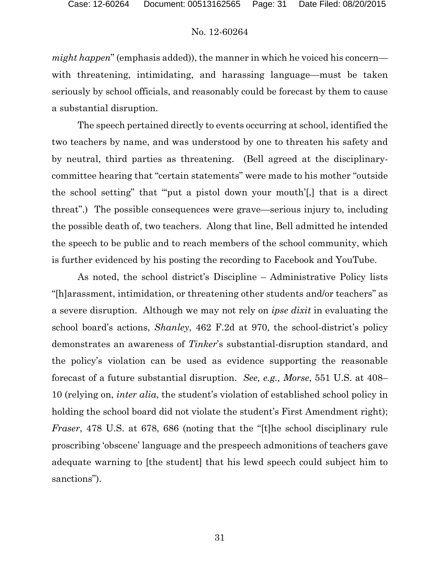*might happen*" (emphasis added)), the manner in which he voiced his concern with threatening, intimidating, and harassing language—must be taken seriously by school officials, and reasonably could be forecast by them to cause a substantial disruption.

The speech pertained directly to events occurring at school, identified the two teachers by name, and was understood by one to threaten his safety and by neutral, third parties as threatening. (Bell agreed at the disciplinarycommittee hearing that "certain statements" were made to his mother "outside the school setting" that "'put a pistol down your mouth'[,] that is a direct threat".) The possible consequences were grave—serious injury to, including the possible death of, two teachers. Along that line, Bell admitted he intended the speech to be public and to reach members of the school community, which is further evidenced by his posting the recording to Facebook and YouTube.

As noted, the school district's Discipline – Administrative Policy lists "[h]arassment, intimidation, or threatening other students and/or teachers" as a severe disruption. Although we may not rely on *ipse dixit* in evaluating the school board's actions, *Shanley*, 462 F.2d at 970, the school-district's policy demonstrates an awareness of *Tinker*'s substantial-disruption standard, and the policy's violation can be used as evidence supporting the reasonable forecast of a future substantial disruption. *See, e.g., Morse*, 551 U.S. at 408– 10 (relying on, *inter alia*, the student's violation of established school policy in holding the school board did not violate the student's First Amendment right); *Fraser*, 478 U.S. at 678, 686 (noting that the "[t]he school disciplinary rule proscribing 'obscene' language and the prespeech admonitions of teachers gave adequate warning to [the student] that his lewd speech could subject him to sanctions").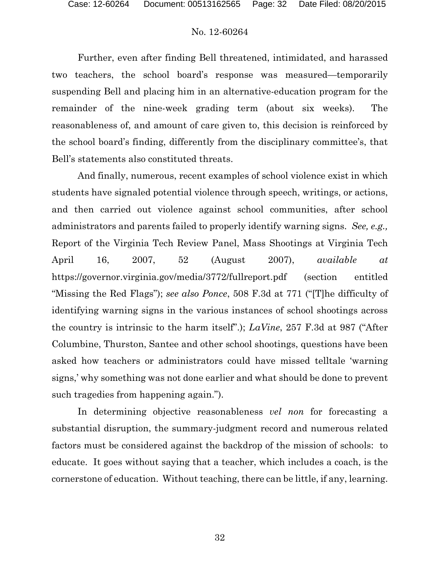Further, even after finding Bell threatened, intimidated, and harassed two teachers, the school board's response was measured—temporarily suspending Bell and placing him in an alternative-education program for the remainder of the nine-week grading term (about six weeks). The reasonableness of, and amount of care given to, this decision is reinforced by the school board's finding, differently from the disciplinary committee's, that Bell's statements also constituted threats.

And finally, numerous, recent examples of school violence exist in which students have signaled potential violence through speech, writings, or actions, and then carried out violence against school communities, after school administrators and parents failed to properly identify warning signs. *See, e.g.,*  Report of the Virginia Tech Review Panel, Mass Shootings at Virginia Tech April 16, 2007, 52 (August 2007), *available at* https://governor.virginia.gov/media/3772/fullreport.pdf (section entitled "Missing the Red Flags"); *see also Ponce*, 508 F.3d at 771 ("[T]he difficulty of identifying warning signs in the various instances of school shootings across the country is intrinsic to the harm itself".); *LaVine*, 257 F.3d at 987 ("After Columbine, Thurston, Santee and other school shootings, questions have been asked how teachers or administrators could have missed telltale 'warning signs,' why something was not done earlier and what should be done to prevent such tragedies from happening again.").

In determining objective reasonableness *vel non* for forecasting a substantial disruption, the summary-judgment record and numerous related factors must be considered against the backdrop of the mission of schools: to educate. It goes without saying that a teacher, which includes a coach, is the cornerstone of education. Without teaching, there can be little, if any, learning.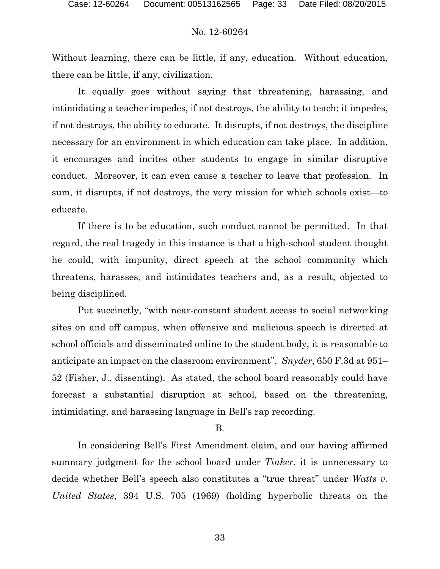Without learning, there can be little, if any, education. Without education, there can be little, if any, civilization.

It equally goes without saying that threatening, harassing, and intimidating a teacher impedes, if not destroys, the ability to teach; it impedes, if not destroys, the ability to educate. It disrupts, if not destroys, the discipline necessary for an environment in which education can take place. In addition, it encourages and incites other students to engage in similar disruptive conduct. Moreover, it can even cause a teacher to leave that profession. In sum, it disrupts, if not destroys, the very mission for which schools exist—to educate.

If there is to be education, such conduct cannot be permitted. In that regard, the real tragedy in this instance is that a high-school student thought he could, with impunity, direct speech at the school community which threatens, harasses, and intimidates teachers and, as a result, objected to being disciplined.

Put succinctly, "with near-constant student access to social networking sites on and off campus, when offensive and malicious speech is directed at school officials and disseminated online to the student body, it is reasonable to anticipate an impact on the classroom environment". *Snyder*, 650 F.3d at 951– 52 (Fisher, J., dissenting). As stated, the school board reasonably could have forecast a substantial disruption at school, based on the threatening, intimidating, and harassing language in Bell's rap recording.

#### B.

In considering Bell's First Amendment claim, and our having affirmed summary judgment for the school board under *Tinker*, it is unnecessary to decide whether Bell's speech also constitutes a "true threat" under *Watts v. United States*, 394 U.S. 705 (1969) (holding hyperbolic threats on the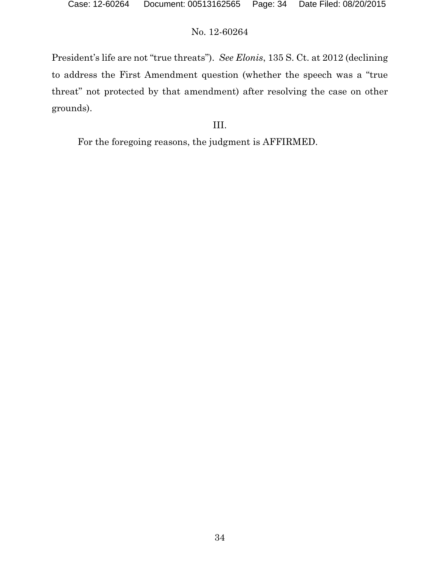President's life are not "true threats"). *See Elonis*, 135 S. Ct. at 2012 (declining to address the First Amendment question (whether the speech was a "true threat" not protected by that amendment) after resolving the case on other grounds).

# III.

For the foregoing reasons, the judgment is AFFIRMED.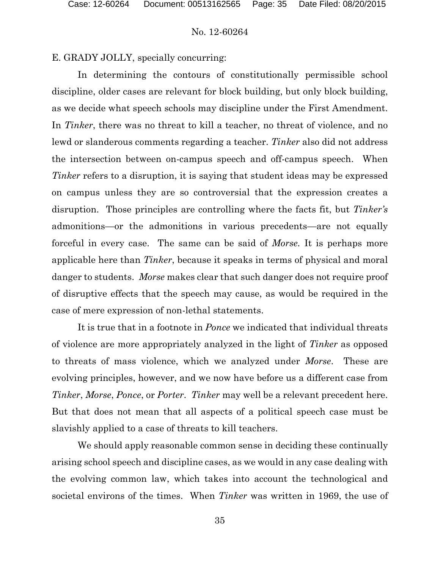E. GRADY JOLLY, specially concurring:

In determining the contours of constitutionally permissible school discipline, older cases are relevant for block building, but only block building, as we decide what speech schools may discipline under the First Amendment. In *Tinker*, there was no threat to kill a teacher, no threat of violence, and no lewd or slanderous comments regarding a teacher. *Tinker* also did not address the intersection between on-campus speech and off-campus speech. When *Tinker* refers to a disruption, it is saying that student ideas may be expressed on campus unless they are so controversial that the expression creates a disruption. Those principles are controlling where the facts fit, but *Tinker's* admonitions—or the admonitions in various precedents—are not equally forceful in every case. The same can be said of *Morse.* It is perhaps more applicable here than *Tinker*, because it speaks in terms of physical and moral danger to students. *Morse* makes clear that such danger does not require proof of disruptive effects that the speech may cause, as would be required in the case of mere expression of non-lethal statements.

It is true that in a footnote in *Ponce* we indicated that individual threats of violence are more appropriately analyzed in the light of *Tinker* as opposed to threats of mass violence, which we analyzed under *Morse*. These are evolving principles, however, and we now have before us a different case from *Tinker*, *Morse*, *Ponce*, or *Porter*. *Tinker* may well be a relevant precedent here. But that does not mean that all aspects of a political speech case must be slavishly applied to a case of threats to kill teachers.

We should apply reasonable common sense in deciding these continually arising school speech and discipline cases, as we would in any case dealing with the evolving common law, which takes into account the technological and societal environs of the times. When *Tinker* was written in 1969, the use of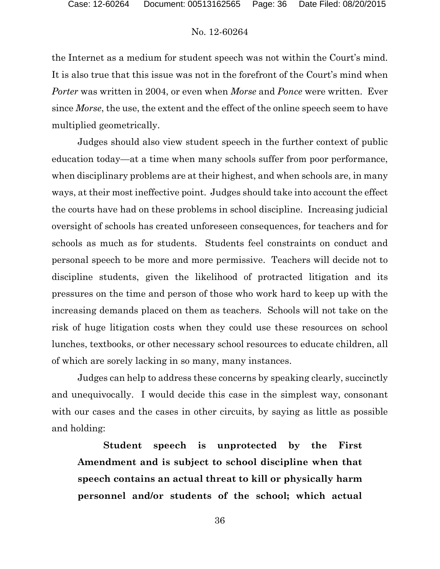the Internet as a medium for student speech was not within the Court's mind. It is also true that this issue was not in the forefront of the Court's mind when *Porter* was written in 2004, or even when *Morse* and *Ponce* were written. Ever since *Morse*, the use, the extent and the effect of the online speech seem to have multiplied geometrically.

Judges should also view student speech in the further context of public education today—at a time when many schools suffer from poor performance, when disciplinary problems are at their highest, and when schools are, in many ways, at their most ineffective point. Judges should take into account the effect the courts have had on these problems in school discipline. Increasing judicial oversight of schools has created unforeseen consequences, for teachers and for schools as much as for students. Students feel constraints on conduct and personal speech to be more and more permissive. Teachers will decide not to discipline students, given the likelihood of protracted litigation and its pressures on the time and person of those who work hard to keep up with the increasing demands placed on them as teachers. Schools will not take on the risk of huge litigation costs when they could use these resources on school lunches, textbooks, or other necessary school resources to educate children, all of which are sorely lacking in so many, many instances.

Judges can help to address these concerns by speaking clearly, succinctly and unequivocally. I would decide this case in the simplest way, consonant with our cases and the cases in other circuits, by saying as little as possible and holding:

**Student speech is unprotected by the First Amendment and is subject to school discipline when that speech contains an actual threat to kill or physically harm personnel and/or students of the school; which actual**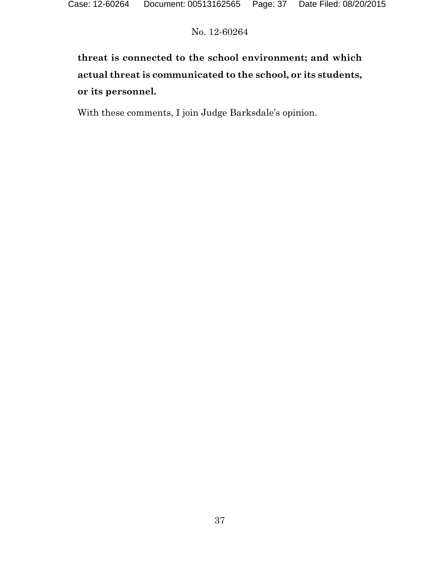# **threat is connected to the school environment; and which actual threat is communicated to the school, or its students, or its personnel.**

With these comments, I join Judge Barksdale's opinion.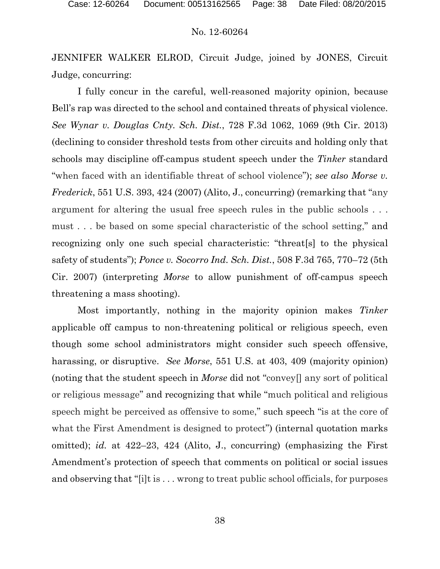JENNIFER WALKER ELROD, Circuit Judge, joined by JONES, Circuit Judge, concurring:

I fully concur in the careful, well-reasoned majority opinion, because Bell's rap was directed to the school and contained threats of physical violence. *See Wynar v. Douglas Cnty. Sch. Dist.*, 728 F.3d 1062, 1069 (9th Cir. 2013) (declining to consider threshold tests from other circuits and holding only that schools may discipline off-campus student speech under the *Tinker* standard "when faced with an identifiable threat of school violence"); *see also Morse v. Frederick*, 551 U.S. 393, 424 (2007) (Alito, J., concurring) (remarking that "any argument for altering the usual free speech rules in the public schools . . . must . . . be based on some special characteristic of the school setting," and recognizing only one such special characteristic: "threat[s] to the physical safety of students"); *Ponce v. Socorro Ind. Sch. Dist.*, 508 F.3d 765, 770–72 (5th Cir. 2007) (interpreting *Morse* to allow punishment of off-campus speech threatening a mass shooting).

Most importantly, nothing in the majority opinion makes *Tinker* applicable off campus to non-threatening political or religious speech, even though some school administrators might consider such speech offensive, harassing, or disruptive. *See Morse*, 551 U.S. at 403, 409 (majority opinion) (noting that the student speech in *Morse* did not "convey[] any sort of political or religious message" and recognizing that while "much political and religious speech might be perceived as offensive to some," such speech "is at the core of what the First Amendment is designed to protect") (internal quotation marks omitted); *id.* at 422–23, 424 (Alito, J., concurring) (emphasizing the First Amendment's protection of speech that comments on political or social issues and observing that "[i]t is . . . wrong to treat public school officials, for purposes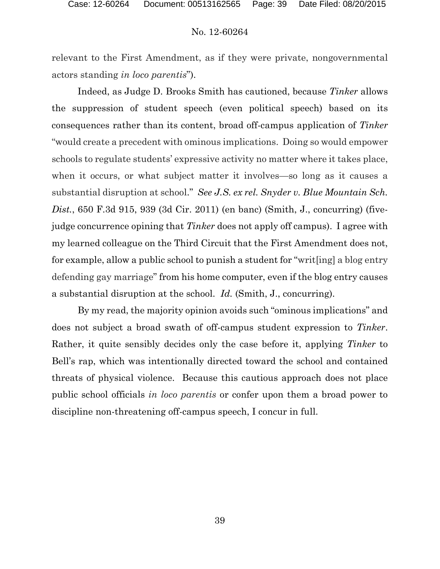relevant to the First Amendment, as if they were private, nongovernmental actors standing *in loco parentis*").

Indeed, as Judge D. Brooks Smith has cautioned, because *Tinker* allows the suppression of student speech (even political speech) based on its consequences rather than its content, broad off-campus application of *Tinker* "would create a precedent with ominous implications. Doing so would empower schools to regulate students' expressive activity no matter where it takes place, when it occurs, or what subject matter it involves—so long as it causes a substantial disruption at school." *See J.S. ex rel. Snyder v. Blue Mountain Sch. Dist.*, 650 F.3d 915, 939 (3d Cir. 2011) (en banc) (Smith, J., concurring) (fivejudge concurrence opining that *Tinker* does not apply off campus). I agree with my learned colleague on the Third Circuit that the First Amendment does not, for example, allow a public school to punish a student for "writ[ing] a blog entry defending gay marriage" from his home computer, even if the blog entry causes a substantial disruption at the school. *Id.* (Smith, J., concurring).

By my read, the majority opinion avoids such "ominous implications" and does not subject a broad swath of off-campus student expression to *Tinker*. Rather, it quite sensibly decides only the case before it, applying *Tinker* to Bell's rap, which was intentionally directed toward the school and contained threats of physical violence. Because this cautious approach does not place public school officials *in loco parentis* or confer upon them a broad power to discipline non-threatening off-campus speech, I concur in full.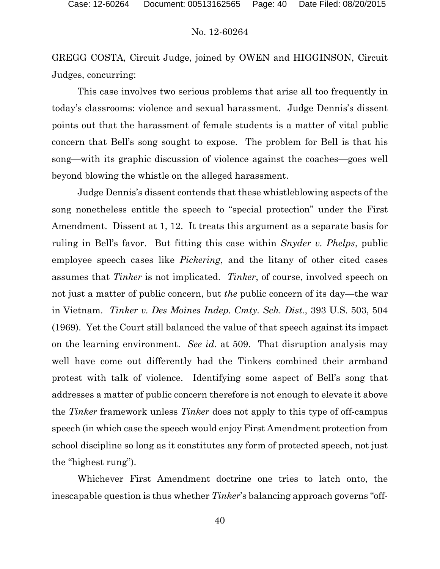GREGG COSTA, Circuit Judge, joined by OWEN and HIGGINSON, Circuit Judges, concurring:

This case involves two serious problems that arise all too frequently in today's classrooms: violence and sexual harassment. Judge Dennis's dissent points out that the harassment of female students is a matter of vital public concern that Bell's song sought to expose. The problem for Bell is that his song—with its graphic discussion of violence against the coaches—goes well beyond blowing the whistle on the alleged harassment.

Judge Dennis's dissent contends that these whistleblowing aspects of the song nonetheless entitle the speech to "special protection" under the First Amendment. Dissent at 1, 12. It treats this argument as a separate basis for ruling in Bell's favor. But fitting this case within *Snyder v. Phelps*, public employee speech cases like *Pickering*, and the litany of other cited cases assumes that *Tinker* is not implicated. *Tinker*, of course, involved speech on not just a matter of public concern, but *the* public concern of its day—the war in Vietnam. *Tinker v. Des Moines Indep. Cmty. Sch. Dist.*, 393 U.S. 503, 504 (1969). Yet the Court still balanced the value of that speech against its impact on the learning environment. *See id.* at 509.That disruption analysis may well have come out differently had the Tinkers combined their armband protest with talk of violence. Identifying some aspect of Bell's song that addresses a matter of public concern therefore is not enough to elevate it above the *Tinker* framework unless *Tinker* does not apply to this type of off-campus speech (in which case the speech would enjoy First Amendment protection from school discipline so long as it constitutes any form of protected speech, not just the "highest rung").

Whichever First Amendment doctrine one tries to latch onto, the inescapable question is thus whether *Tinker*'s balancing approach governs "off-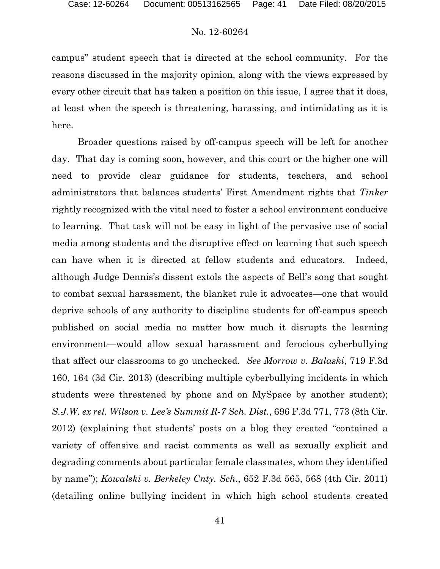campus" student speech that is directed at the school community. For the reasons discussed in the majority opinion, along with the views expressed by every other circuit that has taken a position on this issue, I agree that it does, at least when the speech is threatening, harassing, and intimidating as it is here.

Broader questions raised by off-campus speech will be left for another day. That day is coming soon, however, and this court or the higher one will need to provide clear guidance for students, teachers, and school administrators that balances students' First Amendment rights that *Tinker* rightly recognized with the vital need to foster a school environment conducive to learning. That task will not be easy in light of the pervasive use of social media among students and the disruptive effect on learning that such speech can have when it is directed at fellow students and educators. Indeed, although Judge Dennis's dissent extols the aspects of Bell's song that sought to combat sexual harassment, the blanket rule it advocates—one that would deprive schools of any authority to discipline students for off-campus speech published on social media no matter how much it disrupts the learning environment—would allow sexual harassment and ferocious cyberbullying that affect our classrooms to go unchecked. *See Morrow v. Balaski*, 719 F.3d 160, 164 (3d Cir. 2013) (describing multiple cyberbullying incidents in which students were threatened by phone and on MySpace by another student); *S.J.W. ex rel. Wilson v. Lee's Summit R-7 Sch. Dist.*, 696 F.3d 771, 773 (8th Cir. 2012) (explaining that students' posts on a blog they created "contained a variety of offensive and racist comments as well as sexually explicit and degrading comments about particular female classmates, whom they identified by name"); *Kowalski v. Berkeley Cnty. Sch.*, 652 F.3d 565, 568 (4th Cir. 2011) (detailing online bullying incident in which high school students created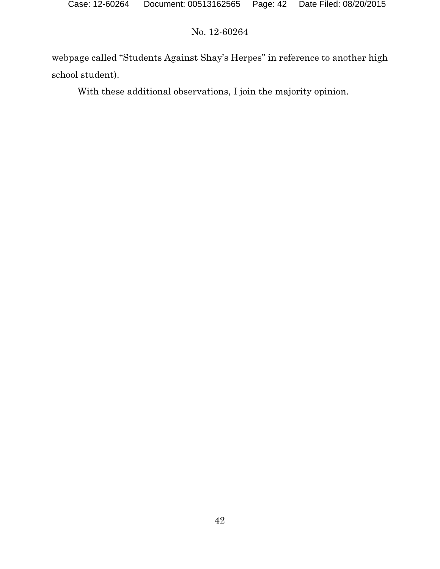webpage called "Students Against Shay's Herpes" in reference to another high school student).

With these additional observations, I join the majority opinion.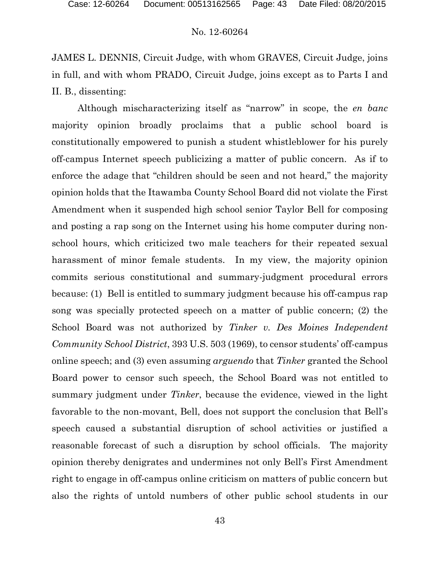JAMES L. DENNIS, Circuit Judge, with whom GRAVES, Circuit Judge, joins in full, and with whom PRADO, Circuit Judge, joins except as to Parts I and II. B., dissenting:

Although mischaracterizing itself as "narrow" in scope, the *en banc* majority opinion broadly proclaims that a public school board is constitutionally empowered to punish a student whistleblower for his purely off-campus Internet speech publicizing a matter of public concern. As if to enforce the adage that "children should be seen and not heard," the majority opinion holds that the Itawamba County School Board did not violate the First Amendment when it suspended high school senior Taylor Bell for composing and posting a rap song on the Internet using his home computer during nonschool hours, which criticized two male teachers for their repeated sexual harassment of minor female students. In my view, the majority opinion commits serious constitutional and summary-judgment procedural errors because: (1) Bell is entitled to summary judgment because his off-campus rap song was specially protected speech on a matter of public concern; (2) the School Board was not authorized by *Tinker v. Des Moines Independent Community School District*, 393 U.S. 503 (1969), to censor students' off-campus online speech; and (3) even assuming *arguendo* that *Tinker* granted the School Board power to censor such speech, the School Board was not entitled to summary judgment under *Tinker*, because the evidence, viewed in the light favorable to the non-movant, Bell, does not support the conclusion that Bell's speech caused a substantial disruption of school activities or justified a reasonable forecast of such a disruption by school officials. The majority opinion thereby denigrates and undermines not only Bell's First Amendment right to engage in off-campus online criticism on matters of public concern but also the rights of untold numbers of other public school students in our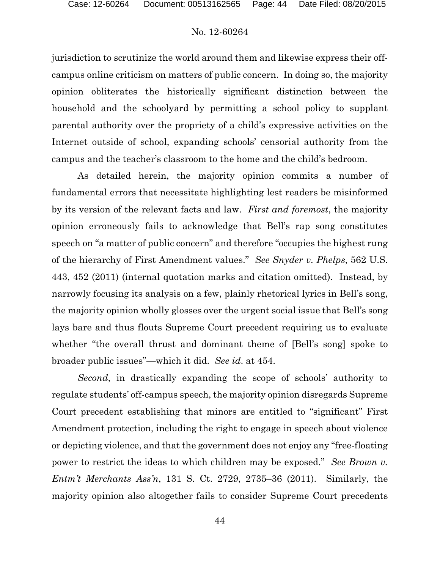jurisdiction to scrutinize the world around them and likewise express their offcampus online criticism on matters of public concern. In doing so, the majority opinion obliterates the historically significant distinction between the household and the schoolyard by permitting a school policy to supplant parental authority over the propriety of a child's expressive activities on the Internet outside of school, expanding schools' censorial authority from the campus and the teacher's classroom to the home and the child's bedroom.

As detailed herein, the majority opinion commits a number of fundamental errors that necessitate highlighting lest readers be misinformed by its version of the relevant facts and law. *First and foremost*, the majority opinion erroneously fails to acknowledge that Bell's rap song constitutes speech on "a matter of public concern" and therefore "occupies the highest rung of the hierarchy of First Amendment values." *See Snyder v. Phelps*, 562 U.S. 443, 452 (2011) (internal quotation marks and citation omitted). Instead, by narrowly focusing its analysis on a few, plainly rhetorical lyrics in Bell's song, the majority opinion wholly glosses over the urgent social issue that Bell's song lays bare and thus flouts Supreme Court precedent requiring us to evaluate whether "the overall thrust and dominant theme of [Bell's song] spoke to broader public issues"—which it did. *See id*. at 454.

*Second*, in drastically expanding the scope of schools' authority to regulate students' off-campus speech, the majority opinion disregards Supreme Court precedent establishing that minors are entitled to "significant" First Amendment protection, including the right to engage in speech about violence or depicting violence, and that the government does not enjoy any "free-floating power to restrict the ideas to which children may be exposed." *See Brown v. Entm't Merchants Ass'n*, 131 S. Ct. 2729, 2735–36 (2011). Similarly, the majority opinion also altogether fails to consider Supreme Court precedents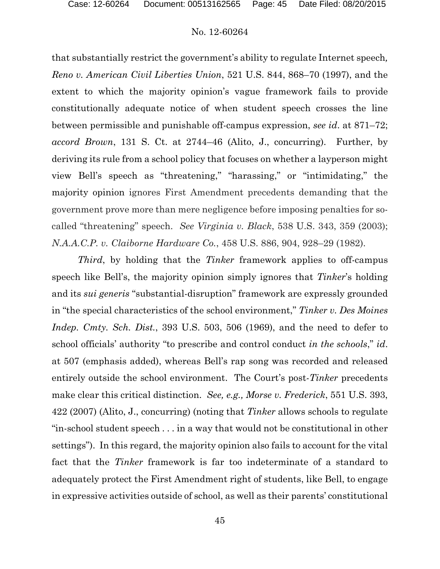that substantially restrict the government's ability to regulate Internet speech*, Reno v. American Civil Liberties Union*, 521 U.S. 844, 868–70 (1997), and the extent to which the majority opinion's vague framework fails to provide constitutionally adequate notice of when student speech crosses the line between permissible and punishable off-campus expression, *see id*. at 871–72; *accord Brown*, 131 S. Ct. at 2744–46 (Alito, J., concurring). Further, by deriving its rule from a school policy that focuses on whether a layperson might view Bell's speech as "threatening," "harassing," or "intimidating," the majority opinion ignores First Amendment precedents demanding that the government prove more than mere negligence before imposing penalties for socalled "threatening" speech. *See Virginia v. Black*, 538 U.S. 343, 359 (2003); *N.A.A.C.P. v. Claiborne Hardware Co.*, 458 U.S. 886, 904, 928–29 (1982).

*Third*, by holding that the *Tinker* framework applies to off-campus speech like Bell's, the majority opinion simply ignores that *Tinker*'s holding and its *sui generis* "substantial-disruption" framework are expressly grounded in "the special characteristics of the school environment," *Tinker v. Des Moines Indep. Cmty. Sch. Dist.*, 393 U.S. 503, 506 (1969), and the need to defer to school officials' authority "to prescribe and control conduct *in the schools*," *id*. at 507 (emphasis added), whereas Bell's rap song was recorded and released entirely outside the school environment. The Court's post-*Tinker* precedents make clear this critical distinction. *See, e.g., Morse v. Frederick*, 551 U.S. 393, 422 (2007) (Alito, J., concurring) (noting that *Tinker* allows schools to regulate "in-school student speech . . . in a way that would not be constitutional in other settings"). In this regard, the majority opinion also fails to account for the vital fact that the *Tinker* framework is far too indeterminate of a standard to adequately protect the First Amendment right of students, like Bell, to engage in expressive activities outside of school, as well as their parents' constitutional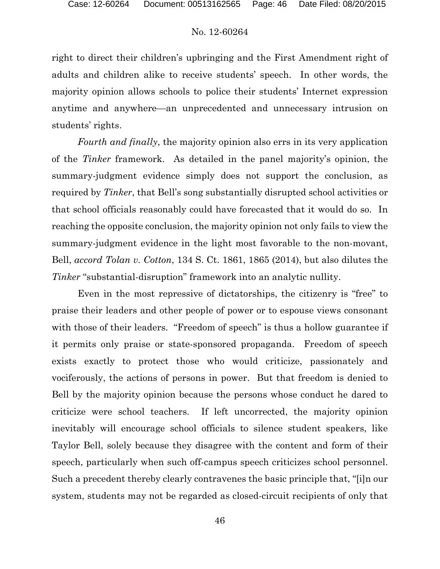right to direct their children's upbringing and the First Amendment right of adults and children alike to receive students' speech. In other words, the majority opinion allows schools to police their students' Internet expression anytime and anywhere—an unprecedented and unnecessary intrusion on students' rights.

*Fourth and finally*, the majority opinion also errs in its very application of the *Tinker* framework. As detailed in the panel majority's opinion, the summary-judgment evidence simply does not support the conclusion, as required by *Tinker*, that Bell's song substantially disrupted school activities or that school officials reasonably could have forecasted that it would do so. In reaching the opposite conclusion, the majority opinion not only fails to view the summary-judgment evidence in the light most favorable to the non-movant, Bell, *accord Tolan v. Cotton*, 134 S. Ct. 1861, 1865 (2014), but also dilutes the *Tinker* "substantial-disruption" framework into an analytic nullity.

Even in the most repressive of dictatorships, the citizenry is "free" to praise their leaders and other people of power or to espouse views consonant with those of their leaders. "Freedom of speech" is thus a hollow guarantee if it permits only praise or state-sponsored propaganda. Freedom of speech exists exactly to protect those who would criticize, passionately and vociferously, the actions of persons in power. But that freedom is denied to Bell by the majority opinion because the persons whose conduct he dared to criticize were school teachers. If left uncorrected, the majority opinion inevitably will encourage school officials to silence student speakers, like Taylor Bell, solely because they disagree with the content and form of their speech, particularly when such off-campus speech criticizes school personnel. Such a precedent thereby clearly contravenes the basic principle that, "[i]n our system, students may not be regarded as closed-circuit recipients of only that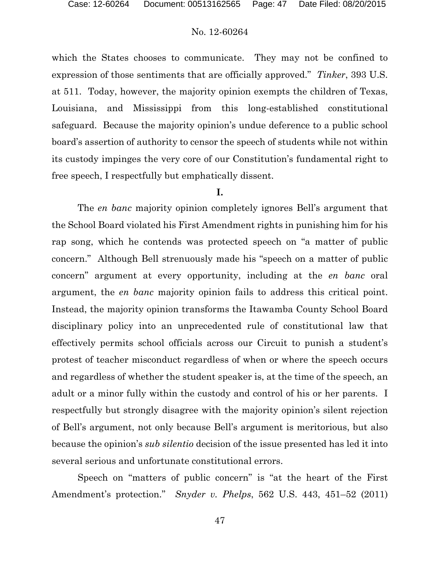which the States chooses to communicate. They may not be confined to expression of those sentiments that are officially approved." *Tinker*, 393 U.S. at 511. Today, however, the majority opinion exempts the children of Texas, Louisiana, and Mississippi from this long-established constitutional safeguard. Because the majority opinion's undue deference to a public school board's assertion of authority to censor the speech of students while not within its custody impinges the very core of our Constitution's fundamental right to free speech, I respectfully but emphatically dissent.

## **I.**

The *en banc* majority opinion completely ignores Bell's argument that the School Board violated his First Amendment rights in punishing him for his rap song, which he contends was protected speech on "a matter of public concern." Although Bell strenuously made his "speech on a matter of public concern" argument at every opportunity, including at the *en banc* oral argument, the *en banc* majority opinion fails to address this critical point. Instead, the majority opinion transforms the Itawamba County School Board disciplinary policy into an unprecedented rule of constitutional law that effectively permits school officials across our Circuit to punish a student's protest of teacher misconduct regardless of when or where the speech occurs and regardless of whether the student speaker is, at the time of the speech, an adult or a minor fully within the custody and control of his or her parents. I respectfully but strongly disagree with the majority opinion's silent rejection of Bell's argument, not only because Bell's argument is meritorious, but also because the opinion's *sub silentio* decision of the issue presented has led it into several serious and unfortunate constitutional errors.

Speech on "matters of public concern" is "at the heart of the First Amendment's protection." *Snyder v. Phelps*, 562 U.S. 443, 451–52 (2011)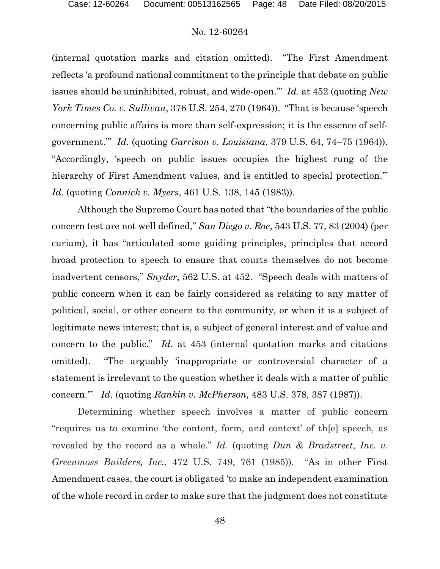(internal quotation marks and citation omitted). "The First Amendment reflects 'a profound national commitment to the principle that debate on public issues should be uninhibited, robust, and wide-open.'" *Id*. at 452 (quoting *New York Times Co. v. Sullivan*, 376 U.S. 254, 270 (1964)). "That is because 'speech concerning public affairs is more than self-expression; it is the essence of selfgovernment.'" *Id*. (quoting *Garrison v. Louisiana*, 379 U.S. 64, 74–75 (1964)). "Accordingly, 'speech on public issues occupies the highest rung of the hierarchy of First Amendment values, and is entitled to special protection." *Id*. (quoting *Connick v. Myers*, 461 U.S. 138, 145 (1983)).

Although the Supreme Court has noted that "the boundaries of the public concern test are not well defined," *San Diego v. Roe*, 543 U.S. 77, 83 (2004) (per curiam), it has "articulated some guiding principles, principles that accord broad protection to speech to ensure that courts themselves do not become inadvertent censors," *Snyder*, 562 U.S. at 452. "Speech deals with matters of public concern when it can be fairly considered as relating to any matter of political, social, or other concern to the community, or when it is a subject of legitimate news interest; that is, a subject of general interest and of value and concern to the public." *Id*. at 453 (internal quotation marks and citations omitted). "The arguably 'inappropriate or controversial character of a statement is irrelevant to the question whether it deals with a matter of public concern.'" *Id*. (quoting *Rankin v. McPherson*, 483 U.S. 378, 387 (1987)).

Determining whether speech involves a matter of public concern "requires us to examine 'the content, form, and context' of th[e] speech, as revealed by the record as a whole." *Id*. (quoting *Dun & Bradstreet*, *Inc. v. Greenmoss Builders, Inc.*, 472 U.S. 749, 761 (1985)). "As in other First Amendment cases, the court is obligated 'to make an independent examination of the whole record in order to make sure that the judgment does not constitute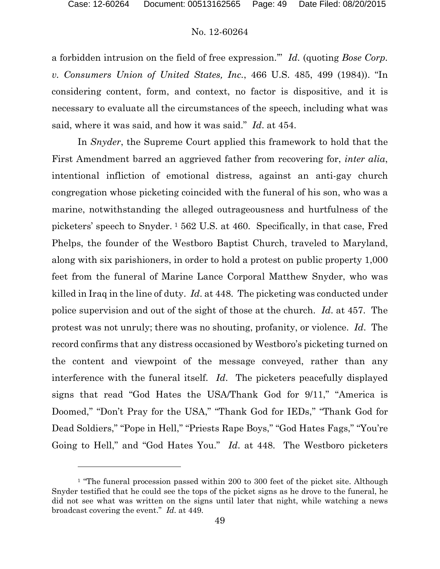l

# No. 12-60264

a forbidden intrusion on the field of free expression.'" *Id.* (quoting *Bose Corp. v. Consumers Union of United States, Inc.*, 466 U.S. 485, 499 (1984)). "In considering content, form, and context, no factor is dispositive, and it is necessary to evaluate all the circumstances of the speech, including what was said, where it was said, and how it was said." *Id*. at 454.

In *Snyder*, the Supreme Court applied this framework to hold that the First Amendment barred an aggrieved father from recovering for, *inter alia*, intentional infliction of emotional distress, against an anti-gay church congregation whose picketing coincided with the funeral of his son, who was a marine, notwithstanding the alleged outrageousness and hurtfulness of the picketers' speech to Snyder. [1](#page-48-0) 562 U.S. at 460. Specifically, in that case, Fred Phelps, the founder of the Westboro Baptist Church, traveled to Maryland, along with six parishioners, in order to hold a protest on public property 1,000 feet from the funeral of Marine Lance Corporal Matthew Snyder, who was killed in Iraq in the line of duty. *Id*. at 448. The picketing was conducted under police supervision and out of the sight of those at the church. *Id*. at 457. The protest was not unruly; there was no shouting, profanity, or violence. *Id*. The record confirms that any distress occasioned by Westboro's picketing turned on the content and viewpoint of the message conveyed, rather than any interference with the funeral itself. *Id*. The picketers peacefully displayed signs that read "God Hates the USA/Thank God for 9/11," "America is Doomed," "Don't Pray for the USA," "Thank God for IEDs," "Thank God for Dead Soldiers," "Pope in Hell," "Priests Rape Boys," "God Hates Fags," "You're Going to Hell," and "God Hates You." *Id*. at 448. The Westboro picketers

<span id="page-48-0"></span><sup>&</sup>lt;sup>1</sup> "The funeral procession passed within 200 to 300 feet of the picket site. Although Snyder testified that he could see the tops of the picket signs as he drove to the funeral, he did not see what was written on the signs until later that night, while watching a news broadcast covering the event." *Id*. at 449.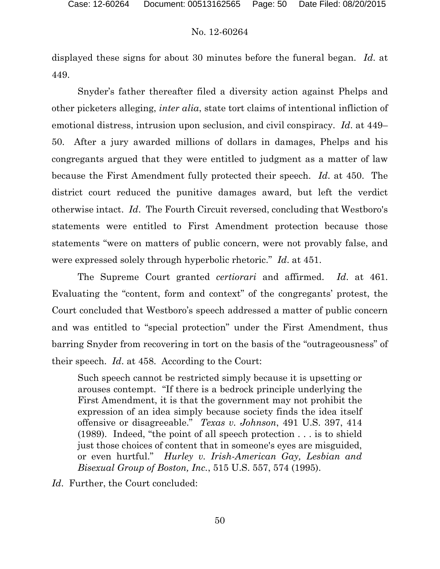displayed these signs for about 30 minutes before the funeral began. *Id*. at 449.

Snyder's father thereafter filed a diversity action against Phelps and other picketers alleging, *inter alia*, state tort claims of intentional infliction of emotional distress, intrusion upon seclusion, and civil conspiracy. *Id*. at 449– 50. After a jury awarded millions of dollars in damages, Phelps and his congregants argued that they were entitled to judgment as a matter of law because the First Amendment fully protected their speech. *Id*. at 450. The district court reduced the punitive damages award, but left the verdict otherwise intact. *Id*. The Fourth Circuit reversed, concluding that Westboro's statements were entitled to First Amendment protection because those statements "were on matters of public concern, were not provably false, and were expressed solely through hyperbolic rhetoric." *Id*. at 451.

The Supreme Court granted *certiorari* and affirmed. *Id*. at 461. Evaluating the "content, form and context" of the congregants' protest, the Court concluded that Westboro's speech addressed a matter of public concern and was entitled to "special protection" under the First Amendment, thus barring Snyder from recovering in tort on the basis of the "outrageousness" of their speech. *Id*. at 458. According to the Court:

Such speech cannot be restricted simply because it is upsetting or arouses contempt. "If there is a bedrock principle underlying the First Amendment, it is that the government may not prohibit the expression of an idea simply because society finds the idea itself offensive or disagreeable." *Texas v. Johnson*, 491 U.S. 397, 414 (1989). Indeed, "the point of all speech protection . . . is to shield just those choices of content that in someone's eyes are misguided, or even hurtful." *Hurley v. Irish-American Gay, Lesbian and Bisexual Group of Boston, Inc.*, 515 U.S. 557, 574 (1995).

*Id.* Further, the Court concluded: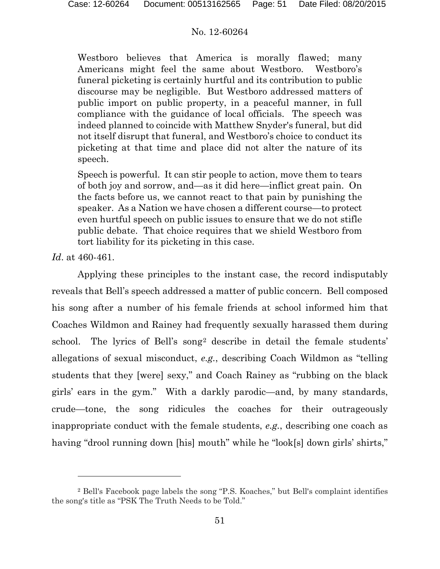Westboro believes that America is morally flawed; many Americans might feel the same about Westboro. Westboro's funeral picketing is certainly hurtful and its contribution to public discourse may be negligible. But Westboro addressed matters of public import on public property, in a peaceful manner, in full compliance with the guidance of local officials. The speech was indeed planned to coincide with Matthew Snyder's funeral, but did not itself disrupt that funeral, and Westboro's choice to conduct its picketing at that time and place did not alter the nature of its speech.

Speech is powerful. It can stir people to action, move them to tears of both joy and sorrow, and—as it did here—inflict great pain. On the facts before us, we cannot react to that pain by punishing the speaker. As a Nation we have chosen a different course—to protect even hurtful speech on public issues to ensure that we do not stifle public debate. That choice requires that we shield Westboro from tort liability for its picketing in this case.

*Id*. at 460-461.

 $\overline{a}$ 

Applying these principles to the instant case, the record indisputably reveals that Bell's speech addressed a matter of public concern. Bell composed his song after a number of his female friends at school informed him that Coaches Wildmon and Rainey had frequently sexually harassed them during school. The lyrics of Bell's song<sup>[2](#page-50-0)</sup> describe in detail the female students' allegations of sexual misconduct, *e.g.*, describing Coach Wildmon as "telling students that they [were] sexy," and Coach Rainey as "rubbing on the black girls' ears in the gym." With a darkly parodic—and, by many standards, crude—tone, the song ridicules the coaches for their outrageously inappropriate conduct with the female students, *e.g.*, describing one coach as having "drool running down [his] mouth" while he "look[s] down girls' shirts,"

<span id="page-50-0"></span><sup>2</sup> Bell's Facebook page labels the song "P.S. Koaches," but Bell's complaint identifies the song's title as "PSK The Truth Needs to be Told."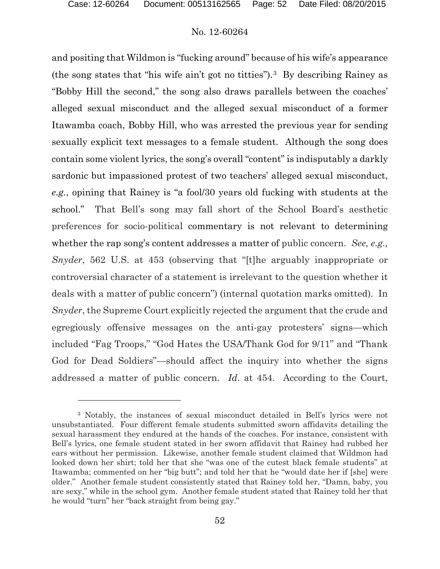# No. 12-60264

and positing that Wildmon is "fucking around" because of his wife's appearance (the song states that "his wife ain't got no titties").[3](#page-51-0) By describing Rainey as "Bobby Hill the second," the song also draws parallels between the coaches' alleged sexual misconduct and the alleged sexual misconduct of a former Itawamba coach, Bobby Hill, who was arrested the previous year for sending sexually explicit text messages to a female student. Although the song does contain some violent lyrics, the song's overall "content" is indisputably a darkly sardonic but impassioned protest of two teachers' alleged sexual misconduct, *e.g.*, opining that Rainey is "a fool/30 years old fucking with students at the school." That Bell's song may fall short of the School Board's aesthetic preferences for socio-political commentary is not relevant to determining whether the rap song's content addresses a matter of public concern. *See, e.g., Snyder*, 562 U.S. at 453 (observing that "[t]he arguably inappropriate or controversial character of a statement is irrelevant to the question whether it deals with a matter of public concern") (internal quotation marks omitted). In *Snyder*, the Supreme Court explicitly rejected the argument that the crude and egregiously offensive messages on the anti-gay protesters' signs—which included "Fag Troops," "God Hates the USA/Thank God for 9/11" and "Thank God for Dead Soldiers"—should affect the inquiry into whether the signs addressed a matter of public concern. *Id*. at 454. According to the Court,

<span id="page-51-0"></span><sup>3</sup> Notably, the instances of sexual misconduct detailed in Bell's lyrics were not unsubstantiated. Four different female students submitted sworn affidavits detailing the sexual harassment they endured at the hands of the coaches. For instance, consistent with Bell's lyrics, one female student stated in her sworn affidavit that Rainey had rubbed her ears without her permission. Likewise, another female student claimed that Wildmon had looked down her shirt; told her that she "was one of the cutest black female students" at Itawamba; commented on her "big butt"; and told her that he "would date her if [she] were older." Another female student consistently stated that Rainey told her, "Damn, baby, you are sexy," while in the school gym. Another female student stated that Rainey told her that he would "turn" her "back straight from being gay."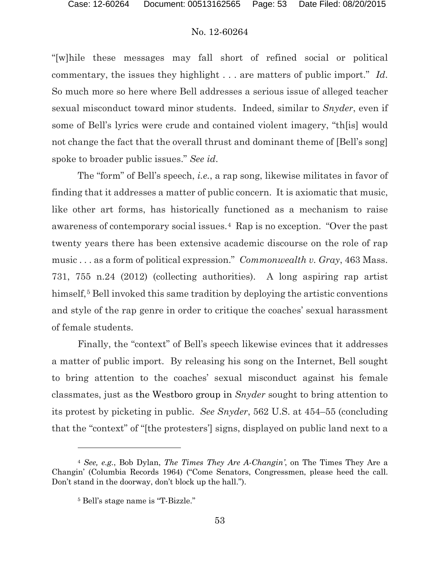"[w]hile these messages may fall short of refined social or political commentary, the issues they highlight . . . are matters of public import." *Id*. So much more so here where Bell addresses a serious issue of alleged teacher sexual misconduct toward minor students. Indeed, similar to *Snyder*, even if some of Bell's lyrics were crude and contained violent imagery, "th[is] would not change the fact that the overall thrust and dominant theme of [Bell's song] spoke to broader public issues." *See id*.

The "form" of Bell's speech, *i.e.*, a rap song, likewise militates in favor of finding that it addresses a matter of public concern. It is axiomatic that music, like other art forms, has historically functioned as a mechanism to raise awareness of contemporary social issues.[4](#page-52-0) Rap is no exception. "Over the past twenty years there has been extensive academic discourse on the role of rap music . . . as a form of political expression." *Commonwealth v. Gray*, 463 Mass. 731, 755 n.24 (2012) (collecting authorities). A long aspiring rap artist himself,<sup>[5](#page-52-1)</sup> Bell invoked this same tradition by deploying the artistic conventions and style of the rap genre in order to critique the coaches' sexual harassment of female students.

Finally, the "context" of Bell's speech likewise evinces that it addresses a matter of public import. By releasing his song on the Internet, Bell sought to bring attention to the coaches' sexual misconduct against his female classmates, just as the Westboro group in *Snyder* sought to bring attention to its protest by picketing in public. *See Snyder*, 562 U.S. at 454–55 (concluding that the "context" of "[the protesters'] signs, displayed on public land next to a

 $\overline{a}$ 

<span id="page-52-1"></span><span id="page-52-0"></span><sup>4</sup> *See, e.g.*, Bob Dylan, *The Times They Are A-Changin'*, on The Times They Are a Changin' (Columbia Records 1964) ("Come Senators, Congressmen, please heed the call. Don't stand in the doorway, don't block up the hall.").

<sup>5</sup> Bell's stage name is "T-Bizzle."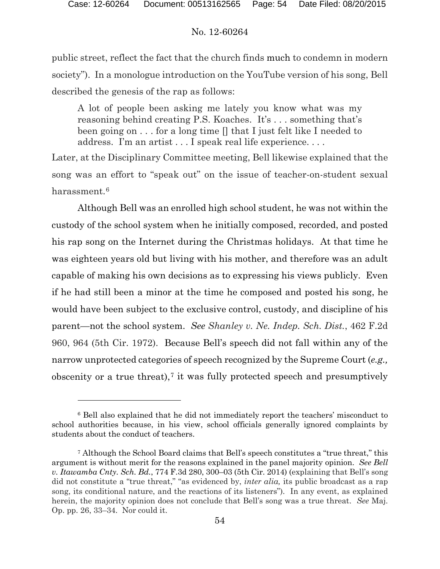# No. 12-60264

public street, reflect the fact that the church finds much to condemn in modern society"). In a monologue introduction on the YouTube version of his song, Bell described the genesis of the rap as follows:

A lot of people been asking me lately you know what was my reasoning behind creating P.S. Koaches. It's . . . something that's been going on . . . for a long time [] that I just felt like I needed to address. I'm an artist . . . I speak real life experience. . . .

Later, at the Disciplinary Committee meeting, Bell likewise explained that the song was an effort to "speak out" on the issue of teacher-on-student sexual harassment.[6](#page-53-0)

Although Bell was an enrolled high school student, he was not within the custody of the school system when he initially composed, recorded, and posted his rap song on the Internet during the Christmas holidays. At that time he was eighteen years old but living with his mother, and therefore was an adult capable of making his own decisions as to expressing his views publicly. Even if he had still been a minor at the time he composed and posted his song, he would have been subject to the exclusive control, custody, and discipline of his parent—not the school system. *See Shanley v. Ne. Indep. Sch. Dist.*, 462 F.2d 960, 964 (5th Cir. 1972). Because Bell's speech did not fall within any of the narrow unprotected categories of speech recognized by the Supreme Court (*e.g.,*  obscenity or a true threat),<sup> $7$ </sup> it was fully protected speech and presumptively

<span id="page-53-0"></span><sup>6</sup> Bell also explained that he did not immediately report the teachers' misconduct to school authorities because, in his view, school officials generally ignored complaints by students about the conduct of teachers.

<span id="page-53-1"></span><sup>7</sup> Although the School Board claims that Bell's speech constitutes a "true threat," this argument is without merit for the reasons explained in the panel majority opinion. *See Bell v. Itawamba Cnty. Sch. Bd.*, 774 F.3d 280, 300–03 (5th Cir. 2014) (explaining that Bell's song did not constitute a "true threat," "as evidenced by, *inter alia,* its public broadcast as a rap song, its conditional nature, and the reactions of its listeners"). In any event, as explained herein, the majority opinion does not conclude that Bell's song was a true threat. *See* Maj. Op. pp. 26, 33–34. Nor could it.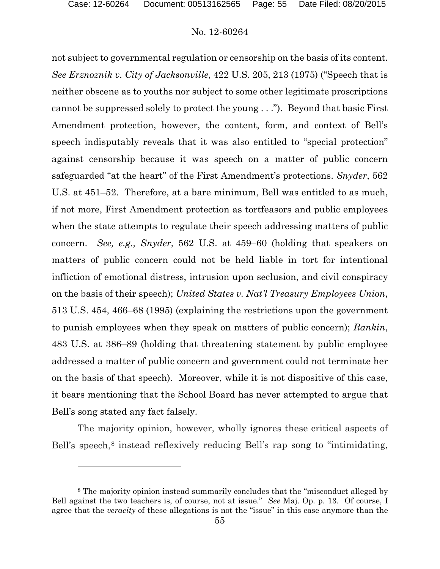l

# No. 12-60264

not subject to governmental regulation or censorship on the basis of its content. *See Erznoznik v. City of Jacksonville*, 422 U.S. 205, 213 (1975) ("Speech that is neither obscene as to youths nor subject to some other legitimate proscriptions cannot be suppressed solely to protect the young . . ."). Beyond that basic First Amendment protection, however, the content, form, and context of Bell's speech indisputably reveals that it was also entitled to "special protection" against censorship because it was speech on a matter of public concern safeguarded "at the heart" of the First Amendment's protections. *Snyder*, 562 U.S. at 451–52. Therefore, at a bare minimum, Bell was entitled to as much, if not more, First Amendment protection as tortfeasors and public employees when the state attempts to regulate their speech addressing matters of public concern. *See, e.g., Snyder*, 562 U.S. at 459–60 (holding that speakers on matters of public concern could not be held liable in tort for intentional infliction of emotional distress, intrusion upon seclusion, and civil conspiracy on the basis of their speech); *United States v. Nat'l Treasury Employees Union*, 513 U.S. 454, 466–68 (1995) (explaining the restrictions upon the government to punish employees when they speak on matters of public concern); *Rankin*, 483 U.S. at 386–89 (holding that threatening statement by public employee addressed a matter of public concern and government could not terminate her on the basis of that speech). Moreover, while it is not dispositive of this case, it bears mentioning that the School Board has never attempted to argue that Bell's song stated any fact falsely.

The majority opinion, however, wholly ignores these critical aspects of Bell's speech,<sup>[8](#page-54-0)</sup> instead reflexively reducing Bell's rap song to "intimidating,

<span id="page-54-0"></span><sup>8</sup> The majority opinion instead summarily concludes that the "misconduct alleged by Bell against the two teachers is, of course, not at issue." *See* Maj. Op. p. 13. Of course, I agree that the *veracity* of these allegations is not the "issue" in this case anymore than the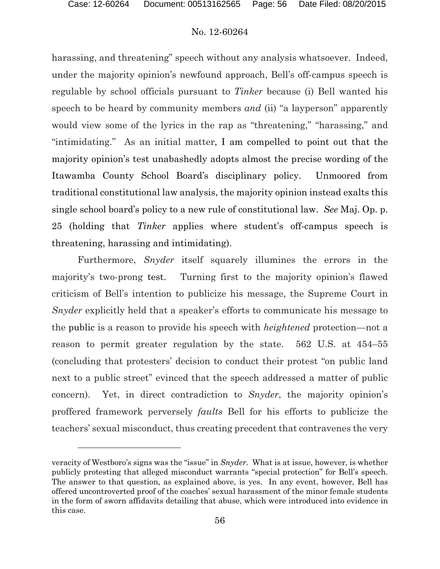# No. 12-60264

harassing, and threatening" speech without any analysis whatsoever. Indeed, under the majority opinion's newfound approach, Bell's off-campus speech is regulable by school officials pursuant to *Tinker* because (i) Bell wanted his speech to be heard by community members *and* (ii) "a layperson" apparently would view some of the lyrics in the rap as "threatening," "harassing," and "intimidating." As an initial matter, I am compelled to point out that the majority opinion's test unabashedly adopts almost the precise wording of the Itawamba County School Board's disciplinary policy. Unmoored from traditional constitutional law analysis, the majority opinion instead exalts this single school board's policy to a new rule of constitutional law. *See* Maj. Op. p. 25 (holding that *Tinker* applies where student's off-campus speech is threatening, harassing and intimidating).

Furthermore, *Snyder* itself squarely illumines the errors in the majority's two-prong test. Turning first to the majority opinion's flawed criticism of Bell's intention to publicize his message, the Supreme Court in *Snyder* explicitly held that a speaker's efforts to communicate his message to the public is a reason to provide his speech with *heightened* protection—not a reason to permit greater regulation by the state. 562 U.S. at 454–55 (concluding that protesters' decision to conduct their protest "on public land next to a public street" evinced that the speech addressed a matter of public concern). Yet, in direct contradiction to *Snyder*, the majority opinion's proffered framework perversely *faults* Bell for his efforts to publicize the teachers' sexual misconduct, thus creating precedent that contravenes the very

veracity of Westboro's signs was the "issue" in *Snyder*. What is at issue, however, is whether publicly protesting that alleged misconduct warrants "special protection" for Bell's speech. The answer to that question, as explained above, is yes. In any event, however, Bell has offered uncontroverted proof of the coaches' sexual harassment of the minor female students in the form of sworn affidavits detailing that abuse, which were introduced into evidence in this case.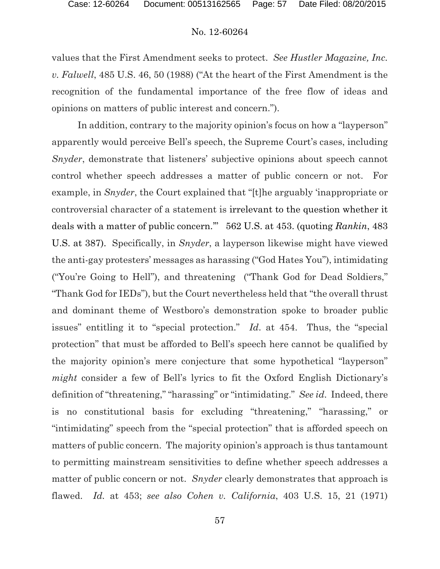values that the First Amendment seeks to protect. *See Hustler Magazine, Inc. v. Falwell*, 485 U.S. 46, 50 (1988) ("At the heart of the First Amendment is the recognition of the fundamental importance of the free flow of ideas and opinions on matters of public interest and concern.").

In addition, contrary to the majority opinion's focus on how a "layperson" apparently would perceive Bell's speech, the Supreme Court's cases, including *Snyder*, demonstrate that listeners' subjective opinions about speech cannot control whether speech addresses a matter of public concern or not. For example, in *Snyder*, the Court explained that "[t]he arguably 'inappropriate or controversial character of a statement is irrelevant to the question whether it deals with a matter of public concern.'" 562 U.S. at 453. (quoting *Rankin*, 483 U.S. at 387). Specifically, in *Snyder*, a layperson likewise might have viewed the anti-gay protesters' messages as harassing ("God Hates You"), intimidating ("You're Going to Hell"), and threatening ("Thank God for Dead Soldiers," "Thank God for IEDs"), but the Court nevertheless held that "the overall thrust and dominant theme of Westboro's demonstration spoke to broader public issues" entitling it to "special protection." *Id*. at 454. Thus, the "special protection" that must be afforded to Bell's speech here cannot be qualified by the majority opinion's mere conjecture that some hypothetical "layperson" *might* consider a few of Bell's lyrics to fit the Oxford English Dictionary's definition of "threatening," "harassing" or "intimidating." *See id*. Indeed, there is no constitutional basis for excluding "threatening," "harassing," or "intimidating" speech from the "special protection" that is afforded speech on matters of public concern. The majority opinion's approach is thus tantamount to permitting mainstream sensitivities to define whether speech addresses a matter of public concern or not. *Snyder* clearly demonstrates that approach is flawed. *Id.* at 453; *see also Cohen v. California*, 403 U.S. 15, 21 (1971)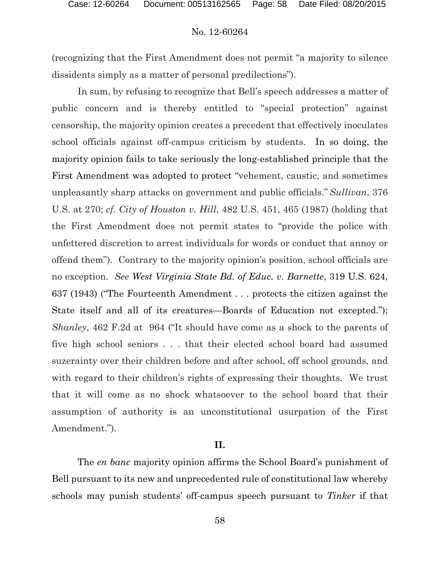(recognizing that the First Amendment does not permit "a majority to silence dissidents simply as a matter of personal predilections").

In sum, by refusing to recognize that Bell's speech addresses a matter of public concern and is thereby entitled to "special protection" against censorship, the majority opinion creates a precedent that effectively inoculates school officials against off-campus criticism by students. In so doing, the majority opinion fails to take seriously the long-established principle that the First Amendment was adopted to protect "vehement, caustic, and sometimes unpleasantly sharp attacks on government and public officials." *Sullivan*, 376 U.S. at 270; *cf. City of Houston v. Hill*, 482 U.S. 451, 465 (1987) (holding that the First Amendment does not permit states to "provide the police with unfettered discretion to arrest individuals for words or conduct that annoy or offend them"). Contrary to the majority opinion's position, school officials are no exception. *See West Virginia State Bd. of Educ. v. Barnette*, 319 U.S. 624, 637 (1943) ("The Fourteenth Amendment . . . protects the citizen against the State itself and all of its creatures—Boards of Education not excepted."); *Shanley*, 462 F.2d at 964 ("It should have come as a shock to the parents of five high school seniors . . . that their elected school board had assumed suzerainty over their children before and after school, off school grounds, and with regard to their children's rights of expressing their thoughts. We trust that it will come as no shock whatsoever to the school board that their assumption of authority is an unconstitutional usurpation of the First Amendment.").

# **II.**

The *en banc* majority opinion affirms the School Board's punishment of Bell pursuant to its new and unprecedented rule of constitutional law whereby schools may punish students' off-campus speech pursuant to *Tinker* if that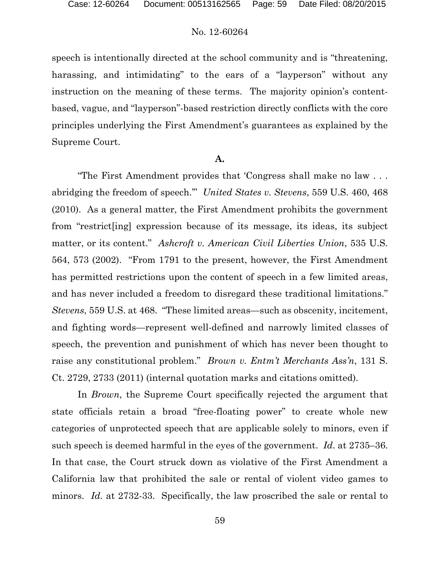speech is intentionally directed at the school community and is "threatening, harassing, and intimidating" to the ears of a "layperson" without any instruction on the meaning of these terms. The majority opinion's contentbased, vague, and "layperson"-based restriction directly conflicts with the core principles underlying the First Amendment's guarantees as explained by the Supreme Court.

# **A.**

"The First Amendment provides that 'Congress shall make no law . . . abridging the freedom of speech.'" *United States v. Stevens*, 559 U.S. 460, 468 (2010). As a general matter, the First Amendment prohibits the government from "restrict[ing] expression because of its message, its ideas, its subject matter, or its content." *Ashcroft v. American Civil Liberties Union*, 535 U.S. 564, 573 (2002). "From 1791 to the present, however, the First Amendment has permitted restrictions upon the content of speech in a few limited areas, and has never included a freedom to disregard these traditional limitations." *Stevens*, 559 U.S. at 468. "These limited areas—such as obscenity, incitement, and fighting words—represent well-defined and narrowly limited classes of speech, the prevention and punishment of which has never been thought to raise any constitutional problem." *Brown v. Entm't Merchants Ass'n*, 131 S. Ct. 2729, 2733 (2011) (internal quotation marks and citations omitted).

In *Brown*, the Supreme Court specifically rejected the argument that state officials retain a broad "free-floating power" to create whole new categories of unprotected speech that are applicable solely to minors, even if such speech is deemed harmful in the eyes of the government. *Id*. at 2735–36. In that case, the Court struck down as violative of the First Amendment a California law that prohibited the sale or rental of violent video games to minors. *Id.* at 2732-33. Specifically, the law proscribed the sale or rental to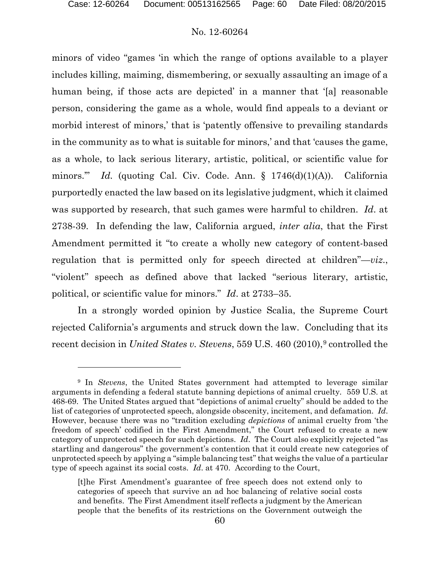# No. 12-60264

minors of video "games 'in which the range of options available to a player includes killing, maiming, dismembering, or sexually assaulting an image of a human being, if those acts are depicted' in a manner that '[a] reasonable person, considering the game as a whole, would find appeals to a deviant or morbid interest of minors,' that is 'patently offensive to prevailing standards in the community as to what is suitable for minors,' and that 'causes the game, as a whole, to lack serious literary, artistic, political, or scientific value for minors." *Id.* (quoting Cal. Civ. Code. Ann. § 1746(d)(1)(A)). California purportedly enacted the law based on its legislative judgment, which it claimed was supported by research, that such games were harmful to children. *Id*. at 2738-39. In defending the law, California argued, *inter alia*, that the First Amendment permitted it "to create a wholly new category of content-based regulation that is permitted only for speech directed at children"—*viz*., "violent" speech as defined above that lacked "serious literary, artistic, political, or scientific value for minors." *Id*. at 2733–35.

In a strongly worded opinion by Justice Scalia, the Supreme Court rejected California's arguments and struck down the law. Concluding that its recent decision in *United States v. Stevens*, 55[9](#page-59-0) U.S. 460 (2010),<sup>9</sup> controlled the

<span id="page-59-0"></span><sup>9</sup> In *Stevens*, the United States government had attempted to leverage similar arguments in defending a federal statute banning depictions of animal cruelty.559 U.S. at 468-69. The United States argued that "depictions of animal cruelty" should be added to the list of categories of unprotected speech, alongside obscenity, incitement, and defamation. *Id*. However, because there was no "tradition excluding *depictions* of animal cruelty from 'the freedom of speech' codified in the First Amendment," the Court refused to create a new category of unprotected speech for such depictions. *Id*. The Court also explicitly rejected "as startling and dangerous" the government's contention that it could create new categories of unprotected speech by applying a "simple balancing test" that weighs the value of a particular type of speech against its social costs. *Id*. at 470. According to the Court,

<sup>[</sup>t]he First Amendment's guarantee of free speech does not extend only to categories of speech that survive an ad hoc balancing of relative social costs and benefits. The First Amendment itself reflects a judgment by the American people that the benefits of its restrictions on the Government outweigh the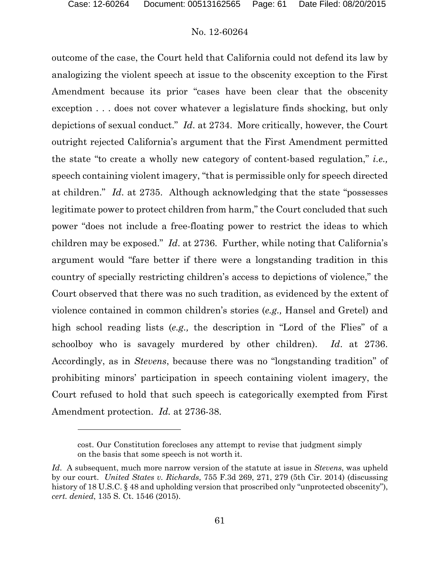l

# No. 12-60264

outcome of the case, the Court held that California could not defend its law by analogizing the violent speech at issue to the obscenity exception to the First Amendment because its prior "cases have been clear that the obscenity exception . . . does not cover whatever a legislature finds shocking, but only depictions of sexual conduct." *Id*. at 2734. More critically, however, the Court outright rejected California's argument that the First Amendment permitted the state "to create a wholly new category of content-based regulation," *i.e.,* speech containing violent imagery, "that is permissible only for speech directed at children." *Id*. at 2735. Although acknowledging that the state "possesses legitimate power to protect children from harm," the Court concluded that such power "does not include a free-floating power to restrict the ideas to which children may be exposed." *Id*. at 2736. Further, while noting that California's argument would "fare better if there were a longstanding tradition in this country of specially restricting children's access to depictions of violence," the Court observed that there was no such tradition, as evidenced by the extent of violence contained in common children's stories (*e.g.,* Hansel and Gretel) and high school reading lists (*e.g.,* the description in "Lord of the Flies" of a schoolboy who is savagely murdered by other children). *Id*. at 2736. Accordingly, as in *Stevens*, because there was no "longstanding tradition" of prohibiting minors' participation in speech containing violent imagery, the Court refused to hold that such speech is categorically exempted from First Amendment protection. *Id.* at 2736-38.

cost. Our Constitution forecloses any attempt to revise that judgment simply on the basis that some speech is not worth it.

*Id*. A subsequent, much more narrow version of the statute at issue in *Stevens*, was upheld by our court. *United States v. Richards*, 755 F.3d 269, 271, 279 (5th Cir. 2014) (discussing history of 18 U.S.C. § 48 and upholding version that proscribed only "unprotected obscenity"), *cert. denied*, 135 S. Ct. 1546 (2015).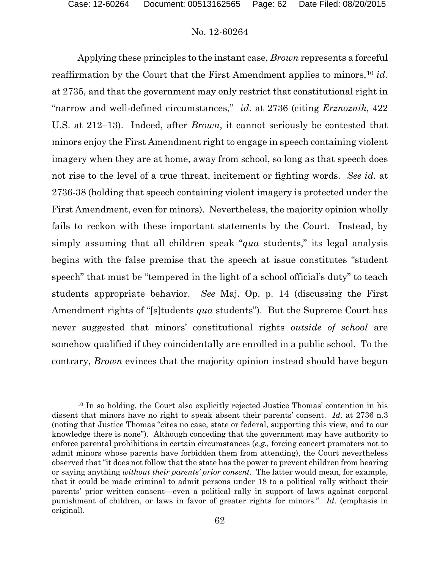# No. 12-60264

Applying these principles to the instant case, *Brown* represents a forceful reaffirmation by the Court that the First Amendment applies to minors,<sup>[10](#page-61-0)</sup> *id.* at 2735, and that the government may only restrict that constitutional right in "narrow and well-defined circumstances," *id*. at 2736 (citing *Erznoznik*, 422 U.S. at 212–13). Indeed, after *Brown*, it cannot seriously be contested that minors enjoy the First Amendment right to engage in speech containing violent imagery when they are at home, away from school, so long as that speech does not rise to the level of a true threat, incitement or fighting words. *See id.* at 2736-38 (holding that speech containing violent imagery is protected under the First Amendment, even for minors). Nevertheless, the majority opinion wholly fails to reckon with these important statements by the Court. Instead, by simply assuming that all children speak "*qua* students," its legal analysis begins with the false premise that the speech at issue constitutes "student speech" that must be "tempered in the light of a school official's duty" to teach students appropriate behavior. *See* Maj. Op. p. 14 (discussing the First Amendment rights of "[s]tudents *qua* students"). But the Supreme Court has never suggested that minors' constitutional rights *outside of school* are somehow qualified if they coincidentally are enrolled in a public school. To the contrary, *Brown* evinces that the majority opinion instead should have begun

<span id="page-61-0"></span><sup>10</sup> In so holding, the Court also explicitly rejected Justice Thomas' contention in his dissent that minors have no right to speak absent their parents' consent. *Id*. at 2736 n.3 (noting that Justice Thomas "cites no case, state or federal, supporting this view, and to our knowledge there is none"). Although conceding that the government may have authority to enforce parental prohibitions in certain circumstances (*e.g.,* forcing concert promoters not to admit minors whose parents have forbidden them from attending), the Court nevertheless observed that "it does not follow that the state has the power to prevent children from hearing or saying anything *without their parents' prior consent.* The latter would mean, for example, that it could be made criminal to admit persons under 18 to a political rally without their parents' prior written consent—even a political rally in support of laws against corporal punishment of children, or laws in favor of greater rights for minors." *Id*. (emphasis in original).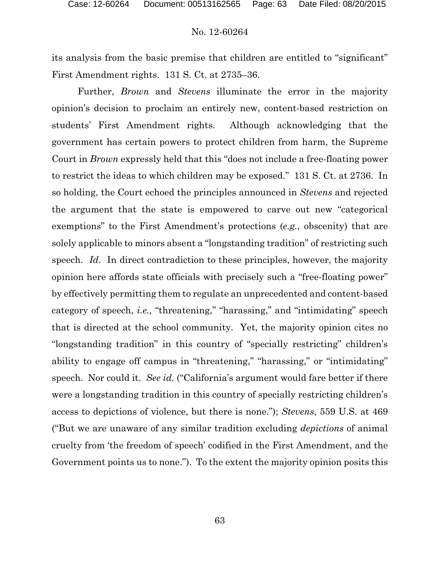its analysis from the basic premise that children are entitled to "significant" First Amendment rights. 131 S. Ct. at 2735–36.

Further, *Brown* and *Stevens* illuminate the error in the majority opinion's decision to proclaim an entirely new, content-based restriction on students' First Amendment rights. Although acknowledging that the government has certain powers to protect children from harm, the Supreme Court in *Brown* expressly held that this "does not include a free-floating power to restrict the ideas to which children may be exposed." 131 S. Ct. at 2736. In so holding, the Court echoed the principles announced in *Stevens* and rejected the argument that the state is empowered to carve out new "categorical exemptions" to the First Amendment's protections (*e.g.*, obscenity) that are solely applicable to minors absent a "longstanding tradition" of restricting such speech. *Id*. In direct contradiction to these principles, however, the majority opinion here affords state officials with precisely such a "free-floating power" by effectively permitting them to regulate an unprecedented and content-based category of speech, *i.e.,* "threatening," "harassing," and "intimidating" speech that is directed at the school community. Yet, the majority opinion cites no "longstanding tradition" in this country of "specially restricting" children's ability to engage off campus in "threatening," "harassing," or "intimidating" speech. Nor could it. *See id.* ("California's argument would fare better if there were a longstanding tradition in this country of specially restricting children's access to depictions of violence, but there is none."); *Stevens*, 559 U.S. at 469 ("But we are unaware of any similar tradition excluding *depictions* of animal cruelty from 'the freedom of speech' codified in the First Amendment, and the Government points us to none."). To the extent the majority opinion posits this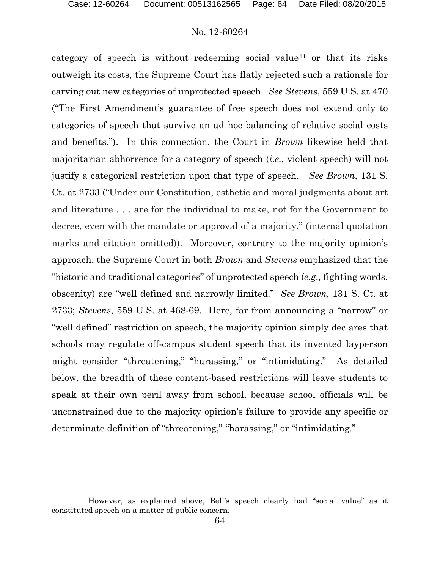### No. 12-60264

category of speech is without redeeming social value<sup>[11](#page-63-0)</sup> or that its risks outweigh its costs, the Supreme Court has flatly rejected such a rationale for carving out new categories of unprotected speech. *See Stevens*, 559 U.S. at 470 ("The First Amendment's guarantee of free speech does not extend only to categories of speech that survive an ad hoc balancing of relative social costs and benefits."). In this connection, the Court in *Brown* likewise held that majoritarian abhorrence for a category of speech (*i.e.,* violent speech) will not justify a categorical restriction upon that type of speech. *See Brown*, 131 S. Ct. at 2733 ("Under our Constitution, esthetic and moral judgments about art and literature . . . are for the individual to make, not for the Government to decree, even with the mandate or approval of a majority." (internal quotation marks and citation omitted)). Moreover, contrary to the majority opinion's approach, the Supreme Court in both *Brown* and *Stevens* emphasized that the "historic and traditional categories" of unprotected speech (*e.g.,* fighting words, obscenity) are "well defined and narrowly limited." *See Brown*, 131 S. Ct. at 2733; *Stevens*, 559 U.S. at 468-69. Here, far from announcing a "narrow" or "well defined" restriction on speech, the majority opinion simply declares that schools may regulate off-campus student speech that its invented layperson might consider "threatening," "harassing," or "intimidating." As detailed below, the breadth of these content-based restrictions will leave students to speak at their own peril away from school, because school officials will be unconstrained due to the majority opinion's failure to provide any specific or determinate definition of "threatening," "harassing," or "intimidating."

<span id="page-63-0"></span><sup>11</sup> However, as explained above, Bell's speech clearly had "social value" as it constituted speech on a matter of public concern.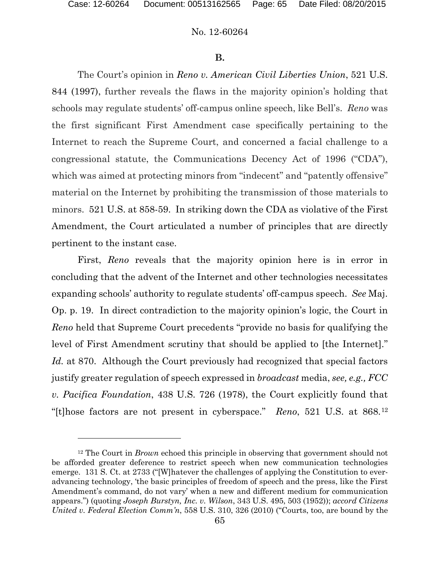l

# No. 12-60264

#### **B.**

The Court's opinion in *Reno v. American Civil Liberties Union*, 521 U.S. 844 (1997), further reveals the flaws in the majority opinion's holding that schools may regulate students' off-campus online speech, like Bell's. *Reno* was the first significant First Amendment case specifically pertaining to the Internet to reach the Supreme Court, and concerned a facial challenge to a congressional statute, the Communications Decency Act of 1996 ("CDA"), which was aimed at protecting minors from "indecent" and "patently offensive" material on the Internet by prohibiting the transmission of those materials to minors. 521 U.S. at 858-59. In striking down the CDA as violative of the First Amendment, the Court articulated a number of principles that are directly pertinent to the instant case.

First, *Reno* reveals that the majority opinion here is in error in concluding that the advent of the Internet and other technologies necessitates expanding schools' authority to regulate students' off-campus speech. *See* Maj. Op. p. 19. In direct contradiction to the majority opinion's logic, the Court in *Reno* held that Supreme Court precedents "provide no basis for qualifying the level of First Amendment scrutiny that should be applied to [the Internet]." *Id.* at 870. Although the Court previously had recognized that special factors justify greater regulation of speech expressed in *broadcast* media, *see, e.g., FCC v. Pacifica Foundation*, 438 U.S. 726 (1978), the Court explicitly found that "[t]hose factors are not present in cyberspace." *Reno*, 521 U.S. at 868.[12](#page-64-0)

<span id="page-64-0"></span><sup>12</sup> The Court in *Brown* echoed this principle in observing that government should not be afforded greater deference to restrict speech when new communication technologies emerge. 131 S. Ct. at 2733 ("[W]hatever the challenges of applying the Constitution to everadvancing technology, 'the basic principles of freedom of speech and the press, like the First Amendment's command, do not vary' when a new and different medium for communication appears.") (quoting *Joseph Burstyn, Inc. v. Wilson*, 343 U.S. 495, 503 (1952)); *accord Citizens United v. Federal Election Comm'n*, 558 U.S. 310, 326 (2010) ("Courts, too, are bound by the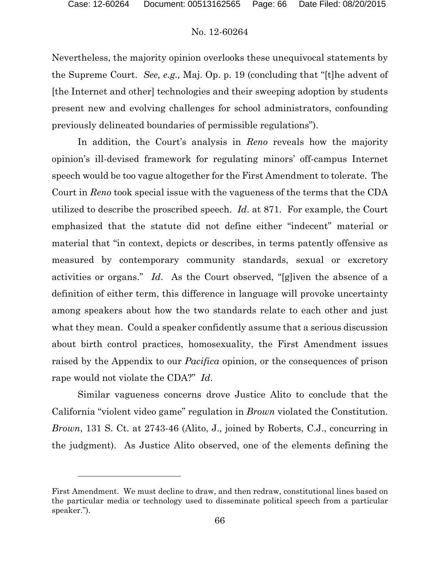### No. 12-60264

Nevertheless, the majority opinion overlooks these unequivocal statements by the Supreme Court. *See, e.g.,* Maj. Op. p. 19 (concluding that "[t]he advent of [the Internet and other] technologies and their sweeping adoption by students present new and evolving challenges for school administrators, confounding previously delineated boundaries of permissible regulations").

In addition, the Court's analysis in *Reno* reveals how the majority opinion's ill-devised framework for regulating minors' off-campus Internet speech would be too vague altogether for the First Amendment to tolerate. The Court in *Reno* took special issue with the vagueness of the terms that the CDA utilized to describe the proscribed speech. *Id*. at 871. For example, the Court emphasized that the statute did not define either "indecent" material or material that "in context, depicts or describes, in terms patently offensive as measured by contemporary community standards, sexual or excretory activities or organs." *Id*. As the Court observed, "[g]iven the absence of a definition of either term, this difference in language will provoke uncertainty among speakers about how the two standards relate to each other and just what they mean. Could a speaker confidently assume that a serious discussion about birth control practices, homosexuality, the First Amendment issues raised by the Appendix to our *Pacifica* opinion, or the consequences of prison rape would not violate the CDA?" *Id*.

Similar vagueness concerns drove Justice Alito to conclude that the California "violent video game" regulation in *Brown* violated the Constitution. *Brown*, 131 S. Ct. at 2743-46 (Alito, J., joined by Roberts, C.J., concurring in the judgment). As Justice Alito observed, one of the elements defining the

First Amendment. We must decline to draw, and then redraw, constitutional lines based on the particular media or technology used to disseminate political speech from a particular speaker.").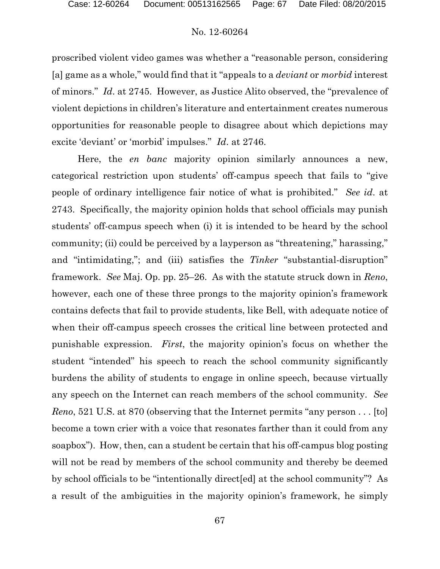proscribed violent video games was whether a "reasonable person, considering [a] game as a whole," would find that it "appeals to a *deviant* or *morbid* interest of minors." *Id*. at 2745. However, as Justice Alito observed, the "prevalence of violent depictions in children's literature and entertainment creates numerous opportunities for reasonable people to disagree about which depictions may excite 'deviant' or 'morbid' impulses." *Id*. at 2746.

Here, the *en banc* majority opinion similarly announces a new, categorical restriction upon students' off-campus speech that fails to "give people of ordinary intelligence fair notice of what is prohibited." *See id*. at 2743. Specifically, the majority opinion holds that school officials may punish students' off-campus speech when (i) it is intended to be heard by the school community; (ii) could be perceived by a layperson as "threatening," harassing," and "intimidating,"; and (iii) satisfies the *Tinker* "substantial-disruption" framework. *See* Maj. Op. pp. 25–26. As with the statute struck down in *Reno*, however, each one of these three prongs to the majority opinion's framework contains defects that fail to provide students, like Bell, with adequate notice of when their off-campus speech crosses the critical line between protected and punishable expression. *First*, the majority opinion's focus on whether the student "intended" his speech to reach the school community significantly burdens the ability of students to engage in online speech, because virtually any speech on the Internet can reach members of the school community. *See Reno*, 521 U.S. at 870 (observing that the Internet permits "any person . . . [to] become a town crier with a voice that resonates farther than it could from any soapbox"). How, then, can a student be certain that his off-campus blog posting will not be read by members of the school community and thereby be deemed by school officials to be "intentionally direct[ed] at the school community"? As a result of the ambiguities in the majority opinion's framework, he simply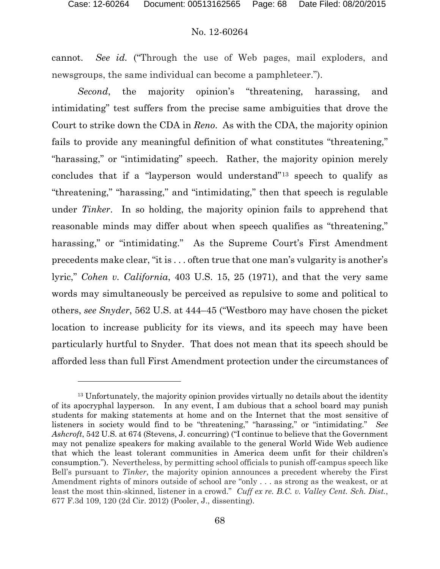# No. 12-60264

cannot. *See id.* ("Through the use of Web pages, mail exploders, and newsgroups, the same individual can become a pamphleteer.").

*Second*, the majority opinion's "threatening, harassing, and intimidating" test suffers from the precise same ambiguities that drove the Court to strike down the CDA in *Reno*. As with the CDA, the majority opinion fails to provide any meaningful definition of what constitutes "threatening," "harassing," or "intimidating" speech. Rather, the majority opinion merely concludes that if a "layperson would understand"[13](#page-67-0) speech to qualify as "threatening," "harassing," and "intimidating," then that speech is regulable under *Tinker*. In so holding, the majority opinion fails to apprehend that reasonable minds may differ about when speech qualifies as "threatening," harassing," or "intimidating." As the Supreme Court's First Amendment precedents make clear, "it is . . . often true that one man's vulgarity is another's lyric," *Cohen v. California*, 403 U.S. 15, 25 (1971), and that the very same words may simultaneously be perceived as repulsive to some and political to others, *see Snyder*, 562 U.S. at 444–45 ("Westboro may have chosen the picket location to increase publicity for its views, and its speech may have been particularly hurtful to Snyder. That does not mean that its speech should be afforded less than full First Amendment protection under the circumstances of

<span id="page-67-0"></span><sup>&</sup>lt;sup>13</sup> Unfortunately, the majority opinion provides virtually no details about the identity of its apocryphal layperson. In any event, I am dubious that a school board may punish students for making statements at home and on the Internet that the most sensitive of listeners in society would find to be "threatening," "harassing," or "intimidating." *See Ashcroft*, 542 U.S. at 674 (Stevens, J. concurring) ("I continue to believe that the Government may not penalize speakers for making available to the general World Wide Web audience that which the least tolerant communities in America deem unfit for their children's consumption."). Nevertheless, by permitting school officials to punish off-campus speech like Bell's pursuant to *Tinker*, the majority opinion announces a precedent whereby the First Amendment rights of minors outside of school are "only . . . as strong as the weakest, or at least the most thin-skinned, listener in a crowd." *Cuff ex re. B.C. v. Valley Cent. Sch. Dist.*, 677 F.3d 109, 120 (2d Cir. 2012) (Pooler, J., dissenting).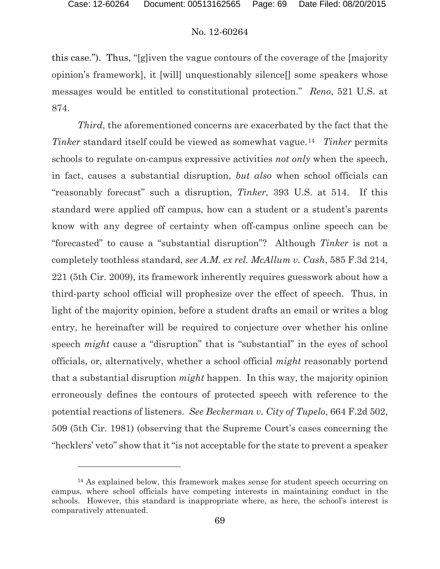l

# No. 12-60264

this case."). Thus, "[g]iven the vague contours of the coverage of the [majority opinion's framework], it [will] unquestionably silence[] some speakers whose messages would be entitled to constitutional protection." *Reno*, 521 U.S. at 874.

*Third*, the aforementioned concerns are exacerbated by the fact that the *Tinker* standard itself could be viewed as somewhat vague.[14](#page-68-0) *Tinker* permits schools to regulate on-campus expressive activities *not only* when the speech, in fact, causes a substantial disruption, *but also* when school officials can "reasonably forecast" such a disruption, *Tinker*, 393 U.S. at 514. If this standard were applied off campus, how can a student or a student's parents know with any degree of certainty when off-campus online speech can be "forecasted" to cause a "substantial disruption"? Although *Tinker* is not a completely toothless standard, *see A.M. ex rel. McAllum v. Cash*, 585 F.3d 214, 221 (5th Cir. 2009), its framework inherently requires guesswork about how a third-party school official will prophesize over the effect of speech. Thus, in light of the majority opinion, before a student drafts an email or writes a blog entry, he hereinafter will be required to conjecture over whether his online speech *might* cause a "disruption" that is "substantial" in the eyes of school officials, or, alternatively, whether a school official *might* reasonably portend that a substantial disruption *might* happen. In this way, the majority opinion erroneously defines the contours of protected speech with reference to the potential reactions of listeners. *See Beckerman v. City of Tupelo*, 664 F.2d 502, 509 (5th Cir. 1981) (observing that the Supreme Court's cases concerning the "hecklers' veto" show that it "is not acceptable for the state to prevent a speaker

<span id="page-68-0"></span><sup>&</sup>lt;sup>14</sup> As explained below, this framework makes sense for student speech occurring on campus, where school officials have competing interests in maintaining conduct in the schools. However, this standard is inappropriate where, as here, the school's interest is comparatively attenuated.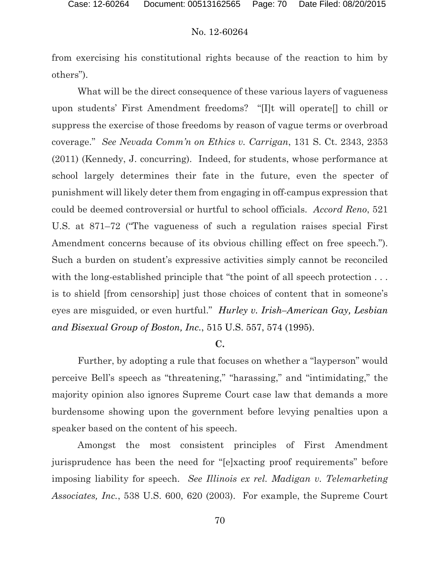from exercising his constitutional rights because of the reaction to him by others").

What will be the direct consequence of these various layers of vagueness upon students' First Amendment freedoms? "[I]t will operate[] to chill or suppress the exercise of those freedoms by reason of vague terms or overbroad coverage." *See Nevada Comm'n on Ethics v. Carrigan*, 131 S. Ct. 2343, 2353 (2011) (Kennedy, J. concurring). Indeed, for students, whose performance at school largely determines their fate in the future, even the specter of punishment will likely deter them from engaging in off-campus expression that could be deemed controversial or hurtful to school officials. *Accord Reno*, 521 U.S. at 871–72 ("The vagueness of such a regulation raises special First Amendment concerns because of its obvious chilling effect on free speech."). Such a burden on student's expressive activities simply cannot be reconciled with the long-established principle that "the point of all speech protection . . . is to shield [from censorship] just those choices of content that in someone's eyes are misguided, or even hurtful." *Hurley v. Irish–American Gay, Lesbian and Bisexual Group of Boston, Inc.*, 515 U.S. 557, 574 (1995).

## **C.**

Further, by adopting a rule that focuses on whether a "layperson" would perceive Bell's speech as "threatening," "harassing," and "intimidating," the majority opinion also ignores Supreme Court case law that demands a more burdensome showing upon the government before levying penalties upon a speaker based on the content of his speech.

Amongst the most consistent principles of First Amendment jurisprudence has been the need for "[e]xacting proof requirements" before imposing liability for speech. *See Illinois ex rel. Madigan v. Telemarketing Associates, Inc.*, 538 U.S. 600, 620 (2003). For example, the Supreme Court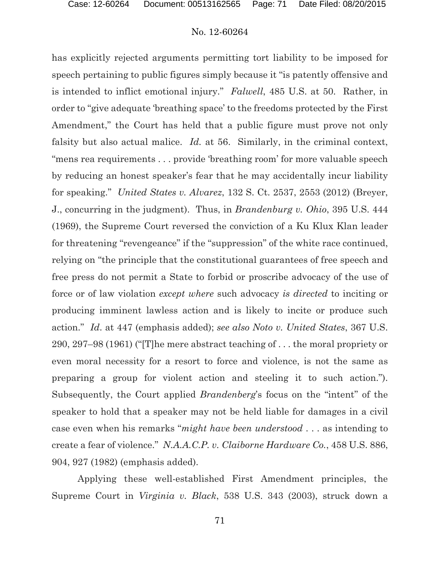has explicitly rejected arguments permitting tort liability to be imposed for speech pertaining to public figures simply because it "is patently offensive and is intended to inflict emotional injury." *Falwell*, 485 U.S. at 50. Rather, in order to "give adequate 'breathing space' to the freedoms protected by the First Amendment," the Court has held that a public figure must prove not only falsity but also actual malice. *Id.* at 56. Similarly, in the criminal context, "mens rea requirements . . . provide 'breathing room' for more valuable speech by reducing an honest speaker's fear that he may accidentally incur liability for speaking." *United States v. Alvarez*, 132 S. Ct. 2537, 2553 (2012) (Breyer, J., concurring in the judgment). Thus, in *Brandenburg v. Ohio*, 395 U.S. 444 (1969), the Supreme Court reversed the conviction of a Ku Klux Klan leader for threatening "revengeance" if the "suppression" of the white race continued, relying on "the principle that the constitutional guarantees of free speech and free press do not permit a State to forbid or proscribe advocacy of the use of force or of law violation *except where* such advocacy *is directed* to inciting or producing imminent lawless action and is likely to incite or produce such action." *Id*. at 447 (emphasis added); *see also Noto v. United States*, 367 U.S. 290, 297–98 (1961) ("[T]he mere abstract teaching of . . . the moral propriety or even moral necessity for a resort to force and violence, is not the same as preparing a group for violent action and steeling it to such action."). Subsequently, the Court applied *Brandenberg*'s focus on the "intent" of the speaker to hold that a speaker may not be held liable for damages in a civil case even when his remarks "*might have been understood* . . . as intending to create a fear of violence." *N.A.A.C.P. v. Claiborne Hardware Co.*, 458 U.S. 886, 904, 927 (1982) (emphasis added).

Applying these well-established First Amendment principles, the Supreme Court in *Virginia v. Black*, 538 U.S. 343 (2003), struck down a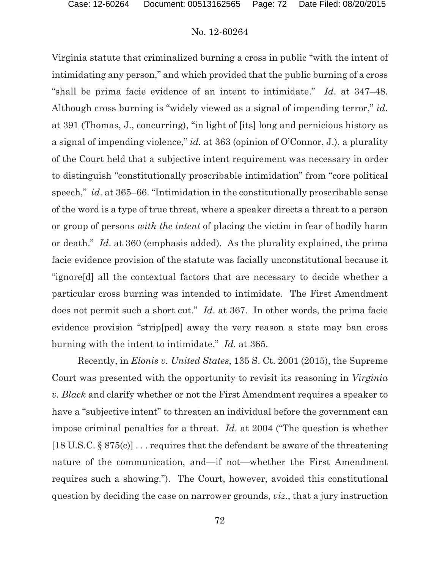Virginia statute that criminalized burning a cross in public "with the intent of intimidating any person," and which provided that the public burning of a cross "shall be prima facie evidence of an intent to intimidate." *Id*. at 347–48. Although cross burning is "widely viewed as a signal of impending terror," *id*. at 391 (Thomas, J., concurring), "in light of [its] long and pernicious history as a signal of impending violence," *id.* at 363 (opinion of O'Connor, J.), a plurality of the Court held that a subjective intent requirement was necessary in order to distinguish "constitutionally proscribable intimidation" from "core political speech," *id*. at 365–66. "Intimidation in the constitutionally proscribable sense of the word is a type of true threat, where a speaker directs a threat to a person or group of persons *with the intent* of placing the victim in fear of bodily harm or death." *Id*. at 360 (emphasis added). As the plurality explained, the prima facie evidence provision of the statute was facially unconstitutional because it "ignore[d] all the contextual factors that are necessary to decide whether a particular cross burning was intended to intimidate. The First Amendment does not permit such a short cut." *Id*. at 367. In other words, the prima facie evidence provision "strip[ped] away the very reason a state may ban cross burning with the intent to intimidate." *Id*. at 365.

Recently, in *Elonis v. United States*, 135 S. Ct. 2001 (2015), the Supreme Court was presented with the opportunity to revisit its reasoning in *Virginia v. Black* and clarify whether or not the First Amendment requires a speaker to have a "subjective intent" to threaten an individual before the government can impose criminal penalties for a threat. *Id*. at 2004 ("The question is whether [18 U.S.C. § 875(c)] . . . requires that the defendant be aware of the threatening nature of the communication, and—if not—whether the First Amendment requires such a showing."). The Court, however, avoided this constitutional question by deciding the case on narrower grounds, *viz.*, that a jury instruction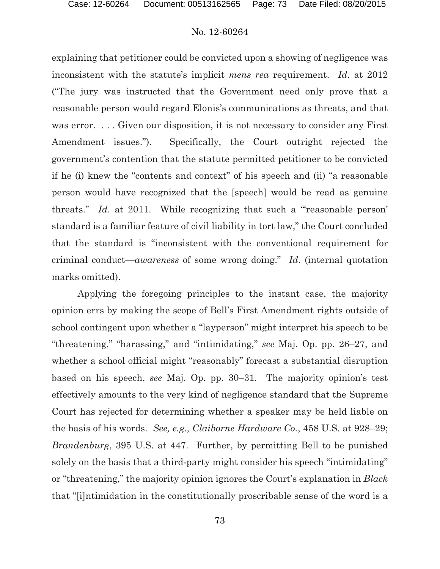explaining that petitioner could be convicted upon a showing of negligence was inconsistent with the statute's implicit *mens rea* requirement. *Id*. at 2012 ("The jury was instructed that the Government need only prove that a reasonable person would regard Elonis's communications as threats, and that was error. ... Given our disposition, it is not necessary to consider any First Amendment issues."). Specifically, the Court outright rejected the government's contention that the statute permitted petitioner to be convicted if he (i) knew the "contents and context" of his speech and (ii) "a reasonable person would have recognized that the [speech] would be read as genuine threats." *Id.* at 2011. While recognizing that such a "reasonable person' standard is a familiar feature of civil liability in tort law," the Court concluded that the standard is "inconsistent with the conventional requirement for criminal conduct—*awareness* of some wrong doing." *Id*. (internal quotation marks omitted).

Applying the foregoing principles to the instant case, the majority opinion errs by making the scope of Bell's First Amendment rights outside of school contingent upon whether a "layperson" might interpret his speech to be "threatening," "harassing," and "intimidating," *see* Maj. Op. pp. 26–27, and whether a school official might "reasonably" forecast a substantial disruption based on his speech, *see* Maj. Op. pp. 30–31. The majority opinion's test effectively amounts to the very kind of negligence standard that the Supreme Court has rejected for determining whether a speaker may be held liable on the basis of his words. *See, e.g., Claiborne Hardware Co.*, 458 U.S. at 928–29; *Brandenburg*, 395 U.S. at 447. Further, by permitting Bell to be punished solely on the basis that a third-party might consider his speech "intimidating" or "threatening," the majority opinion ignores the Court's explanation in *Black* that "[i]ntimidation in the constitutionally proscribable sense of the word is a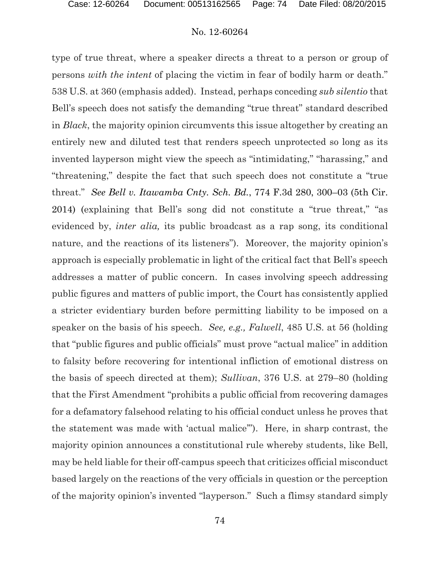type of true threat, where a speaker directs a threat to a person or group of persons *with the intent* of placing the victim in fear of bodily harm or death." 538 U.S. at 360 (emphasis added). Instead, perhaps conceding *sub silentio* that Bell's speech does not satisfy the demanding "true threat" standard described in *Black*, the majority opinion circumvents this issue altogether by creating an entirely new and diluted test that renders speech unprotected so long as its invented layperson might view the speech as "intimidating," "harassing," and "threatening," despite the fact that such speech does not constitute a "true threat." *See Bell v. Itawamba Cnty. Sch. Bd.*, 774 F.3d 280, 300–03 (5th Cir. 2014) (explaining that Bell's song did not constitute a "true threat," "as evidenced by, *inter alia,* its public broadcast as a rap song, its conditional nature, and the reactions of its listeners"). Moreover, the majority opinion's approach is especially problematic in light of the critical fact that Bell's speech addresses a matter of public concern. In cases involving speech addressing public figures and matters of public import, the Court has consistently applied a stricter evidentiary burden before permitting liability to be imposed on a speaker on the basis of his speech. *See, e.g., Falwell*, 485 U.S. at 56 (holding that "public figures and public officials" must prove "actual malice" in addition to falsity before recovering for intentional infliction of emotional distress on the basis of speech directed at them); *Sullivan*, 376 U.S. at 279–80 (holding that the First Amendment "prohibits a public official from recovering damages for a defamatory falsehood relating to his official conduct unless he proves that the statement was made with 'actual malice'"). Here, in sharp contrast, the majority opinion announces a constitutional rule whereby students, like Bell, may be held liable for their off-campus speech that criticizes official misconduct based largely on the reactions of the very officials in question or the perception of the majority opinion's invented "layperson." Such a flimsy standard simply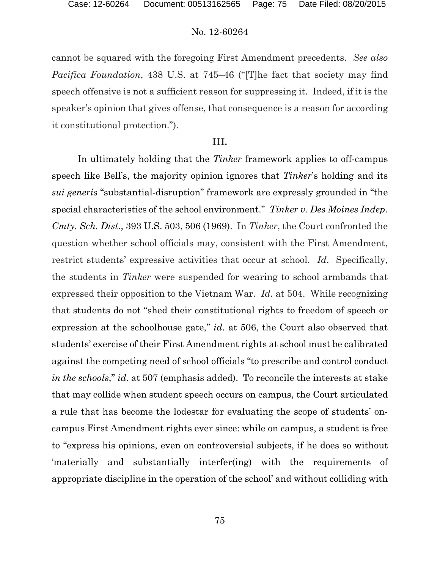cannot be squared with the foregoing First Amendment precedents. *See also Pacifica Foundation*, 438 U.S. at 745–46 ("[T]he fact that society may find speech offensive is not a sufficient reason for suppressing it. Indeed, if it is the speaker's opinion that gives offense, that consequence is a reason for according it constitutional protection.").

#### **III.**

In ultimately holding that the *Tinker* framework applies to off-campus speech like Bell's, the majority opinion ignores that *Tinker*'s holding and its *sui generis* "substantial-disruption" framework are expressly grounded in "the special characteristics of the school environment." *Tinker v. Des Moines Indep. Cmty. Sch. Dist.*, 393 U.S. 503, 506 (1969). In *Tinker*, the Court confronted the question whether school officials may, consistent with the First Amendment, restrict students' expressive activities that occur at school. *Id*. Specifically, the students in *Tinker* were suspended for wearing to school armbands that expressed their opposition to the Vietnam War. *Id*. at 504. While recognizing that students do not "shed their constitutional rights to freedom of speech or expression at the schoolhouse gate," *id*. at 506, the Court also observed that students' exercise of their First Amendment rights at school must be calibrated against the competing need of school officials "to prescribe and control conduct *in the schools*," *id*. at 507 (emphasis added). To reconcile the interests at stake that may collide when student speech occurs on campus, the Court articulated a rule that has become the lodestar for evaluating the scope of students' oncampus First Amendment rights ever since: while on campus, a student is free to "express his opinions, even on controversial subjects, if he does so without 'materially and substantially interfer(ing) with the requirements of appropriate discipline in the operation of the school' and without colliding with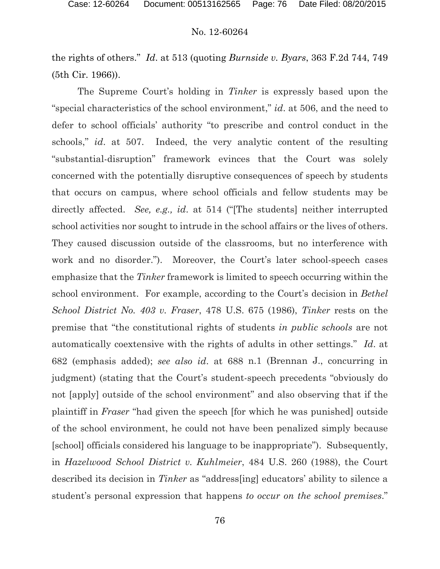the rights of others." *Id*. at 513 (quoting *Burnside v. Byars*, 363 F.2d 744, 749 (5th Cir. 1966)).

The Supreme Court's holding in *Tinker* is expressly based upon the "special characteristics of the school environment," *id*. at 506, and the need to defer to school officials' authority "to prescribe and control conduct in the schools," *id*. at 507. Indeed, the very analytic content of the resulting "substantial-disruption" framework evinces that the Court was solely concerned with the potentially disruptive consequences of speech by students that occurs on campus, where school officials and fellow students may be directly affected. *See, e.g., id*. at 514 ("[The students] neither interrupted school activities nor sought to intrude in the school affairs or the lives of others. They caused discussion outside of the classrooms, but no interference with work and no disorder."). Moreover, the Court's later school-speech cases emphasize that the *Tinker* framework is limited to speech occurring within the school environment. For example, according to the Court's decision in *Bethel School District No. 403 v. Fraser*, 478 U.S. 675 (1986), *Tinker* rests on the premise that "the constitutional rights of students *in public schools* are not automatically coextensive with the rights of adults in other settings." *Id*. at 682 (emphasis added); *see also id*. at 688 n.1 (Brennan J., concurring in judgment) (stating that the Court's student-speech precedents "obviously do not [apply] outside of the school environment" and also observing that if the plaintiff in *Fraser* "had given the speech [for which he was punished] outside of the school environment, he could not have been penalized simply because [school] officials considered his language to be inappropriate"). Subsequently, in *Hazelwood School District v. Kuhlmeier*, 484 U.S. 260 (1988), the Court described its decision in *Tinker* as "address[ing] educators' ability to silence a student's personal expression that happens *to occur on the school premises*."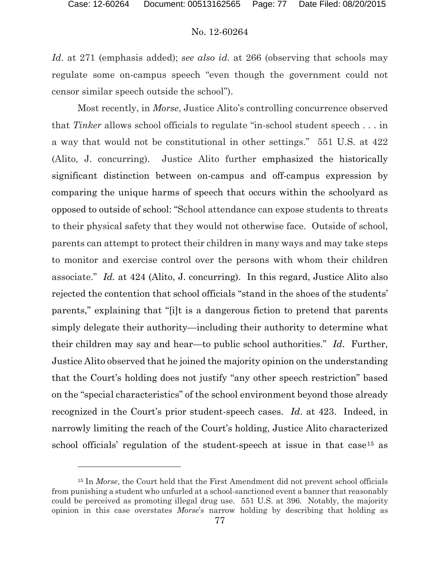## No. 12-60264

*Id*. at 271 (emphasis added); *see also id.* at 266 (observing that schools may regulate some on-campus speech "even though the government could not censor similar speech outside the school").

Most recently, in *Morse*, Justice Alito's controlling concurrence observed that *Tinker* allows school officials to regulate "in-school student speech . . . in a way that would not be constitutional in other settings." 551 U.S. at 422 (Alito, J. concurring). Justice Alito further emphasized the historically significant distinction between on-campus and off-campus expression by comparing the unique harms of speech that occurs within the schoolyard as opposed to outside of school: "School attendance can expose students to threats to their physical safety that they would not otherwise face. Outside of school, parents can attempt to protect their children in many ways and may take steps to monitor and exercise control over the persons with whom their children associate." *Id.* at 424 (Alito, J. concurring). In this regard, Justice Alito also rejected the contention that school officials "stand in the shoes of the students' parents," explaining that "[i]t is a dangerous fiction to pretend that parents simply delegate their authority—including their authority to determine what their children may say and hear—to public school authorities." *Id*. Further, Justice Alito observed that he joined the majority opinion on the understanding that the Court's holding does not justify "any other speech restriction" based on the "special characteristics" of the school environment beyond those already recognized in the Court's prior student-speech cases. *Id*. at 423. Indeed, in narrowly limiting the reach of the Court's holding, Justice Alito characterized school officials' regulation of the student-speech at issue in that case<sup>[15](#page-76-0)</sup> as

<span id="page-76-0"></span><sup>15</sup> In *Morse*, the Court held that the First Amendment did not prevent school officials from punishing a student who unfurled at a school-sanctioned event a banner that reasonably could be perceived as promoting illegal drug use. 551 U.S. at 396. Notably, the majority opinion in this case overstates *Morse*'s narrow holding by describing that holding as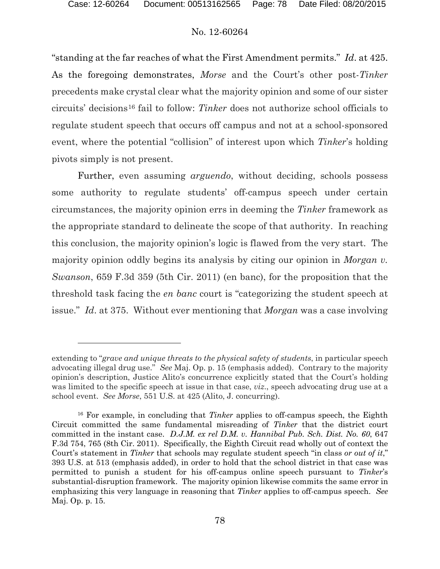$\overline{a}$ 

## No. 12-60264

"standing at the far reaches of what the First Amendment permits." *Id*. at 425. As the foregoing demonstrates, *Morse* and the Court's other post-*Tinker* precedents make crystal clear what the majority opinion and some of our sister circuits' decisions[16](#page-77-0) fail to follow: *Tinker* does not authorize school officials to regulate student speech that occurs off campus and not at a school-sponsored event, where the potential "collision" of interest upon which *Tinker*'s holding pivots simply is not present.

Further, even assuming *arguendo*, without deciding, schools possess some authority to regulate students' off-campus speech under certain circumstances, the majority opinion errs in deeming the *Tinker* framework as the appropriate standard to delineate the scope of that authority. In reaching this conclusion, the majority opinion's logic is flawed from the very start. The majority opinion oddly begins its analysis by citing our opinion in *Morgan v. Swanson*, 659 F.3d 359 (5th Cir. 2011) (en banc), for the proposition that the threshold task facing the *en banc* court is "categorizing the student speech at issue." *Id*. at 375.Without ever mentioning that *Morgan* was a case involving

extending to "*grave and unique threats to the physical safety of students*, in particular speech advocating illegal drug use." *See* Maj. Op. p. 15 (emphasis added). Contrary to the majority opinion's description, Justice Alito's concurrence explicitly stated that the Court's holding was limited to the specific speech at issue in that case, *viz*., speech advocating drug use at a school event. *See Morse*, 551 U.S. at 425 (Alito, J. concurring).

<span id="page-77-0"></span><sup>16</sup> For example, in concluding that *Tinker* applies to off-campus speech, the Eighth Circuit committed the same fundamental misreading of *Tinker* that the district court committed in the instant case. *D.J.M. ex rel D.M. v. Hannibal Pub. Sch. Dist. No. 60*, 647 F.3d 754, 765 (8th Cir. 2011). Specifically, the Eighth Circuit read wholly out of context the Court's statement in *Tinker* that schools may regulate student speech "in class *or out of it*," 393 U.S. at 513 (emphasis added), in order to hold that the school district in that case was permitted to punish a student for his off-campus online speech pursuant to *Tinker*'s substantial-disruption framework. The majority opinion likewise commits the same error in emphasizing this very language in reasoning that *Tinker* applies to off-campus speech. *See*  Maj. Op. p. 15.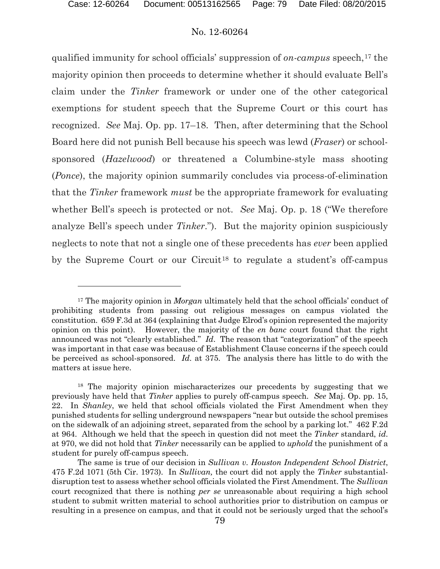#### No. 12-60264

qualified immunity for school officials' suppression of *on-campus* speech,<sup>[17](#page-78-0)</sup> the majority opinion then proceeds to determine whether it should evaluate Bell's claim under the *Tinker* framework or under one of the other categorical exemptions for student speech that the Supreme Court or this court has recognized. *See* Maj. Op. pp. 17–18. Then, after determining that the School Board here did not punish Bell because his speech was lewd (*Fraser*) or schoolsponsored (*Hazelwood*) or threatened a Columbine-style mass shooting (*Ponce*), the majority opinion summarily concludes via process-of-elimination that the *Tinker* framework *must* be the appropriate framework for evaluating whether Bell's speech is protected or not. *See* Maj. Op. p. 18 ("We therefore analyze Bell's speech under *Tinker*."). But the majority opinion suspiciously neglects to note that not a single one of these precedents has *ever* been applied by the Supreme Court or our Circuit<sup>[18](#page-78-1)</sup> to regulate a student's off-campus

<span id="page-78-0"></span><sup>17</sup> The majority opinion in *Morgan* ultimately held that the school officials' conduct of prohibiting students from passing out religious messages on campus violated the constitution. 659 F.3d at 364 (explaining that Judge Elrod's opinion represented the majority opinion on this point). However, the majority of the *en banc* court found that the right announced was not "clearly established." *Id*. The reason that "categorization" of the speech was important in that case was because of Establishment Clause concerns if the speech could be perceived as school-sponsored. *Id*. at 375. The analysis there has little to do with the matters at issue here.

<span id="page-78-1"></span><sup>&</sup>lt;sup>18</sup> The majority opinion mischaracterizes our precedents by suggesting that we previously have held that *Tinker* applies to purely off-campus speech. *See* Maj. Op. pp. 15, 22. In *Shanley*, we held that school officials violated the First Amendment when they punished students for selling underground newspapers "near but outside the school premises on the sidewalk of an adjoining street, separated from the school by a parking lot." 462 F.2d at 964. Although we held that the speech in question did not meet the *Tinker* standard, *id*. at 970, we did not hold that *Tinker* necessarily can be applied to *uphold* the punishment of a student for purely off-campus speech.

The same is true of our decision in *Sullivan v. Houston Independent School District*, 475 F.2d 1071 (5th Cir. 1973). In *Sullivan,* the court did not apply the *Tinker* substantialdisruption test to assess whether school officials violated the First Amendment. The *Sullivan* court recognized that there is nothing *per se* unreasonable about requiring a high school student to submit written material to school authorities prior to distribution on campus or resulting in a presence on campus, and that it could not be seriously urged that the school's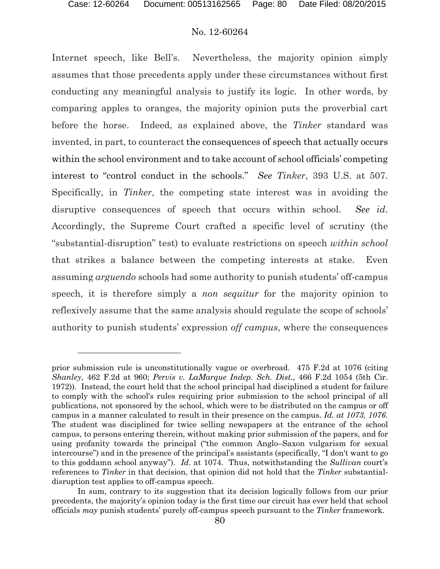## No. 12-60264

Internet speech, like Bell's. Nevertheless, the majority opinion simply assumes that those precedents apply under these circumstances without first conducting any meaningful analysis to justify its logic. In other words, by comparing apples to oranges, the majority opinion puts the proverbial cart before the horse. Indeed, as explained above, the *Tinker* standard was invented, in part, to counteract the consequences of speech that actually occurs within the school environment and to take account of school officials' competing interest to "control conduct in the schools." *See Tinker*, 393 U.S. at 507. Specifically, in *Tinker*, the competing state interest was in avoiding the disruptive consequences of speech that occurs within school. *See id*. Accordingly, the Supreme Court crafted a specific level of scrutiny (the "substantial-disruption" test) to evaluate restrictions on speech *within school* that strikes a balance between the competing interests at stake. Even assuming *arguendo* schools had some authority to punish students' off-campus speech, it is therefore simply a *non sequitur* for the majority opinion to reflexively assume that the same analysis should regulate the scope of schools' authority to punish students' expression *off campus*, where the consequences

prior submission rule is unconstitutionally vague or overbroad. 475 F.2d at 1076 (citing *Shanley*, 462 F.2d at 960; *Pervis v. LaMarque Indep. Sch. Dist.*, 466 F.2d 1054 (5th Cir. 1972)). Instead, the court held that the school principal had disciplined a student for failure to comply with the school's rules requiring prior submission to the school principal of all publications, not sponsored by the school, which were to be distributed on the campus or off campus in a manner calculated to result in their presence on the campus. *Id. at 1073, 1076.* The student was disciplined for twice selling newspapers at the entrance of the school campus, to persons entering therein, without making prior submission of the papers, and for using profanity towards the principal ("the common Anglo–Saxon vulgarism for sexual intercourse") and in the presence of the principal's assistants (specifically, "I don't want to go to this goddamn school anyway"). *Id*. at 1074. Thus, notwithstanding the *Sullivan* court's references to *Tinker* in that decision, that opinion did not hold that the *Tinker* substantialdisruption test applies to off-campus speech.

In sum, contrary to its suggestion that its decision logically follows from our prior precedents, the majority's opinion today is the first time our circuit has ever held that school officials *may* punish students' purely off-campus speech pursuant to the *Tinker* framework.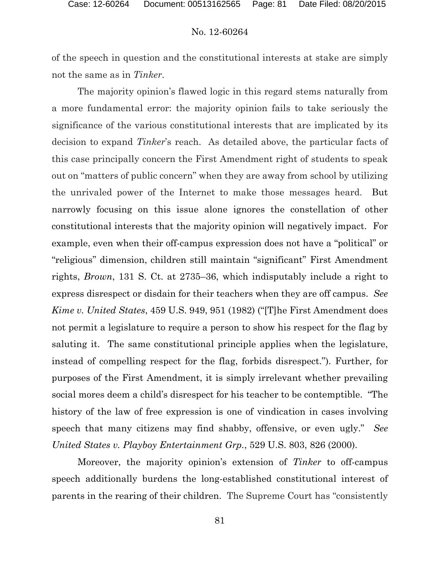of the speech in question and the constitutional interests at stake are simply not the same as in *Tinker*.

The majority opinion's flawed logic in this regard stems naturally from a more fundamental error: the majority opinion fails to take seriously the significance of the various constitutional interests that are implicated by its decision to expand *Tinker*'s reach. As detailed above, the particular facts of this case principally concern the First Amendment right of students to speak out on "matters of public concern" when they are away from school by utilizing the unrivaled power of the Internet to make those messages heard. But narrowly focusing on this issue alone ignores the constellation of other constitutional interests that the majority opinion will negatively impact. For example, even when their off-campus expression does not have a "political" or "religious" dimension, children still maintain "significant" First Amendment rights, *Brown*, 131 S. Ct. at 2735–36, which indisputably include a right to express disrespect or disdain for their teachers when they are off campus. *See Kime v. United States*, 459 U.S. 949, 951 (1982) ("[T]he First Amendment does not permit a legislature to require a person to show his respect for the flag by saluting it. The same constitutional principle applies when the legislature, instead of compelling respect for the flag, forbids disrespect."). Further, for purposes of the First Amendment, it is simply irrelevant whether prevailing social mores deem a child's disrespect for his teacher to be contemptible. "The history of the law of free expression is one of vindication in cases involving speech that many citizens may find shabby, offensive, or even ugly." *See United States v. Playboy Entertainment Grp.*, 529 U.S. 803, 826 (2000).

Moreover, the majority opinion's extension of *Tinker* to off-campus speech additionally burdens the long-established constitutional interest of parents in the rearing of their children. The Supreme Court has "consistently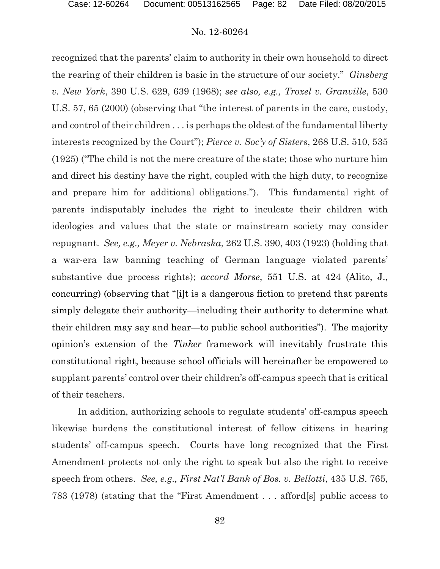recognized that the parents' claim to authority in their own household to direct the rearing of their children is basic in the structure of our society." *Ginsberg v. New York*, 390 U.S. 629, 639 (1968); *see also, e.g., Troxel v. Granville*, 530 U.S. 57, 65 (2000) (observing that "the interest of parents in the care, custody, and control of their children . . . is perhaps the oldest of the fundamental liberty interests recognized by the Court"); *Pierce v. Soc'y of Sisters*, 268 U.S. 510, 535 (1925) ("The child is not the mere creature of the state; those who nurture him and direct his destiny have the right, coupled with the high duty, to recognize and prepare him for additional obligations."). This fundamental right of parents indisputably includes the right to inculcate their children with ideologies and values that the state or mainstream society may consider repugnant. *See, e.g., Meyer v. Nebraska*, 262 U.S. 390, 403 (1923) (holding that a war-era law banning teaching of German language violated parents' substantive due process rights); *accord Morse*, 551 U.S. at 424 (Alito, J., concurring) (observing that "[i]t is a dangerous fiction to pretend that parents simply delegate their authority—including their authority to determine what their children may say and hear—to public school authorities"). The majority opinion's extension of the *Tinker* framework will inevitably frustrate this constitutional right, because school officials will hereinafter be empowered to supplant parents' control over their children's off-campus speech that is critical of their teachers.

In addition, authorizing schools to regulate students' off-campus speech likewise burdens the constitutional interest of fellow citizens in hearing students' off-campus speech. Courts have long recognized that the First Amendment protects not only the right to speak but also the right to receive speech from others. *See, e.g., First Nat'l Bank of Bos. v. Bellotti*, 435 U.S. 765, 783 (1978) (stating that the "First Amendment . . . afford[s] public access to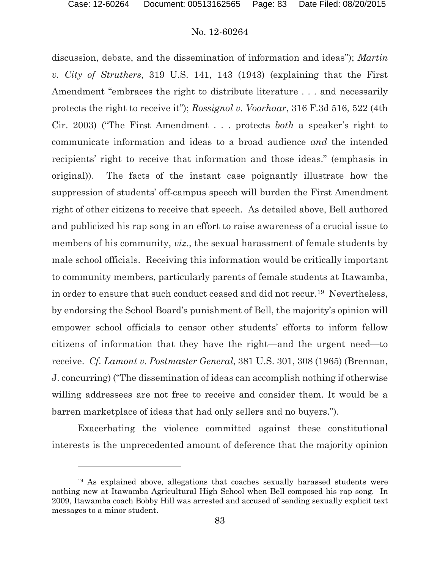## No. 12-60264

discussion, debate, and the dissemination of information and ideas"); *Martin v. City of Struthers*, 319 U.S. 141, 143 (1943) (explaining that the First Amendment "embraces the right to distribute literature . . . and necessarily protects the right to receive it"); *Rossignol v. Voorhaar*, 316 F.3d 516, 522 (4th Cir. 2003) ("The First Amendment . . . protects *both* a speaker's right to communicate information and ideas to a broad audience *and* the intended recipients' right to receive that information and those ideas." (emphasis in original)). The facts of the instant case poignantly illustrate how the suppression of students' off-campus speech will burden the First Amendment right of other citizens to receive that speech. As detailed above, Bell authored and publicized his rap song in an effort to raise awareness of a crucial issue to members of his community, *viz.*, the sexual harassment of female students by male school officials. Receiving this information would be critically important to community members, particularly parents of female students at Itawamba, in order to ensure that such conduct ceased and did not recur.[19](#page-82-0) Nevertheless, by endorsing the School Board's punishment of Bell, the majority's opinion will empower school officials to censor other students' efforts to inform fellow citizens of information that they have the right—and the urgent need—to receive. *Cf. Lamont v. Postmaster General*, 381 U.S. 301, 308 (1965) (Brennan, J. concurring) ("The dissemination of ideas can accomplish nothing if otherwise willing addressees are not free to receive and consider them. It would be a barren marketplace of ideas that had only sellers and no buyers.").

Exacerbating the violence committed against these constitutional interests is the unprecedented amount of deference that the majority opinion

<span id="page-82-0"></span><sup>19</sup> As explained above, allegations that coaches sexually harassed students were nothing new at Itawamba Agricultural High School when Bell composed his rap song. In 2009, Itawamba coach Bobby Hill was arrested and accused of sending sexually explicit text messages to a minor student.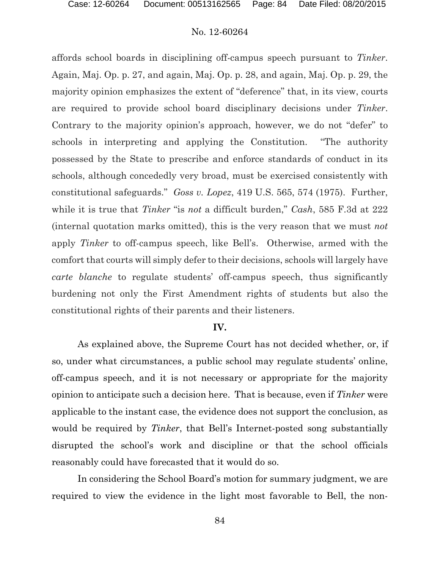affords school boards in disciplining off-campus speech pursuant to *Tinker*. Again, Maj. Op. p. 27, and again, Maj. Op. p. 28, and again, Maj. Op. p. 29, the majority opinion emphasizes the extent of "deference" that, in its view, courts are required to provide school board disciplinary decisions under *Tinker*. Contrary to the majority opinion's approach, however, we do not "defer" to schools in interpreting and applying the Constitution. "The authority possessed by the State to prescribe and enforce standards of conduct in its schools, although concededly very broad, must be exercised consistently with constitutional safeguards." *Goss v. Lopez*, 419 U.S. 565, 574 (1975). Further, while it is true that *Tinker* "is *not* a difficult burden," *Cash*, 585 F.3d at 222 (internal quotation marks omitted), this is the very reason that we must *not* apply *Tinker* to off-campus speech, like Bell's. Otherwise, armed with the comfort that courts will simply defer to their decisions, schools will largely have *carte blanche* to regulate students' off-campus speech, thus significantly burdening not only the First Amendment rights of students but also the constitutional rights of their parents and their listeners.

## **IV.**

As explained above, the Supreme Court has not decided whether, or, if so, under what circumstances, a public school may regulate students' online, off-campus speech, and it is not necessary or appropriate for the majority opinion to anticipate such a decision here. That is because, even if *Tinker* were applicable to the instant case, the evidence does not support the conclusion, as would be required by *Tinker*, that Bell's Internet-posted song substantially disrupted the school's work and discipline or that the school officials reasonably could have forecasted that it would do so.

In considering the School Board's motion for summary judgment, we are required to view the evidence in the light most favorable to Bell, the non-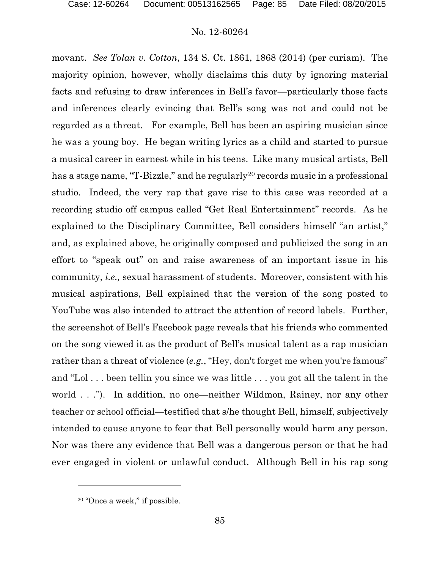movant. *See Tolan v. Cotton*, 134 S. Ct. 1861, 1868 (2014) (per curiam). The majority opinion, however, wholly disclaims this duty by ignoring material facts and refusing to draw inferences in Bell's favor—particularly those facts and inferences clearly evincing that Bell's song was not and could not be regarded as a threat. For example, Bell has been an aspiring musician since he was a young boy. He began writing lyrics as a child and started to pursue a musical career in earnest while in his teens. Like many musical artists, Bell has a stage name, "T-Bizzle," and he regularly<sup>[20](#page-84-0)</sup> records music in a professional studio. Indeed, the very rap that gave rise to this case was recorded at a recording studio off campus called "Get Real Entertainment" records. As he explained to the Disciplinary Committee, Bell considers himself "an artist," and, as explained above, he originally composed and publicized the song in an effort to "speak out" on and raise awareness of an important issue in his community, *i.e.,* sexual harassment of students. Moreover, consistent with his musical aspirations, Bell explained that the version of the song posted to YouTube was also intended to attract the attention of record labels. Further, the screenshot of Bell's Facebook page reveals that his friends who commented on the song viewed it as the product of Bell's musical talent as a rap musician rather than a threat of violence (*e.g.*, "Hey, don't forget me when you're famous" and "Lol . . . been tellin you since we was little . . . you got all the talent in the world . . ."). In addition, no one—neither Wildmon, Rainey, nor any other teacher or school official—testified that s/he thought Bell, himself, subjectively intended to cause anyone to fear that Bell personally would harm any person. Nor was there any evidence that Bell was a dangerous person or that he had ever engaged in violent or unlawful conduct. Although Bell in his rap song

 $\overline{a}$ 

<span id="page-84-0"></span><sup>20</sup> "Once a week," if possible.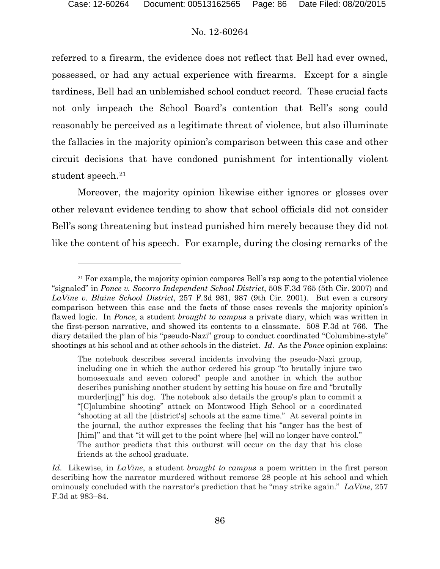$\overline{a}$ 

## No. 12-60264

referred to a firearm, the evidence does not reflect that Bell had ever owned, possessed, or had any actual experience with firearms. Except for a single tardiness, Bell had an unblemished school conduct record. These crucial facts not only impeach the School Board's contention that Bell's song could reasonably be perceived as a legitimate threat of violence, but also illuminate the fallacies in the majority opinion's comparison between this case and other circuit decisions that have condoned punishment for intentionally violent student speech.<sup>[21](#page-85-0)</sup>

Moreover, the majority opinion likewise either ignores or glosses over other relevant evidence tending to show that school officials did not consider Bell's song threatening but instead punished him merely because they did not like the content of his speech. For example, during the closing remarks of the

<span id="page-85-0"></span><sup>&</sup>lt;sup>21</sup> For example, the majority opinion compares Bell's rap song to the potential violence "signaled" in *Ponce v. Socorro Independent School District*, 508 F.3d 765 (5th Cir. 2007) and *LaVine v. Blaine School District*, 257 F.3d 981, 987 (9th Cir. 2001). But even a cursory comparison between this case and the facts of those cases reveals the majority opinion's flawed logic. In *Ponce*, a student *brought to campus* a private diary, which was written in the first-person narrative, and showed its contents to a classmate. 508 F.3d at 766. The diary detailed the plan of his "pseudo-Nazi" group to conduct coordinated "Columbine-style" shootings at his school and at other schools in the district. *Id*. As the *Ponce* opinion explains:

The notebook describes several incidents involving the pseudo-Nazi group, including one in which the author ordered his group "to brutally injure two homosexuals and seven colored" people and another in which the author describes punishing another student by setting his house on fire and "brutally murder[ing]" his dog. The notebook also details the group's plan to commit a "[C]olumbine shooting" attack on Montwood High School or a coordinated "shooting at all the [district's] schools at the same time." At several points in the journal, the author expresses the feeling that his "anger has the best of [him]" and that "it will get to the point where [he] will no longer have control." The author predicts that this outburst will occur on the day that his close friends at the school graduate.

*Id*. Likewise, in *LaVine*, a student *brought to campus* a poem written in the first person describing how the narrator murdered without remorse 28 people at his school and which ominously concluded with the narrator's prediction that he "may strike again." *LaVine*, 257 F.3d at 983–84.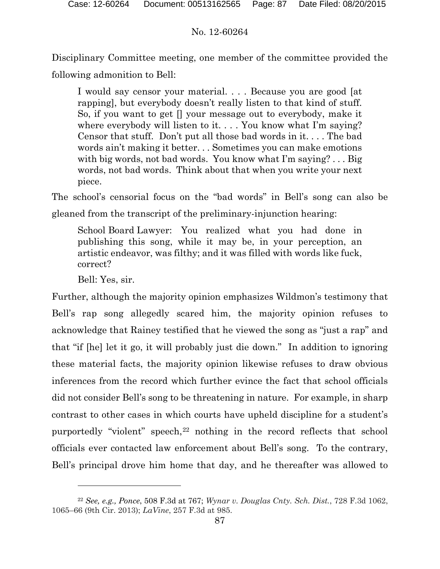Disciplinary Committee meeting, one member of the committee provided the following admonition to Bell:

I would say censor your material. . . . Because you are good [at rapping], but everybody doesn't really listen to that kind of stuff. So, if you want to get [] your message out to everybody, make it where everybody will listen to it.... You know what I'm saying? Censor that stuff. Don't put all those bad words in it. . . . The bad words ain't making it better. . . Sometimes you can make emotions with big words, not bad words. You know what I'm saying? . . . Big words, not bad words. Think about that when you write your next piece.

The school's censorial focus on the "bad words" in Bell's song can also be gleaned from the transcript of the preliminary-injunction hearing:

School Board Lawyer: You realized what you had done in publishing this song, while it may be, in your perception, an artistic endeavor, was filthy; and it was filled with words like fuck, correct?

Bell: Yes, sir.

 $\overline{a}$ 

Further, although the majority opinion emphasizes Wildmon's testimony that Bell's rap song allegedly scared him, the majority opinion refuses to acknowledge that Rainey testified that he viewed the song as "just a rap" and that "if [he] let it go, it will probably just die down." In addition to ignoring these material facts, the majority opinion likewise refuses to draw obvious inferences from the record which further evince the fact that school officials did not consider Bell's song to be threatening in nature. For example, in sharp contrast to other cases in which courts have upheld discipline for a student's purportedly "violent" speech,[22](#page-86-0) nothing in the record reflects that school officials ever contacted law enforcement about Bell's song. To the contrary, Bell's principal drove him home that day, and he thereafter was allowed to

<span id="page-86-0"></span><sup>22</sup> *See, e.g., Ponce*, 508 F.3d at 767; *Wynar v. Douglas Cnty. Sch. Dist.*, 728 F.3d 1062, 1065–66 (9th Cir. 2013); *LaVine*, 257 F.3d at 985.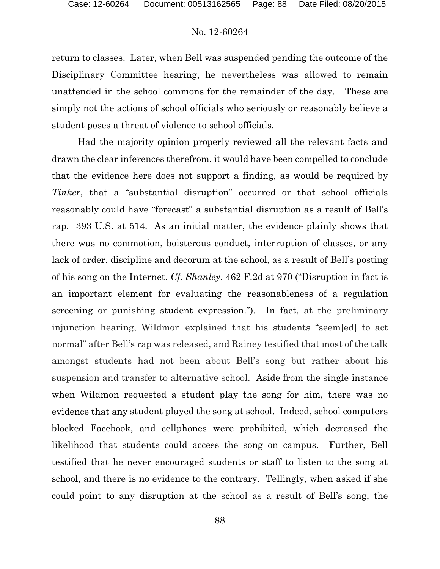return to classes. Later, when Bell was suspended pending the outcome of the Disciplinary Committee hearing, he nevertheless was allowed to remain unattended in the school commons for the remainder of the day. These are simply not the actions of school officials who seriously or reasonably believe a student poses a threat of violence to school officials.

Had the majority opinion properly reviewed all the relevant facts and drawn the clear inferences therefrom, it would have been compelled to conclude that the evidence here does not support a finding, as would be required by *Tinker*, that a "substantial disruption" occurred or that school officials reasonably could have "forecast" a substantial disruption as a result of Bell's rap. 393 U.S. at 514. As an initial matter, the evidence plainly shows that there was no commotion, boisterous conduct, interruption of classes, or any lack of order, discipline and decorum at the school, as a result of Bell's posting of his song on the Internet. *Cf. Shanley*, 462 F.2d at 970 ("Disruption in fact is an important element for evaluating the reasonableness of a regulation screening or punishing student expression."). In fact, at the preliminary injunction hearing, Wildmon explained that his students "seem[ed] to act normal" after Bell's rap was released, and Rainey testified that most of the talk amongst students had not been about Bell's song but rather about his suspension and transfer to alternative school. Aside from the single instance when Wildmon requested a student play the song for him, there was no evidence that any student played the song at school. Indeed, school computers blocked Facebook, and cellphones were prohibited, which decreased the likelihood that students could access the song on campus. Further, Bell testified that he never encouraged students or staff to listen to the song at school, and there is no evidence to the contrary. Tellingly, when asked if she could point to any disruption at the school as a result of Bell's song, the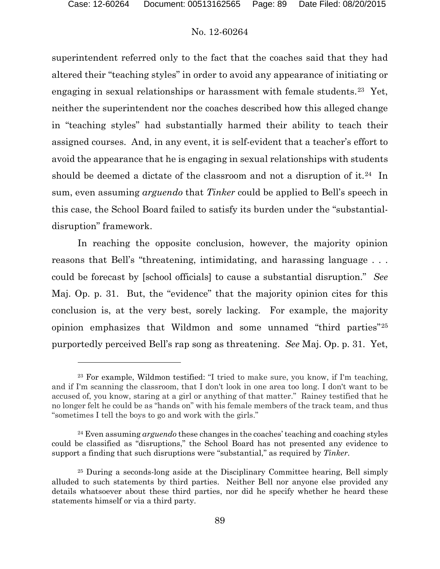## No. 12-60264

superintendent referred only to the fact that the coaches said that they had altered their "teaching styles" in order to avoid any appearance of initiating or engaging in sexual relationships or harassment with female students.<sup>[23](#page-88-0)</sup> Yet, neither the superintendent nor the coaches described how this alleged change in "teaching styles" had substantially harmed their ability to teach their assigned courses. And, in any event, it is self-evident that a teacher's effort to avoid the appearance that he is engaging in sexual relationships with students should be deemed a dictate of the classroom and not a disruption of it.<sup>[24](#page-88-1)</sup> In sum, even assuming *arguendo* that *Tinker* could be applied to Bell's speech in this case, the School Board failed to satisfy its burden under the "substantialdisruption" framework.

In reaching the opposite conclusion, however, the majority opinion reasons that Bell's "threatening, intimidating, and harassing language . . . could be forecast by [school officials] to cause a substantial disruption." *See* Maj. Op. p. 31. But, the "evidence" that the majority opinion cites for this conclusion is, at the very best, sorely lacking. For example, the majority opinion emphasizes that Wildmon and some unnamed "third parties"[25](#page-88-2) purportedly perceived Bell's rap song as threatening. *See* Maj. Op. p. 31. Yet,

<span id="page-88-0"></span><sup>23</sup> For example, Wildmon testified: "I tried to make sure, you know, if I'm teaching, and if I'm scanning the classroom, that I don't look in one area too long. I don't want to be accused of, you know, staring at a girl or anything of that matter." Rainey testified that he no longer felt he could be as "hands on" with his female members of the track team, and thus "sometimes I tell the boys to go and work with the girls."

<span id="page-88-1"></span><sup>24</sup> Even assuming *arguendo* these changes in the coaches' teaching and coaching styles could be classified as "disruptions," the School Board has not presented any evidence to support a finding that such disruptions were "substantial," as required by *Tinker*.

<span id="page-88-2"></span><sup>25</sup> During a seconds-long aside at the Disciplinary Committee hearing, Bell simply alluded to such statements by third parties. Neither Bell nor anyone else provided any details whatsoever about these third parties, nor did he specify whether he heard these statements himself or via a third party.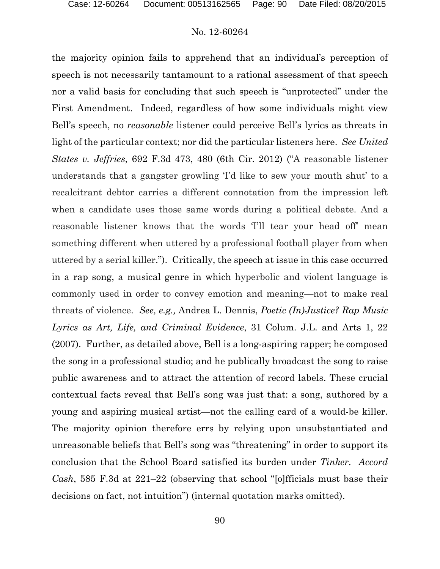the majority opinion fails to apprehend that an individual's perception of speech is not necessarily tantamount to a rational assessment of that speech nor a valid basis for concluding that such speech is "unprotected" under the First Amendment. Indeed, regardless of how some individuals might view Bell's speech, no *reasonable* listener could perceive Bell's lyrics as threats in light of the particular context; nor did the particular listeners here. *See United States v. Jeffries*, 692 F.3d 473, 480 (6th Cir. 2012) ("A reasonable listener understands that a gangster growling 'I'd like to sew your mouth shut' to a recalcitrant debtor carries a different connotation from the impression left when a candidate uses those same words during a political debate. And a reasonable listener knows that the words 'I'll tear your head off' mean something different when uttered by a professional football player from when uttered by a serial killer."). Critically, the speech at issue in this case occurred in a rap song, a musical genre in which hyperbolic and violent language is commonly used in order to convey emotion and meaning—not to make real threats of violence. *See, e.g.,* Andrea L. Dennis, *Poetic (In)Justice? Rap Music Lyrics as Art, Life, and Criminal Evidence*, 31 Colum. J.L. and Arts 1, 22 (2007). Further, as detailed above, Bell is a long-aspiring rapper; he composed the song in a professional studio; and he publically broadcast the song to raise public awareness and to attract the attention of record labels. These crucial contextual facts reveal that Bell's song was just that: a song, authored by a young and aspiring musical artist—not the calling card of a would-be killer. The majority opinion therefore errs by relying upon unsubstantiated and unreasonable beliefs that Bell's song was "threatening" in order to support its conclusion that the School Board satisfied its burden under *Tinker*. *Accord Cash*, 585 F.3d at 221–22 (observing that school "[o]fficials must base their decisions on fact, not intuition") (internal quotation marks omitted).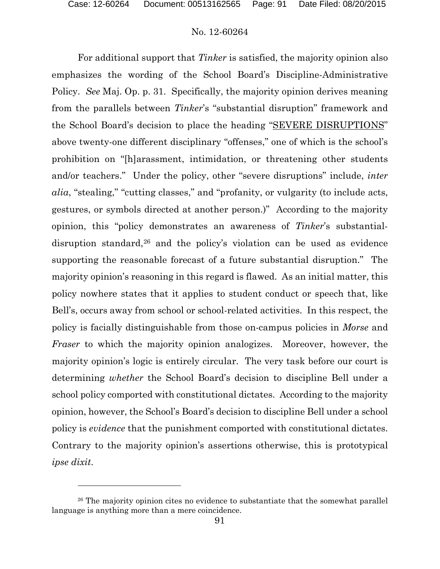$\overline{a}$ 

## No. 12-60264

For additional support that *Tinker* is satisfied, the majority opinion also emphasizes the wording of the School Board's Discipline-Administrative Policy. *See* Maj. Op. p. 31. Specifically, the majority opinion derives meaning from the parallels between *Tinker*'s "substantial disruption" framework and the School Board's decision to place the heading "SEVERE DISRUPTIONS" above twenty-one different disciplinary "offenses," one of which is the school's prohibition on "[h]arassment, intimidation, or threatening other students and/or teachers." Under the policy, other "severe disruptions" include, *inter alia*, "stealing," "cutting classes," and "profanity, or vulgarity (to include acts, gestures, or symbols directed at another person.)" According to the majority opinion, this "policy demonstrates an awareness of *Tinker*'s substantial-disruption standard,<sup>[26](#page-90-0)</sup> and the policy's violation can be used as evidence supporting the reasonable forecast of a future substantial disruption." The majority opinion's reasoning in this regard is flawed. As an initial matter, this policy nowhere states that it applies to student conduct or speech that, like Bell's, occurs away from school or school-related activities. In this respect, the policy is facially distinguishable from those on-campus policies in *Morse* and *Fraser* to which the majority opinion analogizes. Moreover, however, the majority opinion's logic is entirely circular. The very task before our court is determining *whether* the School Board's decision to discipline Bell under a school policy comported with constitutional dictates. According to the majority opinion, however, the School's Board's decision to discipline Bell under a school policy is *evidence* that the punishment comported with constitutional dictates. Contrary to the majority opinion's assertions otherwise, this is prototypical *ipse dixit*.

<span id="page-90-0"></span><sup>&</sup>lt;sup>26</sup> The majority opinion cites no evidence to substantiate that the somewhat parallel language is anything more than a mere coincidence.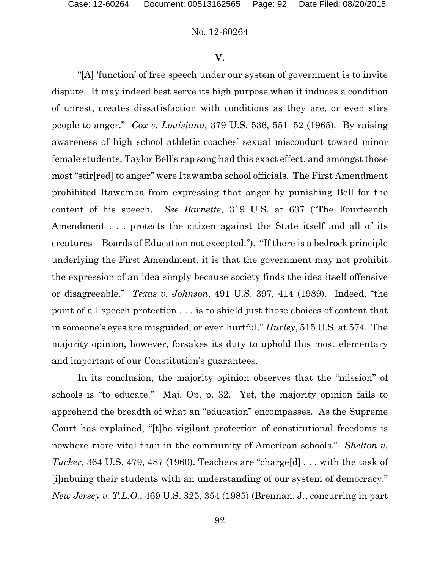#### **V.**

"[A] 'function' of free speech under our system of government is to invite dispute. It may indeed best serve its high purpose when it induces a condition of unrest, creates dissatisfaction with conditions as they are, or even stirs people to anger."*Cox v. Louisiana*, 379 U.S. 536, 551–52 (1965). By raising awareness of high school athletic coaches' sexual misconduct toward minor female students, Taylor Bell's rap song had this exact effect, and amongst those most "stir[red] to anger" were Itawamba school officials. The First Amendment prohibited Itawamba from expressing that anger by punishing Bell for the content of his speech. *See Barnette*, 319 U.S. at 637 ("The Fourteenth Amendment . . . protects the citizen against the State itself and all of its creatures—Boards of Education not excepted."). "If there is a bedrock principle underlying the First Amendment, it is that the government may not prohibit the expression of an idea simply because society finds the idea itself offensive or disagreeable." *Texas v. Johnson*, 491 U.S. 397, 414 (1989). Indeed, "the point of all speech protection . . . is to shield just those choices of content that in someone's eyes are misguided, or even hurtful." *Hurley*, 515 U.S. at 574. The majority opinion, however, forsakes its duty to uphold this most elementary and important of our Constitution's guarantees.

In its conclusion, the majority opinion observes that the "mission" of schools is "to educate." Maj. Op. p. 32. Yet, the majority opinion fails to apprehend the breadth of what an "education" encompasses. As the Supreme Court has explained, "[t]he vigilant protection of constitutional freedoms is nowhere more vital than in the community of American schools." *Shelton v. Tucker*, 364 U.S. 479, 487 (1960). Teachers are "charge[d] . . . with the task of [i]mbuing their students with an understanding of our system of democracy." *New Jersey v. T.L.O.*, 469 U.S. 325, 354 (1985) (Brennan, J., concurring in part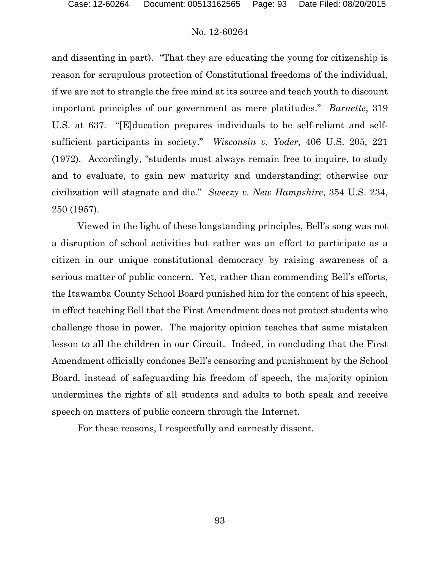and dissenting in part). "That they are educating the young for citizenship is reason for scrupulous protection of Constitutional freedoms of the individual, if we are not to strangle the free mind at its source and teach youth to discount important principles of our government as mere platitudes." *Barnette*, 319 U.S. at 637. "[E]ducation prepares individuals to be self-reliant and selfsufficient participants in society." *Wisconsin v. Yoder*, 406 U.S. 205, 221 (1972). Accordingly, "students must always remain free to inquire, to study and to evaluate, to gain new maturity and understanding; otherwise our civilization will stagnate and die." *Sweezy v. New Hampshire*, 354 U.S. 234, 250 (1957).

Viewed in the light of these longstanding principles, Bell's song was not a disruption of school activities but rather was an effort to participate as a citizen in our unique constitutional democracy by raising awareness of a serious matter of public concern. Yet, rather than commending Bell's efforts, the Itawamba County School Board punished him for the content of his speech, in effect teaching Bell that the First Amendment does not protect students who challenge those in power. The majority opinion teaches that same mistaken lesson to all the children in our Circuit. Indeed, in concluding that the First Amendment officially condones Bell's censoring and punishment by the School Board, instead of safeguarding his freedom of speech, the majority opinion undermines the rights of all students and adults to both speak and receive speech on matters of public concern through the Internet.

For these reasons, I respectfully and earnestly dissent.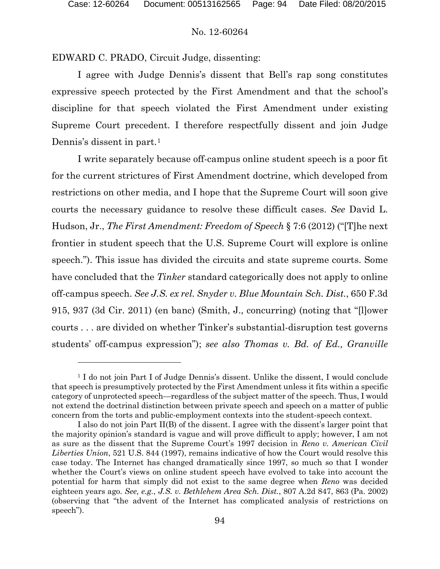#### No. 12-60264

EDWARD C. PRADO, Circuit Judge, dissenting:

I agree with Judge Dennis's dissent that Bell's rap song constitutes expressive speech protected by the First Amendment and that the school's discipline for that speech violated the First Amendment under existing Supreme Court precedent. I therefore respectfully dissent and join Judge Dennis's dissent in part.<sup>[1](#page-93-0)</sup>

I write separately because off-campus online student speech is a poor fit for the current strictures of First Amendment doctrine, which developed from restrictions on other media, and I hope that the Supreme Court will soon give courts the necessary guidance to resolve these difficult cases. *See* David L. Hudson, Jr., *The First Amendment: Freedom of Speech* § 7:6 (2012) ("[T]he next frontier in student speech that the U.S. Supreme Court will explore is online speech."). This issue has divided the circuits and state supreme courts. Some have concluded that the *Tinker* standard categorically does not apply to online off-campus speech. *See J.S. ex rel. Snyder v. Blue Mountain Sch. Dist.*, 650 F.3d 915, 937 (3d Cir. 2011) (en banc) (Smith, J., concurring) (noting that "[l]ower courts . . . are divided on whether Tinker's substantial-disruption test governs students' off-campus expression"); *see also Thomas v. Bd. of Ed., Granville* 

<span id="page-93-0"></span><sup>&</sup>lt;sup>1</sup> I do not join Part I of Judge Dennis's dissent. Unlike the dissent, I would conclude that speech is presumptively protected by the First Amendment unless it fits within a specific category of unprotected speech—regardless of the subject matter of the speech. Thus, I would not extend the doctrinal distinction between private speech and speech on a matter of public concern from the torts and public-employment contexts into the student-speech context.

I also do not join Part II(B) of the dissent. I agree with the dissent's larger point that the majority opinion's standard is vague and will prove difficult to apply; however, I am not as sure as the dissent that the Supreme Court's 1997 decision in *Reno v. American Civil Liberties Union*, 521 U.S. 844 (1997), remains indicative of how the Court would resolve this case today. The Internet has changed dramatically since 1997, so much so that I wonder whether the Court's views on online student speech have evolved to take into account the potential for harm that simply did not exist to the same degree when *Reno* was decided eighteen years ago. *See, e.g.*, *J.S. v. Bethlehem Area Sch. Dist.*, 807 A.2d 847, 863 (Pa. 2002) (observing that "the advent of the Internet has complicated analysis of restrictions on speech").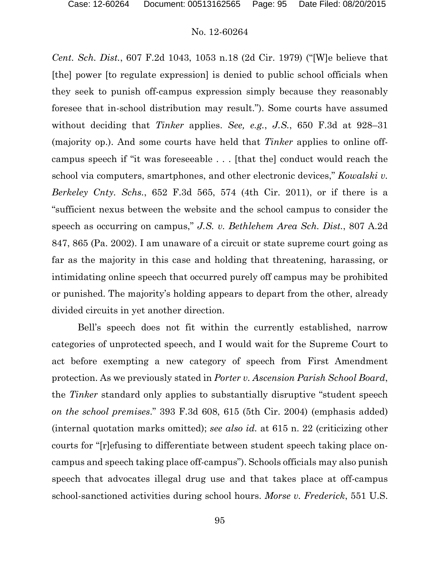*Cent. Sch. Dist.*, 607 F.2d 1043, 1053 n.18 (2d Cir. 1979) ("[W]e believe that [the] power [to regulate expression] is denied to public school officials when they seek to punish off-campus expression simply because they reasonably foresee that in-school distribution may result."). Some courts have assumed without deciding that *Tinker* applies. *See, e.g.*, *J.S.*, 650 F.3d at 928–31 (majority op.). And some courts have held that *Tinker* applies to online offcampus speech if "it was foreseeable . . . [that the] conduct would reach the school via computers, smartphones, and other electronic devices," *Kowalski v. Berkeley Cnty. Schs.*, 652 F.3d 565, 574 (4th Cir. 2011), or if there is a "sufficient nexus between the website and the school campus to consider the speech as occurring on campus," *J.S. v. Bethlehem Area Sch. Dist.*, 807 A.2d 847, 865 (Pa. 2002). I am unaware of a circuit or state supreme court going as far as the majority in this case and holding that threatening, harassing, or intimidating online speech that occurred purely off campus may be prohibited or punished. The majority's holding appears to depart from the other, already divided circuits in yet another direction.

Bell's speech does not fit within the currently established, narrow categories of unprotected speech, and I would wait for the Supreme Court to act before exempting a new category of speech from First Amendment protection. As we previously stated in *Porter v. Ascension Parish School Board*, the *Tinker* standard only applies to substantially disruptive "student speech *on the school premises*." 393 F.3d 608, 615 (5th Cir. 2004) (emphasis added) (internal quotation marks omitted); *see also id.* at 615 n. 22 (criticizing other courts for "[r]efusing to differentiate between student speech taking place oncampus and speech taking place off-campus"). Schools officials may also punish speech that advocates illegal drug use and that takes place at off-campus school-sanctioned activities during school hours. *Morse v. Frederick*, 551 U.S.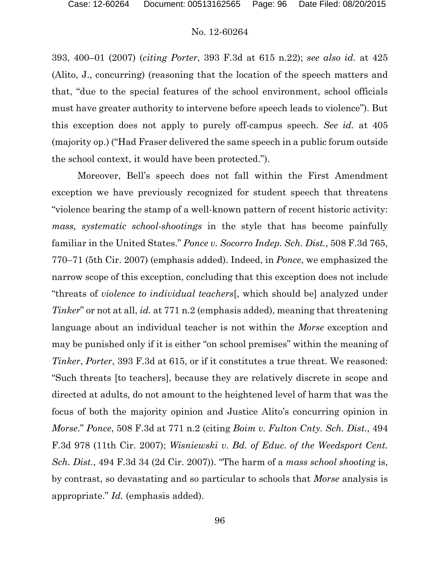393, 400–01 (2007) (*citing Porter*, 393 F.3d at 615 n.22); *see also id.* at 425 (Alito, J., concurring) (reasoning that the location of the speech matters and that, "due to the special features of the school environment, school officials must have greater authority to intervene before speech leads to violence"). But this exception does not apply to purely off-campus speech. *See id.* at 405 (majority op.) ("Had Fraser delivered the same speech in a public forum outside the school context, it would have been protected.").

Moreover, Bell's speech does not fall within the First Amendment exception we have previously recognized for student speech that threatens "violence bearing the stamp of a well-known pattern of recent historic activity: *mass, systematic school-shootings* in the style that has become painfully familiar in the United States." *Ponce v. Socorro Indep. Sch. Dist.*, 508 F.3d 765, 770–71 (5th Cir. 2007) (emphasis added). Indeed, in *Ponce*, we emphasized the narrow scope of this exception, concluding that this exception does not include "threats of *violence to individual teachers*[, which should be] analyzed under *Tinker*" or not at all, *id.* at 771 n.2 (emphasis added), meaning that threatening language about an individual teacher is not within the *Morse* exception and may be punished only if it is either "on school premises" within the meaning of *Tinker*, *Porter*, 393 F.3d at 615, or if it constitutes a true threat. We reasoned: "Such threats [to teachers], because they are relatively discrete in scope and directed at adults, do not amount to the heightened level of harm that was the focus of both the majority opinion and Justice Alito's concurring opinion in *Morse*." *Ponce*, 508 F.3d at 771 n.2 (citing *Boim v. Fulton Cnty. Sch. Dist.*, 494 F.3d 978 (11th Cir. 2007); *Wisniewski v. Bd. of Educ. of the Weedsport Cent. Sch. Dist.*, 494 F.3d 34 (2d Cir. 2007)). "The harm of a *mass school shooting* is, by contrast, so devastating and so particular to schools that *Morse* analysis is appropriate." *Id.* (emphasis added).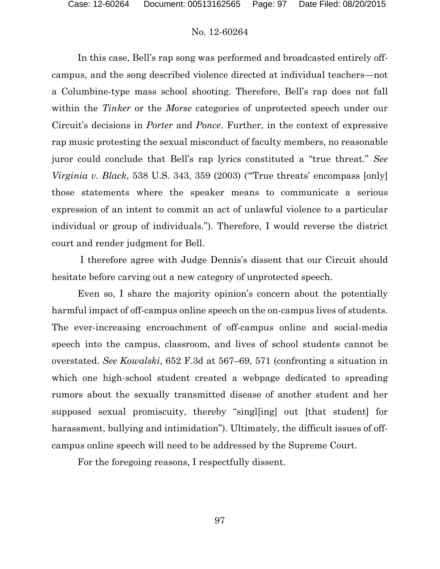In this case, Bell's rap song was performed and broadcasted entirely offcampus, and the song described violence directed at individual teachers—not a Columbine-type mass school shooting. Therefore, Bell's rap does not fall within the *Tinker* or the *Morse* categories of unprotected speech under our Circuit's decisions in *Porter* and *Ponce*. Further, in the context of expressive rap music protesting the sexual misconduct of faculty members, no reasonable juror could conclude that Bell's rap lyrics constituted a "true threat." *See Virginia v. Black*, 538 U.S. 343, 359 (2003) ("'True threats' encompass [only] those statements where the speaker means to communicate a serious expression of an intent to commit an act of unlawful violence to a particular individual or group of individuals."). Therefore, I would reverse the district court and render judgment for Bell.

I therefore agree with Judge Dennis's dissent that our Circuit should hesitate before carving out a new category of unprotected speech.

Even so, I share the majority opinion's concern about the potentially harmful impact of off-campus online speech on the on-campus lives of students. The ever-increasing encroachment of off-campus online and social-media speech into the campus, classroom, and lives of school students cannot be overstated. *See Kowalski*, 652 F.3d at 567–69, 571 (confronting a situation in which one high-school student created a webpage dedicated to spreading rumors about the sexually transmitted disease of another student and her supposed sexual promiscuity, thereby "singl[ing] out [that student] for harassment, bullying and intimidation"). Ultimately, the difficult issues of offcampus online speech will need to be addressed by the Supreme Court.

For the foregoing reasons, I respectfully dissent.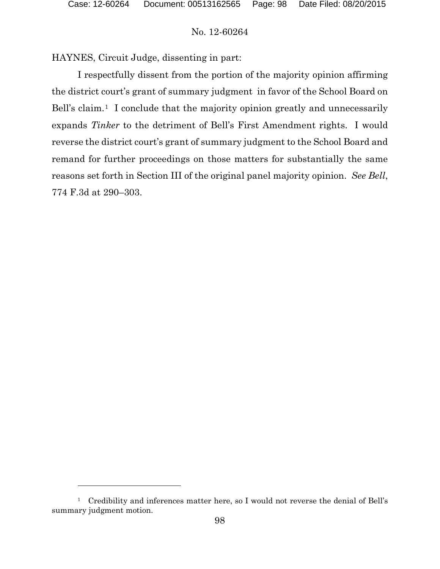$\overline{a}$ 

## No. 12-60264

HAYNES, Circuit Judge, dissenting in part:

I respectfully dissent from the portion of the majority opinion affirming the district court's grant of summary judgment in favor of the School Board on Bell's claim.<sup>1</sup> I conclude that the majority opinion greatly and unnecessarily expands *Tinker* to the detriment of Bell's First Amendment rights. I would reverse the district court's grant of summary judgment to the School Board and remand for further proceedings on those matters for substantially the same reasons set forth in Section III of the original panel majority opinion. *See Bell*, 774 F.3d at 290–303.

<span id="page-97-0"></span><sup>&</sup>lt;sup>1</sup> Credibility and inferences matter here, so I would not reverse the denial of Bell's summary judgment motion.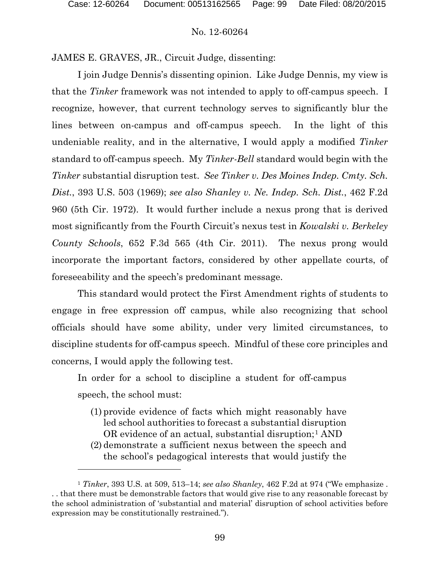#### No. 12-60264

JAMES E. GRAVES, JR., Circuit Judge, dissenting:

I join Judge Dennis's dissenting opinion. Like Judge Dennis, my view is that the *Tinker* framework was not intended to apply to off-campus speech. I recognize, however, that current technology serves to significantly blur the lines between on-campus and off-campus speech. In the light of this undeniable reality, and in the alternative, I would apply a modified *Tinker*  standard to off-campus speech. My *Tinker-Bell* standard would begin with the *Tinker* substantial disruption test. *See Tinker v. Des Moines Indep. Cmty. Sch. Dist.*, 393 U.S. 503 (1969); *see also Shanley v. Ne. Indep. Sch. Dist.*, 462 F.2d 960 (5th Cir. 1972). It would further include a nexus prong that is derived most significantly from the Fourth Circuit's nexus test in *Kowalski v. Berkeley County Schools*, 652 F.3d 565 (4th Cir. 2011). The nexus prong would incorporate the important factors, considered by other appellate courts, of foreseeability and the speech's predominant message.

This standard would protect the First Amendment rights of students to engage in free expression off campus, while also recognizing that school officials should have some ability, under very limited circumstances, to discipline students for off-campus speech. Mindful of these core principles and concerns, I would apply the following test.

In order for a school to discipline a student for off-campus speech, the school must:

(1) provide evidence of facts which might reasonably have led school authorities to forecast a substantial disruption OR evidence of an actual, substantial disruption;<sup>[1](#page-98-0)</sup> AND (2) demonstrate a sufficient nexus between the speech and the school's pedagogical interests that would justify the

<span id="page-98-0"></span><sup>1</sup> *Tinker*, 393 U.S. at 509, 513–14; *see also Shanley*, 462 F.2d at 974 ("We emphasize . . . that there must be demonstrable factors that would give rise to any reasonable forecast by the school administration of 'substantial and material' disruption of school activities before expression may be constitutionally restrained.").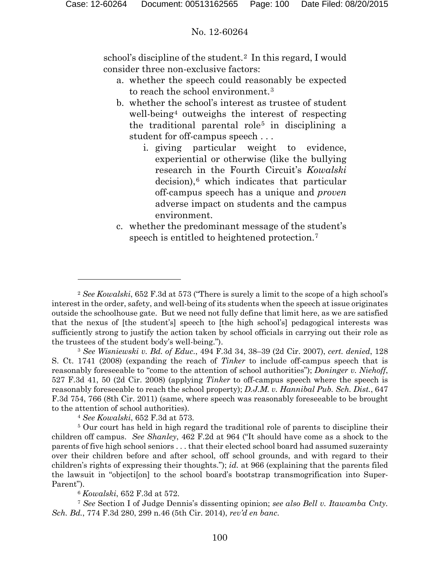school's discipline of the student.<sup>2</sup> In this regard, I would consider three non-exclusive factors:

- a. whether the speech could reasonably be expected to reach the school environment.<sup>[3](#page-99-1)</sup>
- b. whether the school's interest as trustee of student well-being<sup>[4](#page-99-2)</sup> outweighs the interest of respecting the traditional parental role<sup>[5](#page-99-3)</sup> in disciplining a student for off-campus speech . . .
	- i. giving particular weight to evidence, experiential or otherwise (like the bullying research in the Fourth Circuit's *Kowalski* decision),<sup>[6](#page-99-4)</sup> which indicates that particular off-campus speech has a unique and *proven*  adverse impact on students and the campus environment.
- c. whether the predominant message of the student's speech is entitled to heightened protection.<sup>[7](#page-99-5)</sup>

<span id="page-99-1"></span><sup>3</sup> *See Wisniewski v. Bd. of Educ.*, 494 F.3d 34, 38–39 (2d Cir. 2007), *cert. denied*, 128 S. Ct. 1741 (2008) (expanding the reach of *Tinker* to include off-campus speech that is reasonably foreseeable to "come to the attention of school authorities"); *Doninger v. Niehoff*, 527 F.3d 41, 50 (2d Cir. 2008) (applying *Tinker* to off-campus speech where the speech is reasonably foreseeable to reach the school property); *D.J.M. v. Hannibal Pub. Sch. Dist.*, 647 F.3d 754, 766 (8th Cir. 2011) (same, where speech was reasonably foreseeable to be brought to the attention of school authorities).

<sup>4</sup> *See Kowalski*, 652 F.3d at 573.

 $\overline{a}$ 

<span id="page-99-3"></span><span id="page-99-2"></span><sup>5</sup> Our court has held in high regard the traditional role of parents to discipline their children off campus. *See Shanley*, 462 F.2d at 964 ("It should have come as a shock to the parents of five high school seniors . . . that their elected school board had assumed suzerainty over their children before and after school, off school grounds, and with regard to their children's rights of expressing their thoughts."); *id.* at 966 (explaining that the parents filed the lawsuit in "objecti[on] to the school board's bootstrap transmogrification into Super-Parent").

<sup>6</sup> *Kowalski*, 652 F.3d at 572.

<span id="page-99-5"></span><span id="page-99-4"></span><sup>7</sup> *See* Section I of Judge Dennis's dissenting opinion; *see also Bell v. Itawamba Cnty. Sch. Bd.*, 774 F.3d 280, 299 n.46 (5th Cir. 2014), *rev'd en banc*.

<span id="page-99-0"></span><sup>2</sup> *See Kowalski*, 652 F.3d at 573 ("There is surely a limit to the scope of a high school's interest in the order, safety, and well-being of its students when the speech at issue originates outside the schoolhouse gate. But we need not fully define that limit here, as we are satisfied that the nexus of [the student's] speech to [the high school's] pedagogical interests was sufficiently strong to justify the action taken by school officials in carrying out their role as the trustees of the student body's well-being.").